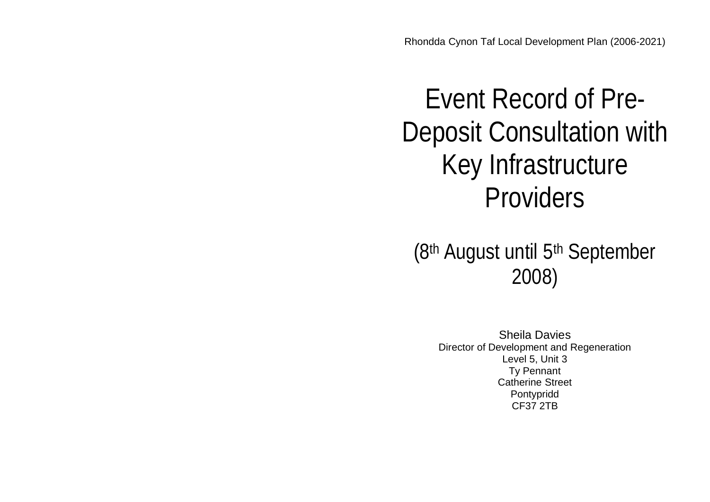# Event Record of Pre-Deposit Consultation with Key Infrastructure Providers

(8th August until 5th September 2008)

Sheila Davies Director of Development and Regeneration Level 5, Unit 3 Ty Pennant Catherine Street Pontypridd CF37 2TB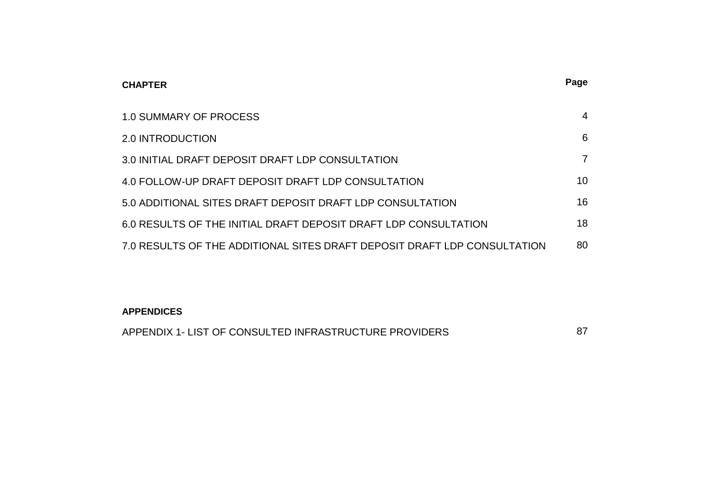| <b>CHAPTER</b>                                                           | Page           |
|--------------------------------------------------------------------------|----------------|
| <b>1.0 SUMMARY OF PROCESS</b>                                            | $\overline{4}$ |
| 2.0 INTRODUCTION                                                         | 6              |
| 3.0 INITIAL DRAFT DEPOSIT DRAFT LDP CONSULTATION                         | $\overline{7}$ |
| 4.0 FOLLOW-UP DRAFT DEPOSIT DRAFT LDP CONSULTATION                       | 10             |
| 5.0 ADDITIONAL SITES DRAFT DEPOSIT DRAFT LDP CONSULTATION                | 16             |
| 6.0 RESULTS OF THE INITIAL DRAFT DEPOSIT DRAFT LDP CONSULTATION          | 18             |
| 7.0 RESULTS OF THE ADDITIONAL SITES DRAFT DEPOSIT DRAFT LDP CONSULTATION | 80             |

### **APPENDICES**

| APPENDIX 1- LIST OF CONSULTED INFRASTRUCTURE PROVIDERS |  |
|--------------------------------------------------------|--|
|--------------------------------------------------------|--|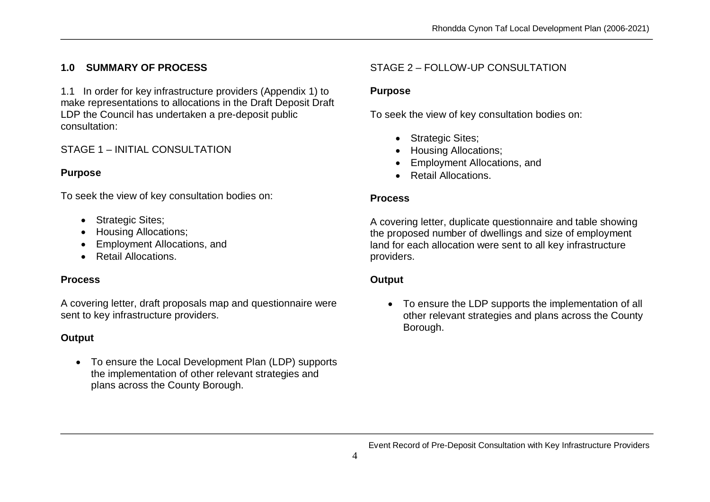# **1.0 SUMMARY OF PROCESS**

1.1 In order for key infrastructure providers (Appendix 1) to make representations to allocations in the Draft Deposit Draft LDP the Council has undertaken a pre-deposit public consultation:

### STAGE 1 – INITIAL CONSULTATION

### **Purpose**

To seek the view of key consultation bodies on:

- Strategic Sites;
- Housing Allocations;
- Employment Allocations, and
- Retail Allocations.

### **Process**

A covering letter, draft proposals map and questionnaire were sent to key infrastructure providers.

### **Output**

 To ensure the Local Development Plan (LDP) supports the implementation of other relevant strategies and plans across the County Borough.

# STAGE 2 – FOLLOW-UP CONSULTATION

### **Purpose**

To seek the view of key consultation bodies on:

- Strategic Sites;
- Housing Allocations;
- Employment Allocations, and
- Retail Allocations.

### **Process**

A covering letter, duplicate questionnaire and table showing the proposed number of dwellings and size of employment land for each allocation were sent to all key infrastructure providers.

### **Output**

 To ensure the LDP supports the implementation of all other relevant strategies and plans across the County Borough.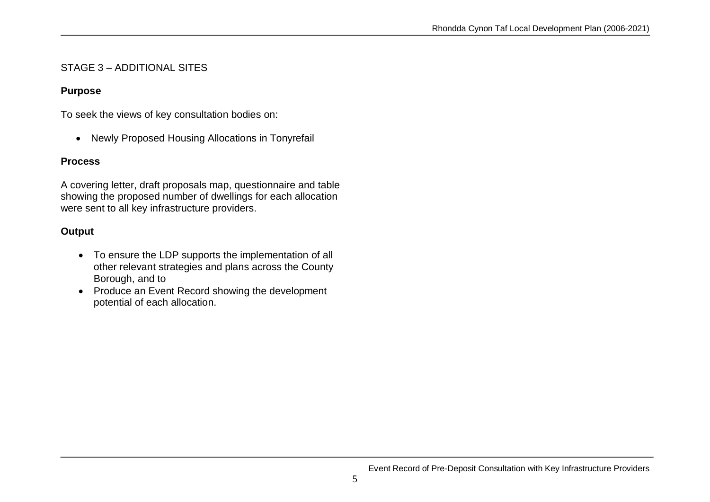### STAGE 3 – ADDITIONAL SITES

### **Purpose**

To seek the views of key consultation bodies on:

Newly Proposed Housing Allocations in Tonyrefail

### **Process**

A covering letter, draft proposals map, questionnaire and table showing the proposed number of dwellings for each allocation were sent to all key infrastructure providers.

# **Output**

- To ensure the LDP supports the implementation of all other relevant strategies and plans across the County Borough, and to
- Produce an Event Record showing the development potential of each allocation.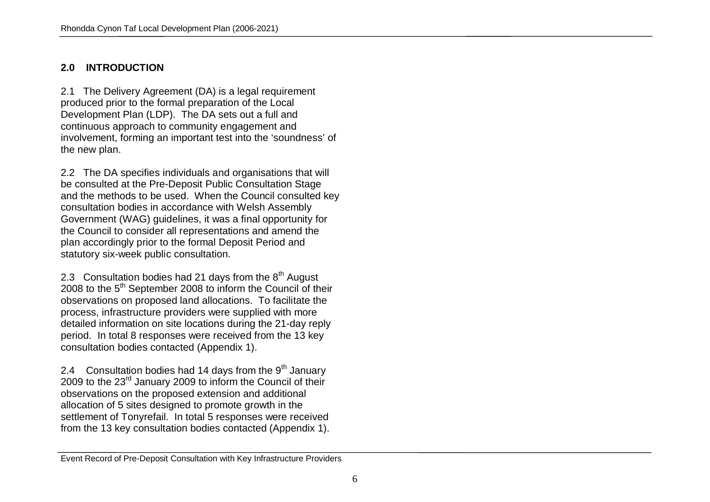### **2.0 INTRODUCTION**

2.1 The Delivery Agreement (DA) is a legal requirement produced prior to the formal preparation of the Local Development Plan (LDP). The DA sets out a full and continuous approach to community engagement and involvement, forming an important test into the 'soundness' of the new plan.

2.2 The DA specifies individuals and organisations that will be consulted at the Pre-Deposit Public Consultation Stage and the methods to be used. When the Council consulted key consultation bodies in accordance with Welsh Assembly Government (WAG) guidelines, it was a final opportunity for the Council to consider all representations and amend the plan accordingly prior to the formal Deposit Period and statutory six-week public consultation.

2.3 Consultation bodies had 21 days from the  $8<sup>th</sup>$  August 2008 to the 5<sup>th</sup> September 2008 to inform the Council of their observations on proposed land allocations. To facilitate the process, infrastructure providers were supplied with more detailed information on site locations during the 21-day reply period. In total 8 responses were received from the 13 key consultation bodies contacted (Appendix 1).

2.4 Consultation bodies had 14 days from the  $9<sup>th</sup>$  January 2009 to the  $23<sup>rd</sup>$  January 2009 to inform the Council of their observations on the proposed extension and additional allocation of 5 sites designed to promote growth in the settlement of Tonyrefail. In total 5 responses were received from the 13 key consultation bodies contacted (Appendix 1).

Event Record of Pre-Deposit Consultation with Key Infrastructure Providers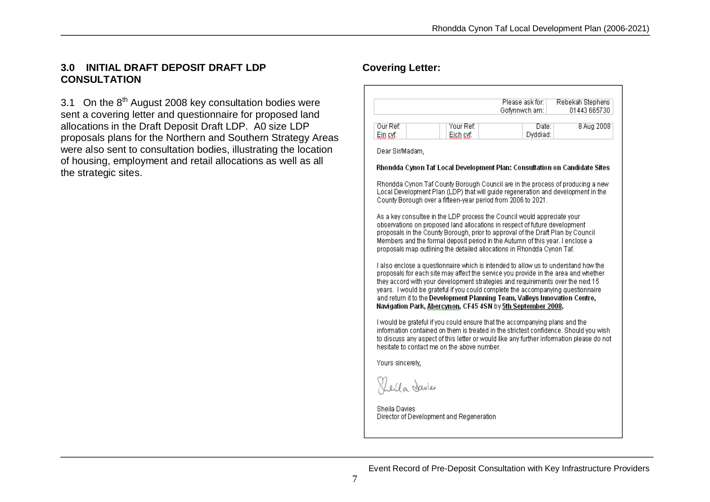### **3.0 INITIAL DRAFT DEPOSIT DRAFT LDP CONSULTATION**

3.1 On the  $8<sup>th</sup>$  August 2008 key consultation bodies were sent a covering letter and questionnaire for proposed land allocations in the Draft Deposit Draft LDP. A0 size LDP proposals plans for the Northern and Southern Strategy Areas were also sent to consultation bodies, illustrating the location of housing, employment and retail allocations as well as all the strategic sites.

# **Covering Letter:**

|                     |                                             | Please ask for: I<br>Gofynnwch am:                                                                                                                                                                                                                                                                                                                                                                                                                                                         | Rebekah Stephens<br>01443 665730 |
|---------------------|---------------------------------------------|--------------------------------------------------------------------------------------------------------------------------------------------------------------------------------------------------------------------------------------------------------------------------------------------------------------------------------------------------------------------------------------------------------------------------------------------------------------------------------------------|----------------------------------|
| Our Ref:<br>Ein avf | Your Ref: I<br>Eich avf                     | Date:<br>Dyddiad:                                                                                                                                                                                                                                                                                                                                                                                                                                                                          | 8 Aug 2008                       |
| Dear Sir/Madam,     |                                             |                                                                                                                                                                                                                                                                                                                                                                                                                                                                                            |                                  |
|                     |                                             | Rhondda Cynon Taf Local Development Plan: Consultation on Candidate Sites                                                                                                                                                                                                                                                                                                                                                                                                                  |                                  |
|                     |                                             | Rhondda Cynon Taf County Borough Council are in the process of producing a new<br>Local Development Plan (LDP) that will guide regeneration and development in the<br>County Borough over a fifteen-year period from 2006 to 2021.                                                                                                                                                                                                                                                         |                                  |
|                     |                                             | As a key consultee in the LDP process the Council would appreciate your.<br>observations on proposed land allocations in respect of future development<br>proposals in the County Borough, prior to approval of the Draft Plan by Council<br>Members and the formal deposit period in the Autumn of this year. I enclose a<br>proposals map outlining the detailed allocations in Rhondda Cynon Taf.                                                                                       |                                  |
|                     |                                             | I also enclose a questionnaire which is intended to allow us to understand how the<br>proposals for each site may affect the service you provide in the area and whether<br>they accord with your development strategies and requirements over the next 15<br>years. I would be grateful if you could complete the accompanying questionnaire<br>and return it to the Development Planning Team, Valleys Innovation Centre,<br>Navigation Park, Abercynon, CF45 4SN by 5th September 2008. |                                  |
|                     | hesitate to contact me on the above number. | I would be grateful if you could ensure that the accompanying plans and the<br>information contained on them is treated in the strictest confidence. Should you wish<br>to discuss any aspect of this letter or would like any further information please do not                                                                                                                                                                                                                           |                                  |
| Yours sincerely,    |                                             |                                                                                                                                                                                                                                                                                                                                                                                                                                                                                            |                                  |
| There a Davies      |                                             |                                                                                                                                                                                                                                                                                                                                                                                                                                                                                            |                                  |
|                     |                                             |                                                                                                                                                                                                                                                                                                                                                                                                                                                                                            |                                  |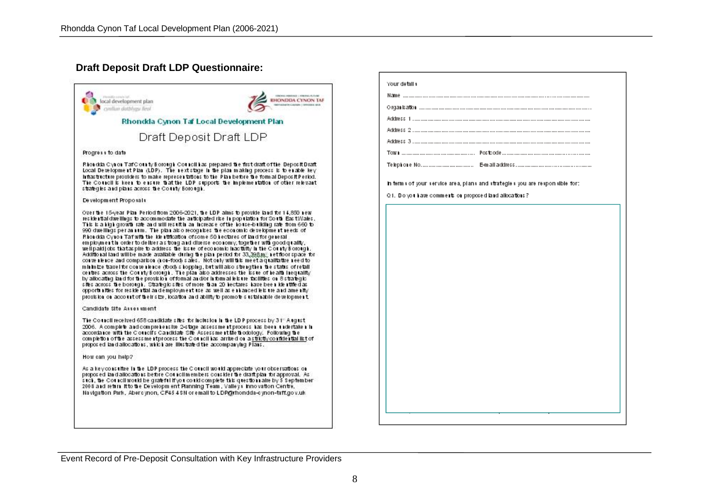### **Draft Deposit Draft LDP Questionnaire:**

|                                                                                                                                                                                                                                                                                                                                                                                                                                                                                                                                                                                                                                                                                                                                                                                                                                                                                                                                                                                                                                                                                                                                                                                                                                                                                                                                                                                                                                                                        | Your detail               |
|------------------------------------------------------------------------------------------------------------------------------------------------------------------------------------------------------------------------------------------------------------------------------------------------------------------------------------------------------------------------------------------------------------------------------------------------------------------------------------------------------------------------------------------------------------------------------------------------------------------------------------------------------------------------------------------------------------------------------------------------------------------------------------------------------------------------------------------------------------------------------------------------------------------------------------------------------------------------------------------------------------------------------------------------------------------------------------------------------------------------------------------------------------------------------------------------------------------------------------------------------------------------------------------------------------------------------------------------------------------------------------------------------------------------------------------------------------------------|---------------------------|
| ROSS (NHOMA: LYRON) / LTD BY<br>Plemable consistint<br><b>EHONDDA CYNON TAF</b><br>local development plan                                                                                                                                                                                                                                                                                                                                                                                                                                                                                                                                                                                                                                                                                                                                                                                                                                                                                                                                                                                                                                                                                                                                                                                                                                                                                                                                                              | Name<br>Organisatio       |
| cyother databay first                                                                                                                                                                                                                                                                                                                                                                                                                                                                                                                                                                                                                                                                                                                                                                                                                                                                                                                                                                                                                                                                                                                                                                                                                                                                                                                                                                                                                                                  |                           |
| Rhondda Cynon Taf Local Development Plan                                                                                                                                                                                                                                                                                                                                                                                                                                                                                                                                                                                                                                                                                                                                                                                                                                                                                                                                                                                                                                                                                                                                                                                                                                                                                                                                                                                                                               | Address 1.                |
| Draft Deposit Draft LDP                                                                                                                                                                                                                                                                                                                                                                                                                                                                                                                                                                                                                                                                                                                                                                                                                                                                                                                                                                                                                                                                                                                                                                                                                                                                                                                                                                                                                                                | Address 2.<br>Address 3.  |
| Progress to date                                                                                                                                                                                                                                                                                                                                                                                                                                                                                                                                                                                                                                                                                                                                                                                                                                                                                                                                                                                                                                                                                                                                                                                                                                                                                                                                                                                                                                                       | TOW 1                     |
| Rhondda Cynon TafCounty Borough Council has prepared the first draft of the Deposit Draft.<br>Local DevelopmentPlan (LDP). The rextstage in the plan making process is to enable key.<br>inflastricture providers to make representations to the Plan before the form al Deposit Period.<br>The Council is keen to ensure that the LDP supports the implementation of other relevant.<br>strategies and plans across the County Borough.                                                                                                                                                                                                                                                                                                                                                                                                                                                                                                                                                                                                                                                                                                                                                                                                                                                                                                                                                                                                                               | Telephone<br>in term s of |
| Development Proposals:                                                                                                                                                                                                                                                                                                                                                                                                                                                                                                                                                                                                                                                                                                                                                                                                                                                                                                                                                                                                                                                                                                                                                                                                                                                                                                                                                                                                                                                 | 01. Do yot                |
| Over the 15-year. Plan. Period from 2006-2021, the LDP alms to provide land-for 14,850 new-<br>reskiential dwellings to accommodate the anticipated rise in population for South East Wales.<br>This is a high growth rate and will result in an increase of the house-building rate from 660 to<br>990 dwellings per annum. The plan also recognises the economic development needs of<br>Rhondda Cynon Tafwlb the kienthication of some 50 hectares of land for general<br>employment in order to deliver as trong and diverse economy, together with good graifly,-<br>well paid jobs that as pire to address the issue of economic had tulty in the County Borough,<br>Additional land will be made available during the plan period for 33,398.m., net floor space for<br>convenience and comparison (non-food) sales. Notonly will this meet a qualitative need to<br>mirinize travel for corve rierce (foot) shopping, but will also strengther the status of retail.<br>centres across the County Borough. The plan also addresses the issue of health inequality<br>by allocating land for the provision of formal and/or informal leisure facilities on 8 strategic.<br>shesacross the borough. Strategic shes of more than 20 hectares have been klenthed as<br>opportnittles for reskleidtal andemployment use as well as einhanced lels ure and amenity.<br>provision on account of their size, location and ability to promote's ustainable development. |                           |
| Candidate Site Assessment                                                                                                                                                                                                                                                                                                                                                                                                                                                                                                                                                                                                                                                                                                                                                                                                                                                                                                                                                                                                                                                                                                                                                                                                                                                                                                                                                                                                                                              |                           |
| The Council received 658 candidates the form inclusion in the LD P process by 3 1" A rqust i<br>2006. A complete and comprehensive 2-stage assessment process has been undertaken in<br>accordance with the Clouncifs Candidate Site Assessment Me thodology. Following the<br>completion of the assessment process the C on roll has arrived on a strictly confidential list of<br>proposed land allocations, which are likestrated the accompanying Plans.                                                                                                                                                                                                                                                                                                                                                                                                                                                                                                                                                                                                                                                                                                                                                                                                                                                                                                                                                                                                           |                           |
| How can you help?                                                                                                                                                                                                                                                                                                                                                                                                                                                                                                                                                                                                                                                                                                                                                                                                                                                                                                                                                                                                                                                                                                                                                                                                                                                                                                                                                                                                                                                      |                           |
| As a key consultee in the LDP process the Council would appreciate your observations on<br>propos ed-lar d'allocations before Cothicil members consider the draft plan for approval. As i<br>stell, the Cothicil world be grateful if you could complete this questionnaire by 5 September -<br>2008 and return it to the Developm ent Planning Team , Valleys Innovation Centre,<br>Navigation, Park, Abercynon, CF45 4 SN or email to LDP@rhondda-cynon-taff.gov.uk.                                                                                                                                                                                                                                                                                                                                                                                                                                                                                                                                                                                                                                                                                                                                                                                                                                                                                                                                                                                                 |                           |
|                                                                                                                                                                                                                                                                                                                                                                                                                                                                                                                                                                                                                                                                                                                                                                                                                                                                                                                                                                                                                                                                                                                                                                                                                                                                                                                                                                                                                                                                        |                           |
|                                                                                                                                                                                                                                                                                                                                                                                                                                                                                                                                                                                                                                                                                                                                                                                                                                                                                                                                                                                                                                                                                                                                                                                                                                                                                                                                                                                                                                                                        |                           |

| Q1. Do you have comments on proposed land allocations? |  |
|--------------------------------------------------------|--|
|                                                        |  |
|                                                        |  |
|                                                        |  |
|                                                        |  |
|                                                        |  |
|                                                        |  |
|                                                        |  |
|                                                        |  |
|                                                        |  |
|                                                        |  |
|                                                        |  |
|                                                        |  |
|                                                        |  |
|                                                        |  |
|                                                        |  |
|                                                        |  |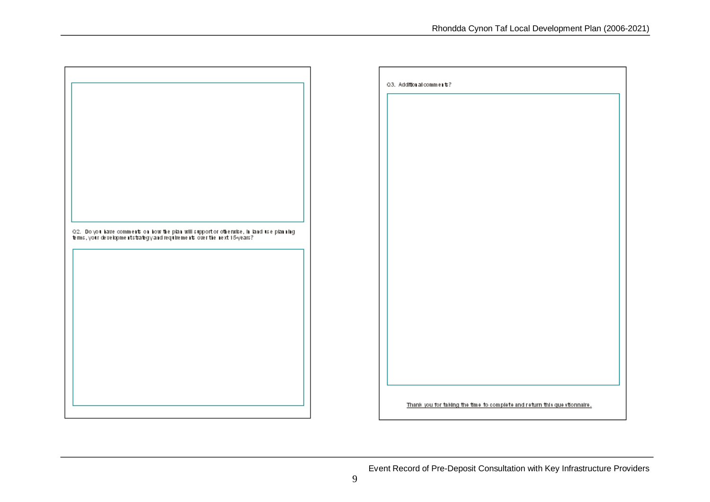

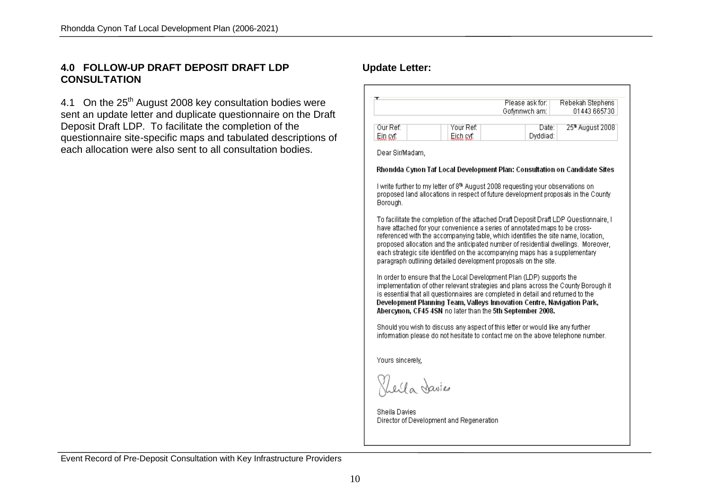### **4.0 FOLLOW-UP DRAFT DEPOSIT DRAFT LDP CONSULTATION**

4.1 On the 25<sup>th</sup> August 2008 key consultation bodies were sent an update letter and duplicate questionnaire on the Draft Deposit Draft LDP. To facilitate the completion of the questionnaire site-specific maps and tabulated descriptions of each allocation were also sent to all consultation bodies.

### **Update Letter:**

|                      |              |                        | Please ask for:<br>Gofynnwch am:                                                                                                                                                                                                                                                                 | Rebekah Stephens<br>01443 665730                                                                                                                                                                                                                                 |
|----------------------|--------------|------------------------|--------------------------------------------------------------------------------------------------------------------------------------------------------------------------------------------------------------------------------------------------------------------------------------------------|------------------------------------------------------------------------------------------------------------------------------------------------------------------------------------------------------------------------------------------------------------------|
| Our Ref:<br>Ein syf: |              | Your Ref:<br>Eich cyf: | Dyddiad:                                                                                                                                                                                                                                                                                         | 25 <sup>n</sup> August 2008<br>Date: I                                                                                                                                                                                                                           |
| Dear Sir/Madam,      |              |                        |                                                                                                                                                                                                                                                                                                  |                                                                                                                                                                                                                                                                  |
|                      |              |                        |                                                                                                                                                                                                                                                                                                  | Rhondda Cynon Taf Local Development Plan: Consultation on Candidate Sites                                                                                                                                                                                        |
| Borough.             |              |                        | I write further to my letter of 8th August 2008 requesting your observations on                                                                                                                                                                                                                  | proposed land allocations in respect of future development proposals in the County                                                                                                                                                                               |
|                      |              |                        | have attached for your convenience a series of annotated maps to be cross-<br>each strategic site identified on the accompanying maps has a supplementary<br>paragraph outlining detailed development proposals on the site.                                                                     | To facilitate the completion of the attached Draft Deposit Draft LDP Questionnaire, I<br>referenced with the accompanying table, which identifies the site name, location,<br>proposed allocation and the anticipated number of residential dwellings. Moreover, |
|                      |              |                        |                                                                                                                                                                                                                                                                                                  |                                                                                                                                                                                                                                                                  |
|                      |              |                        | In order to ensure that the Local Development Plan (LDP) supports the<br>is essential that all questionnaires are completed in detail and returned to the<br>Development Planning Team, Valleys Innovation Centre, Navigation Park,<br>Abercynon, CF45 4SN no later than the 5th September 2008. | implementation of other relevant strategies and plans across the County Borough it                                                                                                                                                                               |
|                      |              |                        | Should you wish to discuss any aspect of this letter or would like any further                                                                                                                                                                                                                   |                                                                                                                                                                                                                                                                  |
| Yours sincerely,     |              |                        |                                                                                                                                                                                                                                                                                                  | information please do not hesitate to contact me on the above telephone number.                                                                                                                                                                                  |
|                      | Levla Davies |                        |                                                                                                                                                                                                                                                                                                  |                                                                                                                                                                                                                                                                  |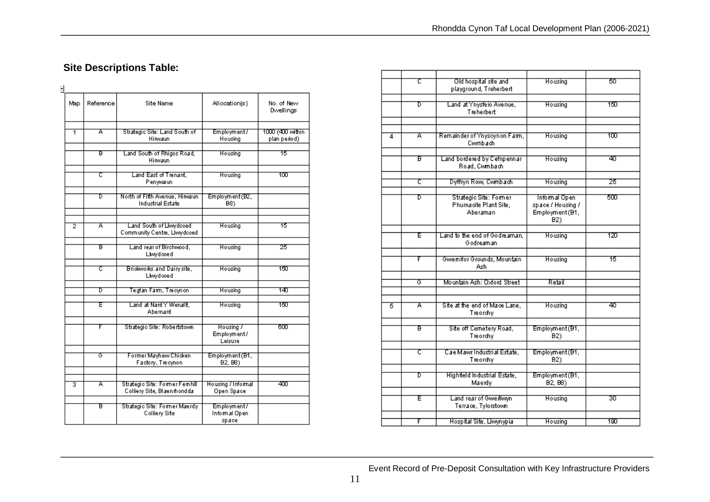# **Site Descriptions Table:**

| Map | Reference | <b>Site Name</b>                                             | Allocation(s)                         | No. of New<br>Dwellings          |
|-----|-----------|--------------------------------------------------------------|---------------------------------------|----------------------------------|
| 1   | Ā         | Strategic Site: Land South of<br>Hirwaun                     | Employment/<br>Housing                | 1000 (400 within<br>plan period) |
|     | в         | Land South of Rhigos Road,<br>Hirwaun                        | Housing                               | 15                               |
|     | ᠸ         | Land East of Trenant.<br>Penywaun                            | Housing                               | πoσ                              |
|     | Б         | North of Fifth Avenue, Hirwaun<br>Industrial Estate          | Employment(B2,<br>B8)                 |                                  |
|     |           |                                                              |                                       |                                  |
| 7   | Ā         | Land South of Llwydcoed<br>Community Centre, Llwydcoed       | Housing                               | 15                               |
|     | F         | Land rear of Birchwood.<br>Llwydcoed                         | Housing                               | 25                               |
|     | ᠸ         | Brideworks and Dairy site,<br>Llwydooed                      | Housing                               | াতত                              |
|     |           |                                                              |                                       |                                  |
|     | ъ         | Tegfan Farm, Trecynon                                        | Housing                               | 140                              |
|     | E         | Land at Nant Y Wenallt.<br>Abernant                          | Housing                               | ৰত                               |
|     | F         | Strategic Site: Robertstown                                  | Housing 7<br>Employment/<br>Leisure   | ண                                |
|     | ক         | Former Mayhew Chicken<br>Factory, Trecynon                   | Employment (B1,<br>B2, B8)            |                                  |
|     |           |                                                              |                                       |                                  |
| 3   | Ā         | Strategic Site: Former Femhill<br>Colliery Site, Blaenmondda | Housing / Informal<br>Open Space      | 400                              |
|     | ਸ਼        | Strategic Site: Former Maerdy<br>Colliery Site               | Employment/<br>Informal Open<br>space |                                  |

|   | τ | Old hospital site and<br>playground, Treherbert              | Housing                                                                   | 50  |
|---|---|--------------------------------------------------------------|---------------------------------------------------------------------------|-----|
|   | ъ | Land at Ynysfeio Avenue,<br>Treherbert                       | Housing                                                                   | 150 |
|   |   |                                                              |                                                                           |     |
| 4 | A | Remainder of Ynyscynon Farm,<br>Cwmbach                      | Housing                                                                   | 100 |
|   | в | Land bordered by Cefnpennar<br>Road, Cwmbach                 | Housing                                                                   | 40  |
|   | ᠸ | Dyffryn Row, Cwmbach                                         | Housing                                                                   | 25  |
|   | Б | Strategic Site: Former<br>Phurnacite Plant Site,<br>Aberaman | Informal Open<br>space / Housing /<br>Employment (B1,<br>B <sub>2</sub> ) | 500 |
|   | E | Land to the end of Godreaman.<br>Godreaman                   | Housing                                                                   | 120 |
|   | F | Gwemifor Grounds, Mountain<br>Ash.                           | Housing                                                                   | 15  |
|   | ক | Mountain Ash: Oxford Street                                  | Retail                                                                    |     |
| 5 | Ā | Site at the end of Mace Lane,<br>Treordhy                    | Housing                                                                   | 40  |
|   | B | Site off Cemetery Road,<br>Treordhy                          | Employment(B1,<br>B2)                                                     |     |
|   | ट | Cae Mawr Industrial Estate,<br>Treordhy                      | Employment(B1,<br>B <sub>2</sub> )                                        |     |
|   | Б | Highfield Industrial Estate,<br>Maerdy                       | Employment(B1,<br>B <sub>2</sub> , B <sub>8</sub> )                       |     |
|   | E | Land rear of Gwerllwyn<br>Terrace, Tylorstown                | Housing                                                                   | 30  |
|   | F | Hospital Site, Llwynypia                                     | Housing                                                                   | 190 |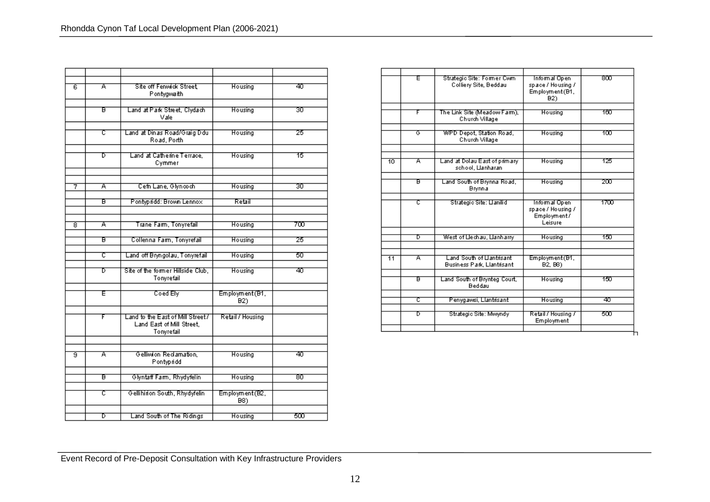| ह                       | Ā  | Site off Fenwick Street,<br>Pontygwaith                                      | Housing                            | কা  |
|-------------------------|----|------------------------------------------------------------------------------|------------------------------------|-----|
|                         | ਰ  | Land at Park Street, Clydach<br>Vale                                         | Housing                            | জা  |
|                         | ट  | Land at Dinas Road/Graig Ddu<br>Road, Porth                                  | Housing                            | 25  |
|                         | Б  | Land at Catherine Terrace.<br>Cymmer                                         | Housing                            | 15  |
| 7                       | Ā  | Cefn Lane, Glyncoch                                                          | Housing                            | 30  |
|                         | ਸ਼ | Pontypridd: Brown Lennox                                                     | Retail                             |     |
| 8                       | Ā  | Trane Farm, Tonyrefail                                                       | Housing                            | 700 |
|                         | Б  | Collenna Farm, Tonyrefail                                                    | Housing                            | 25  |
|                         | で  | Land off Bryngolau, Tonyrefail                                               | Housing                            | 50  |
|                         | Б  | Site of the former Hillside Club,<br>Tonyrefail                              | Housing                            | 40  |
|                         | Έ  | Coed Ely                                                                     | Employment(B1,<br>B <sub>2</sub> ) |     |
|                         | F  | Land to the East of Mill Street /<br>Land East of Mill Street,<br>Tonyrefail | Retail / Housing                   |     |
|                         |    |                                                                              |                                    |     |
| $\overline{\mathbf{s}}$ | Ā  | Gelliwion Reclamation,<br>Pontypridd                                         | Housing                            | কা  |
|                         | ਸ਼ | Glyntaff Farm, Rhydyfelin                                                    | Housing                            | छा  |
|                         | τ  | Gellihirion South, Rhydyfelin                                                | Employment (B2,<br>B8)             |     |
|                         | ъ  | Land South of The Ridings                                                    | Housing                            | 500 |

|                 | Ε  | Strategic Site: Former Cwm<br>Colliery Site, Beddau           | Informal Open<br>space / Housing /<br>Employment (B1,<br>B <sub>2</sub> ) | ൵    |
|-----------------|----|---------------------------------------------------------------|---------------------------------------------------------------------------|------|
|                 | F  | The Link Site (Meadow Farm),<br>Church Village                | Housing                                                                   | 180  |
|                 | ক  | WPD Depot, Station Road,<br>Church Village                    | Housing                                                                   | 100  |
| 10              | Ā  | Land at Dolau East of primary<br>school, Llanharan            | Housing                                                                   | 125  |
|                 | ਸ਼ | Land South of Brynna Road,<br>Brynnia                         | Housing                                                                   | 200  |
|                 | ट  | Strategic Site: Llanilid                                      | Informal Open<br>space / Housing /<br>Employment/<br>Leisure              | 1700 |
|                 | চ  | West of Llechau, Llanharry                                    | Housing                                                                   | 150  |
| $\overline{11}$ | Ā  | Land South of Uantrisant<br><b>Business Park, Llantrisant</b> | Employment (B1,<br>B <sub>2</sub> , B <sub>8</sub> )                      |      |
|                 | ਸ਼ | Land South of Brynteg Court,<br>Beddau                        | Housing                                                                   | ৰত   |
|                 | ट  | Penygawsi, Llantrisant                                        | Housing                                                                   | 40   |
|                 | т  | Strategic Site: Mwwndy                                        | Retail / Housing /<br>Employment                                          | ಕಾರ  |

Event Record of Pre-Deposit Consultation with Key Infrastructure Providers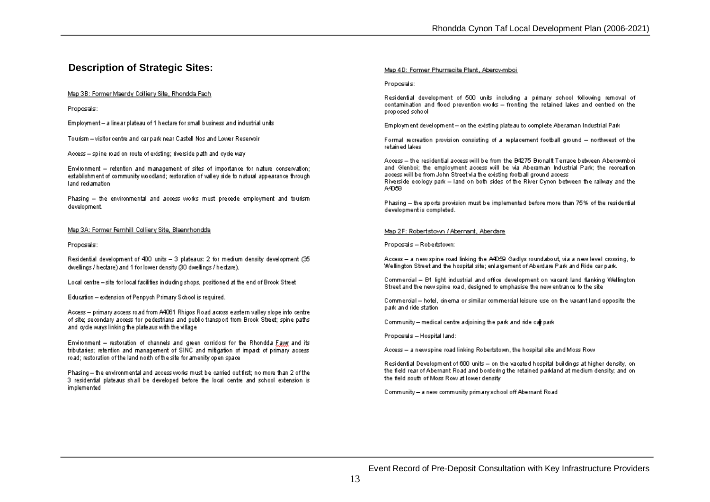### **Description of Strategic Sites:**

#### Map 3B: Former Maerdy Colliery Site, Rhondda Fach

Proposals:

Employment - a line ar plateau of 1 hectare for small business and industrial units

Tourism - visitor centre and car park near Castell Nos and Lower Reservoir

Access - spine road on route of existing; riverside path and cycle way

Environment - retention and management of sites of importance for nature conservation: establishment of community woodland; restoration of valley side to natural appearance through land reclamation

Phasing - the environmental and access works must precede employment and tourism development.

#### Map 3A: Former Fernhill Colliery Site, Blaenrhondda

Proposals:

Residential development of 400 units - 3 plateaus: 2 for medium density development (35 dwellings / hectare) and 1 for lower density (30 dwellings / hectare).

Local centre - site for local facilities including shops, positioned at the end of Brook Street

Education - extension of Penpych Primary School is required.

Access - primary access road from A4061 Rhigos Road across eastern valley slope into centre of site: secondary access for pedestrians and public transport from Brook Street; spine paths and loyde ways linking the plateaus with the village

Environment - restoration of channels and green corridors for the Rhondda Fawr and its tributaries; retention and management of SINC and mitigation of impact of primary access road; restoration of the land north of the site for amenity open space

Phasing - the environmental and access works must be carried out first; no more than 2 of the 3 residential plateaus shall be developed before the local centre and school extension is implemented

#### Map 4D: Former Phurnacite Plant, Aberowmboi

#### Proposals:

Residential development of 500 units including a primary school following removal of contamination and flood prevention works - fronting the retained lakes and centred on the proposed school

Employment development- on the existing plateau to complete Aberaman Industrial Park

Formal recreation provision consisting of a replacement football ground - northwest of the retained lakes

Access - the residential access will be from the B4275 Bronallt Terrace between Abercomboi and Glenboi; the employment access will be via Aberaman Industrial Park; the recreation access will be from John Street via the existing football ground access Riverside ecology park - land on both sides of the River Cynon between the railway and the A4059

Phasing - the sports provision must be implemented before more than 75% of the residential development is completed.

#### Map 2F: Robertstown / Abernant, Aberdare

Proposals - Robertstown:

Access - a new spine road linking the A4059 Gadlys roundabout, via a new level crossing, to Wellington Street and the hospital site; enlargement of Aberdare Park and Ride car park.

Commercial - B1 light industrial and office development on vacant land flanking Wellington Street and the new spine road, designed to emphasise the new entrance to the site

Commercial - hotel, cinema or similar commercial leisure use on the vacant land opposite the park and ride station

Community - medical centre adjoining the park and ride car park

Proposals - Hospital land:

Access - a newspine road linking Robertstown, the hospital site and Moss Row

Residential Development of 600 units - on the vacated hospital buildings at higher density, on the field rear of Abernant Road and bordering the retained parkland at medium density; and on the field south of Moss Row at lower density

Community - a new community primary school off Abernant Road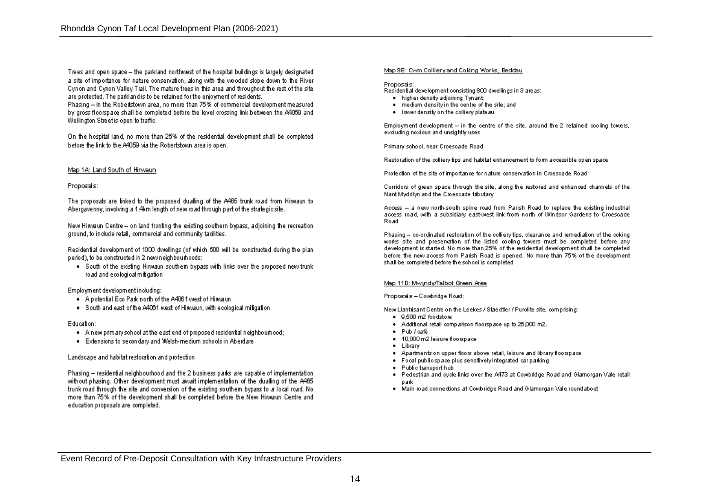Trees and open space - the parkland northwest of the hospital buildings is largely designated a site of importance for nature conservation, along with the wooded slope down to the River Cynon and Cynon Valley Trail. The mature trees in this area and throughout the rest of the site are protected. The parkland is to be retained for the enjoyment of residents. Phasing - in the Robertstown area, no more than 75% of commercial development measured by gross floorspace shall be completed before the level crossing link between the A4059 and

On the hospital land, no more than 25% of the residential development shall be completed before the link to the A4059 via the Robertstown area is open.

#### Map 1A: Land South of Hirwaun

Wellington Street is open to traffic.

#### Proposals:

The proposals are linked to the proposed dualling of the A465 trunk road from Hirwaun to Abergavenny, involving a 1.4km length of new road through part of the strategic site.

New Hirwaun Centre - on land fronting the existing southern bypass, adjoining the recreation ground, to include retail, commercial and community facilities.

Residential development of 1000 dwellings (of which 500 will be constructed during the plan period), to be constructed in 2 new neighbourhoods:

. South of the existing Hirwaun southern bypass with links over the proposed new trunk road and ecological mitigation.

Employment development including:

- . A potential Eco Park north of the A4061 west of Hirwaun
- . South and east of the A4061 west of Hirwaun, with ecological mitigation

#### Education:

- . A new primary school at the east end of proposed residential neighbourhood;
- . Extensions to secondary and Welsh-medium schools in Aberdare

#### Landscape and habitat restoration and protection

Phasing - residential neighbourhood and the 2 business parks are capable of implementation without phasing. Other development must await implementation of the dualling of the A465 trunk road through the site and conversion of the existing southern bypass to a local road. No more than 75% of the development shall be completed before the New Hirwaun Centre and education proposals are completed.

#### Map 9E: Cwm Collierv and Colding Works, Beddau

#### Proposals:

Residential development consisting 800 dwellings in 3 areas:

- . higher density adjoining Tynant
- . medium density in the centre of the site; and
- . I ower density on the colliery plateau

Employment development - in the centre of the site, around the 2 retained cooling towers, excluding noxious and unsightly uses

Primary school, near Croescade Road

Restoration of the colliery tips and habitat enhancement to form accessible open space

Protection of the site of importance for nature conservation in Croescade Road

Corridors of green space through the site, along the restored and enhanced channels of the Nant Myddlyn and the Croescade tributary

Access - a new north-south spine road from Parish Road to replace the existing industrial access road, with a subsidiary east-west link from north of Windsor Gardens to Croescade Road

Phasing - co-ordinated restoration of the colliery tips, clearance and remediation of the coking works site and preservation of the listed cooling towers must be completed before any development is started. No more than 25% of the residential development shall be completed before the new access from Parish Road is opened. No more than 75% of the development shall be completed before the school is completed

#### Map 11D: Mwyndy/Talbot Green Area

#### Proposals - Combridge Road:

New Llantrisant Centre on the Leekes / Staedtler / Purolite site, comprising:

- $\bullet$  9.500 m2 foodstore
- . Additional retail comparison floorspace up to 25,000 m2.
- · Pub / café
- . 10,000 m2 leisure floorspace
- · Library
- . Apartments on upper floors above retail, leisure and library floorspace
- . Focal public space plus sensitively integrated carparking
- · Public transport hub
- . Pedestrian and cycle links over the A473 at Cowbridge Road and Glamorgan Vale retail park
- . Main road connections at Combridge Road and Glamorgan Vale roundabout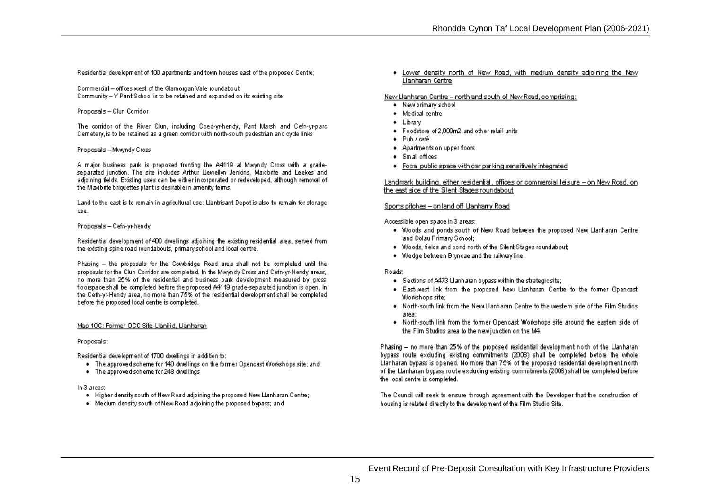Residential development of 100 apartments and town houses east of the proposed Centre:

Commercial - offices west of the Glamorgan Vale roundabout Community -- Y Pant School is to be retained and expanded on its existing site

Proposals - Clun Corridor

The corridor of the River Clun, including Coed-vr-hendy, Pant Marsh and Cefn-vr-parc Cemetery, is to be retained as a green corridor with north-south pedestrian and ovde links

#### Proposals - Mwyndy Cross

A major business park is proposed fronting the A4119 at Mwyndy Cross with a gradeseparated junction. The site includes Arthur Llewellyn Jenkins, Maxibiite and Leekes and adjoining fields. Existing uses can be either incorporated or redeveloped, although removal of the Maxibite briquettes plant is desirable in amenity terms.

Land to the east is to remain in agricultural use: Llantrisant Depot is also to remain for storage **USA** 

#### Proposals - Cefn-vr-hendv

Residential development of 400 dwellings adjoining the existing residential area, served from the existing spine road roundabouts, primary school and local centre.

Phasing - the proposals for the Cowbridge Road area shall not be completed until the proposals for the Clun Corridor are completed. In the Mwwndy Cross and Cefn-yr-Hendy areas, no more than 25% of the residential and business park development measured by gross floorspace shall be completed before the proposed A4119 grade-separated junction is open. In the Cefn-yr-Hendy area, no more than 75% of the residential development shall be completed before the proposed local centre is completed.

#### Map 10C: Former OCC Site Llanilid, Llanharan

Proposals:

Residential development of 1700 dwellings in addition to:

- . The approved scheme for 140 dwellings on the former Opencast Workshops site; and
- . The approved scheme for 248 dwellings

In 3 areas:

- . Higher density south of New Road adjoining the proposed New Llanharan Centre;
- . Medium density south of New Road adjoining the proposed bypass; and

. Lower density north of New Road, with medium density adioining the New Llanharan Centre

#### New Llanharan Centre - north and south of New Road, comprising:

- . New primary school
- · Medical centre
- · Library
- Foodstore of 2,000m2 and other retail units
- $\bullet$  Pub / café
- . Apartments on upper floors
- · Small offices
- . Food public space with car parking sensitively integrated

#### Landmark building, either residential, offices or commercial leisure - on New Road, on the east side of the Silent Stages roundabout

#### Sports pitches - on land off Uanharry Road

Accessible open space in 3 areas:

- . Woods and ponds south of New Road between the proposed New Llanharan Centre and Dolau Primary School:
- . Woods, fields and pond north of the Silent Stages roundabout;
- . Wedge between Brynicae and the railway line.

#### Roads:

- . Sections of A473 Llanharan bypass within the strategic site;
- . East-west link from the proposed New Llanharan Centre to the former Opencast Workshops site:
- . North-south link from the New Hanharan Centre to the western side of the Film Studios area:
- . North-south link from the former Opencast Workshops site around the eastern side of the Film Studios area to the new junction on the M4.

Phasing - no more than 25% of the proposed residential development north of the Llanharan bypass route excluding existing commitments (2008) shall be completed before the whole Llanharan bypass is opened. No more than 75% of the proposed residential development north of the Llanharan bypass route excluding existing commitments (2008) shall be completed before the local centre is completed.

The Council will seek to ensure through agreement with the Developer that the construction of housing is related directly to the development of the Film Studio Site.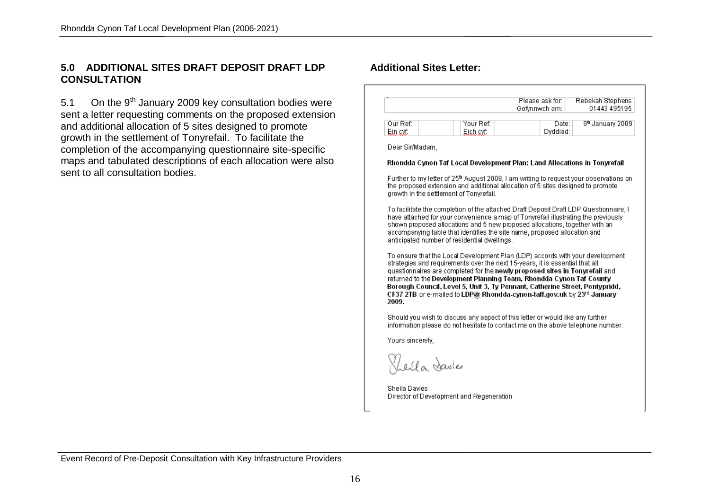### **5.0 ADDITIONAL SITES DRAFT DEPOSIT DRAFT LDP CONSULTATION**

5.1 On the  $9<sup>th</sup>$  January 2009 key consultation bodies were sent a letter requesting comments on the proposed extension and additional allocation of 5 sites designed to promote growth in the settlement of Tonyrefail. To facilitate the completion of the accompanying questionnaire site-specific maps and tabulated descriptions of each allocation were also sent to all consultation bodies.

### **Additional Sites Letter:**

|          |             | Please ask for:<br>Gofynnwch am: | Rebekah Stephens<br>01443 4951 95 |
|----------|-------------|----------------------------------|-----------------------------------|
| Our Ref: | Your Ref: I | Date:                            | 9ª January 2009                   |
| Ein avf  | Eich cyf.   | Dvddiad:                         |                                   |

Dear Sir/Madam

#### Rhondda Cynon Taf Local Development Plan: Land Allocations in Tonyrefail

Further to my letter of 25<sup>th</sup> August 2008. I am writing to request your observations on the proposed extension and additional allocation of 5 sites designed to promote growth in the settlement of Tonvrefail.

To facilitate the completion of the attached Draft Deposit Draft LDP Questionnaire. I have attached for your convenience a map of Tonyrefail illustrating the previously shown proposed allocations and 5 new proposed allocations, together with an accompanying table that identifies the site name, proposed allocation and anticipated number of residential dwellings.

To ensure that the Local Development Plan (LDP) accords with your development strategies and requirements over the next 15-years, it is essential that all questionnaires are completed for the newly proposed sites in Tonyrefail and returned to the Development Planning Team. Rhondda Cynon Taf County Borough Council, Level 5, Unit 3, Tv Pennant, Catherine Street, Pontypridd, CF37 2TB or e-mailed to LDP@ Rhondda-cynon-taff.gov.uk by 23rd January 2009.

Should you wish to discuss any aspect of this letter or would like any further information please do not hesitate to contact me on the above telephone number.

Yours sincerely,

I a davies

Sheila Davies Director of Development and Regeneration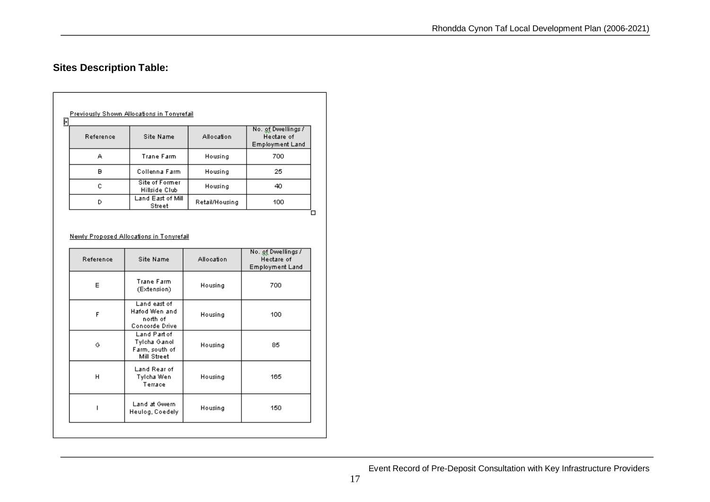# **Sites Description Table:**

| į+ | Previously Shown Allocations in Tonyrefail |                                        |                |                                                            |  |  |
|----|--------------------------------------------|----------------------------------------|----------------|------------------------------------------------------------|--|--|
|    | Reference                                  | Site Name                              | Allocation     | No. of Dwellings /<br>Hectare of<br><b>Employment Land</b> |  |  |
|    | А                                          | Trane Farm                             | Housing        | 700                                                        |  |  |
|    | в                                          | Collenna Farm                          | Housing        | 25                                                         |  |  |
|    | c                                          | <b>Site of Former</b><br>Hillside Club | Housing        | 40                                                         |  |  |
|    | D                                          | Land East of Mill<br>Street            | Retail/Housing | 100                                                        |  |  |

#### Newly Proposed Allocations in Tonyrefail

| Reference | Site Name                                                     | Allocation | No. <u>of</u> Dwellings /<br>Hectare of<br><b>Employment Land</b> |
|-----------|---------------------------------------------------------------|------------|-------------------------------------------------------------------|
| Е         | Trane Farm<br>(Extension)                                     | Housing    | 700                                                               |
| F         | Land east of<br>Hafod Wen and<br>north of<br>Concorde Drive   | Housing    | 100                                                               |
| G         | Land Part of<br>Tylcha Ganol<br>Farm, south of<br>Mill Street | Housing    | 85                                                                |
| н         | Land Rear of<br>Tylcha Wen<br>Terrace                         | Housing    | 165                                                               |
|           | Land at Gwern<br>Heulog, Coedely                              | Housing    | 150                                                               |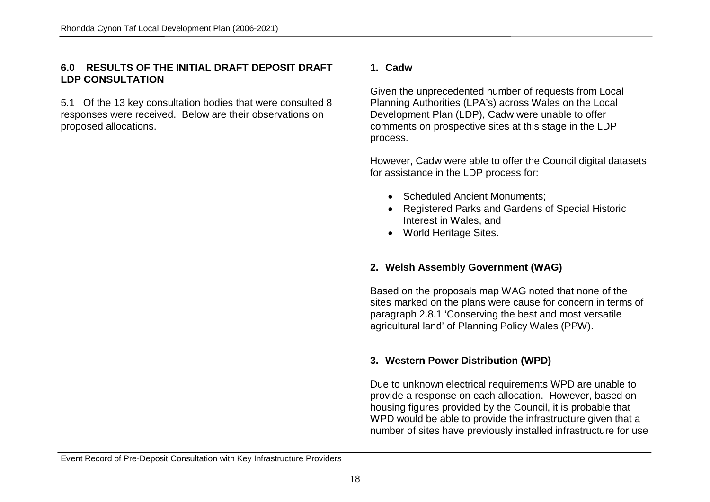### **6.0 RESULTS OF THE INITIAL DRAFT DEPOSIT DRAFT LDP CONSULTATION**

5.1 Of the 13 key consultation bodies that were consulted 8 responses were received. Below are their observations on proposed allocations.

### **1. Cadw**

Given the unprecedented number of requests from Local Planning Authorities (LPA's) across Wales on the Local Development Plan (LDP), Cadw were unable to offer comments on prospective sites at this stage in the LDP process.

However, Cadw were able to offer the Council digital datasets for assistance in the LDP process for:

- Scheduled Ancient Monuments;
- Registered Parks and Gardens of Special Historic Interest in Wales, and
- World Heritage Sites.

### **2. Welsh Assembly Government (WAG)**

Based on the proposals map WAG noted that none of the sites marked on the plans were cause for concern in terms of paragraph 2.8.1 'Conserving the best and most versatile agricultural land' of Planning Policy Wales (PPW).

### **3. Western Power Distribution (WPD)**

Due to unknown electrical requirements WPD are unable to provide a response on each allocation. However, based on housing figures provided by the Council, it is probable that WPD would be able to provide the infrastructure given that a number of sites have previously installed infrastructure for use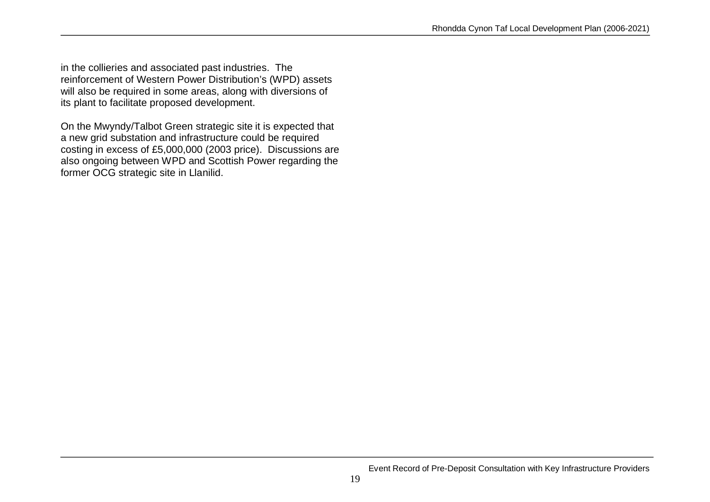in the collieries and associated past industries. The reinforcement of Western Power Distribution's (WPD) assets will also be required in some areas, along with diversions of its plant to facilitate proposed development.

On the Mwyndy/Talbot Green strategic site it is expected that a new grid substation and infrastructure could be required costing in excess of £5,000,000 (2003 price). Discussions are also ongoing between WPD and Scottish Power regarding the former OCG strategic site in Llanilid.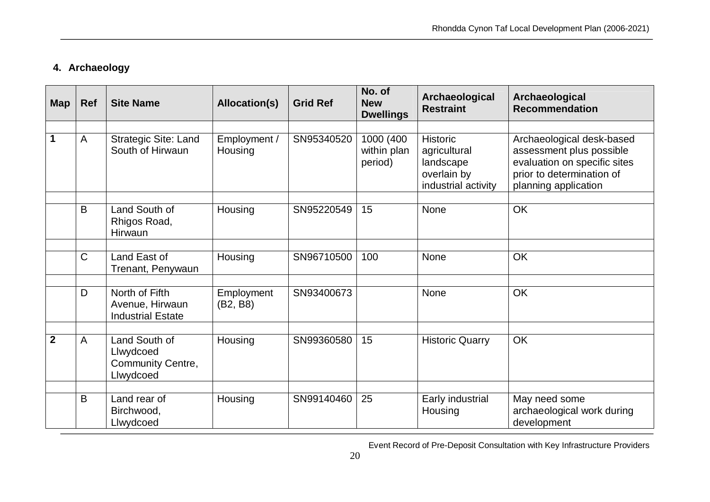# **4. Archaeology**

| <b>Map</b>     | <b>Ref</b>     | <b>Site Name</b>                                                    | <b>Allocation(s)</b>   | <b>Grid Ref</b> | No. of<br><b>New</b><br><b>Dwellings</b> | Archaeological<br><b>Restraint</b>                              | Archaeological<br><b>Recommendation</b>                                                                       |
|----------------|----------------|---------------------------------------------------------------------|------------------------|-----------------|------------------------------------------|-----------------------------------------------------------------|---------------------------------------------------------------------------------------------------------------|
| 1              | A              | <b>Strategic Site: Land</b>                                         | Employment /           | SN95340520      | 1000 (400                                | <b>Historic</b>                                                 | Archaeological desk-based                                                                                     |
|                |                | South of Hirwaun                                                    | Housing                |                 | within plan<br>period)                   | agricultural<br>landscape<br>overlain by<br>industrial activity | assessment plus possible<br>evaluation on specific sites<br>prior to determination of<br>planning application |
|                |                |                                                                     |                        |                 |                                          |                                                                 |                                                                                                               |
|                | B              | Land South of<br>Rhigos Road,<br>Hirwaun                            | Housing                | SN95220549      | 15                                       | None                                                            | OK                                                                                                            |
|                |                |                                                                     |                        |                 |                                          |                                                                 |                                                                                                               |
|                | C              | Land East of<br>Trenant, Penywaun                                   | Housing                | SN96710500      | 100                                      | <b>None</b>                                                     | OK                                                                                                            |
|                |                |                                                                     |                        |                 |                                          |                                                                 |                                                                                                               |
|                | D              | North of Fifth<br>Avenue, Hirwaun<br><b>Industrial Estate</b>       | Employment<br>(B2, B8) | SN93400673      |                                          | <b>None</b>                                                     | OK                                                                                                            |
|                |                |                                                                     |                        |                 |                                          |                                                                 |                                                                                                               |
| $\overline{2}$ | $\overline{A}$ | Land South of<br>Llwydcoed<br><b>Community Centre,</b><br>Llwydcoed | Housing                | SN99360580      | 15                                       | <b>Historic Quarry</b>                                          | OK                                                                                                            |
|                |                |                                                                     |                        |                 |                                          |                                                                 |                                                                                                               |
|                | B              | Land rear of<br>Birchwood,<br>Llwydcoed                             | Housing                | SN99140460      | 25                                       | Early industrial<br>Housing                                     | May need some<br>archaeological work during<br>development                                                    |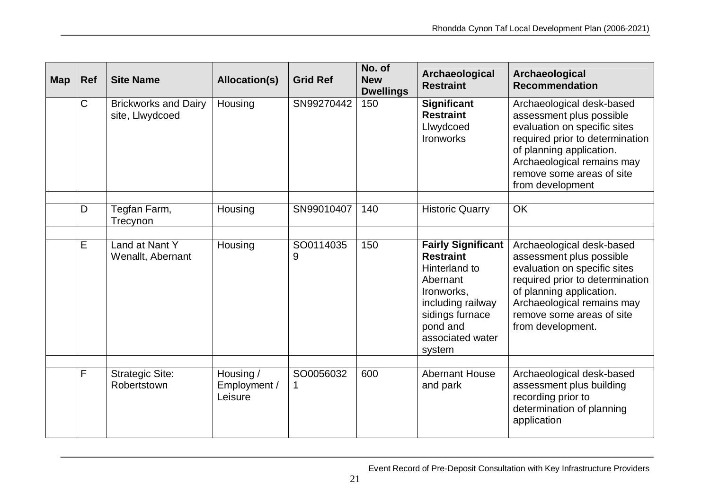| <b>Map</b> | <b>Ref</b>   | <b>Site Name</b>                               | <b>Allocation(s)</b>                 | <b>Grid Ref</b> | No. of<br><b>New</b><br><b>Dwellings</b> | Archaeological<br><b>Restraint</b>                                                                                                                                         | Archaeological<br><b>Recommendation</b>                                                                                                                                                                                              |
|------------|--------------|------------------------------------------------|--------------------------------------|-----------------|------------------------------------------|----------------------------------------------------------------------------------------------------------------------------------------------------------------------------|--------------------------------------------------------------------------------------------------------------------------------------------------------------------------------------------------------------------------------------|
|            | $\mathsf{C}$ | <b>Brickworks and Dairy</b><br>site, Llwydcoed | Housing                              | SN99270442      | 150                                      | <b>Significant</b><br><b>Restraint</b><br>Llwydcoed<br>Ironworks                                                                                                           | Archaeological desk-based<br>assessment plus possible<br>evaluation on specific sites<br>required prior to determination<br>of planning application.<br>Archaeological remains may<br>remove some areas of site<br>from development  |
|            | D            | Tegfan Farm,<br>Trecynon                       | Housing                              | SN99010407      | 140                                      | <b>Historic Quarry</b>                                                                                                                                                     | OK                                                                                                                                                                                                                                   |
|            | E            | Land at Nant Y<br>Wenallt, Abernant            | Housing                              | SO0114035<br>9  | 150                                      | <b>Fairly Significant</b><br><b>Restraint</b><br>Hinterland to<br>Abernant<br>Ironworks.<br>including railway<br>sidings furnace<br>pond and<br>associated water<br>system | Archaeological desk-based<br>assessment plus possible<br>evaluation on specific sites<br>required prior to determination<br>of planning application.<br>Archaeological remains may<br>remove some areas of site<br>from development. |
|            | F            | <b>Strategic Site:</b><br>Robertstown          | Housing /<br>Employment /<br>Leisure | SO0056032<br>1  | 600                                      | <b>Abernant House</b><br>and park                                                                                                                                          | Archaeological desk-based<br>assessment plus building<br>recording prior to<br>determination of planning<br>application                                                                                                              |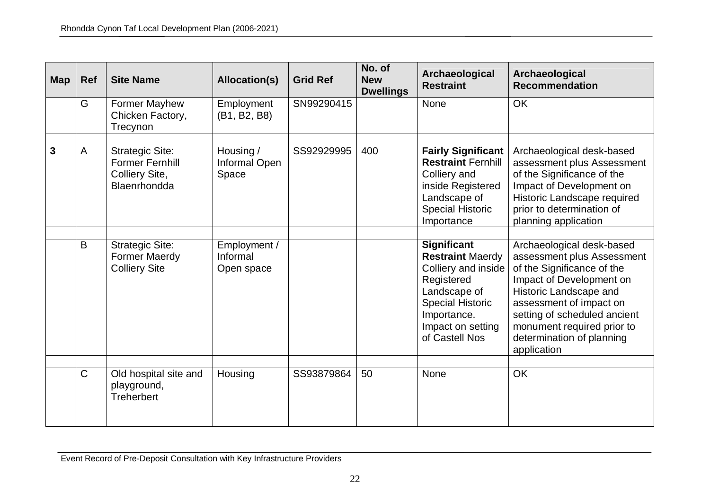| <b>Map</b> | <b>Ref</b> | <b>Site Name</b>                                                                   | Allocation(s)                          | <b>Grid Ref</b> | No. of<br><b>New</b><br><b>Dwellings</b> | Archaeological<br><b>Restraint</b>                                                                                                                                                  | Archaeological<br><b>Recommendation</b>                                                                                                                                                                                                                                          |
|------------|------------|------------------------------------------------------------------------------------|----------------------------------------|-----------------|------------------------------------------|-------------------------------------------------------------------------------------------------------------------------------------------------------------------------------------|----------------------------------------------------------------------------------------------------------------------------------------------------------------------------------------------------------------------------------------------------------------------------------|
|            | G          | Former Mayhew<br>Chicken Factory,<br>Trecynon                                      | Employment<br>(B1, B2, B8)             | SN99290415      |                                          | None                                                                                                                                                                                | OK                                                                                                                                                                                                                                                                               |
| 3          | A          | <b>Strategic Site:</b><br><b>Former Fernhill</b><br>Colliery Site,<br>Blaenrhondda | Housing /<br>Informal Open<br>Space    | SS92929995      | 400                                      | <b>Fairly Significant</b><br><b>Restraint Fernhill</b><br>Colliery and<br>inside Registered<br>Landscape of<br><b>Special Historic</b><br>Importance                                | Archaeological desk-based<br>assessment plus Assessment<br>of the Significance of the<br>Impact of Development on<br>Historic Landscape required<br>prior to determination of<br>planning application                                                                            |
|            | B          | <b>Strategic Site:</b><br><b>Former Maerdy</b><br><b>Colliery Site</b>             | Employment /<br>Informal<br>Open space |                 |                                          | <b>Significant</b><br><b>Restraint Maerdy</b><br>Colliery and inside<br>Registered<br>Landscape of<br><b>Special Historic</b><br>Importance.<br>Impact on setting<br>of Castell Nos | Archaeological desk-based<br>assessment plus Assessment<br>of the Significance of the<br>Impact of Development on<br>Historic Landscape and<br>assessment of impact on<br>setting of scheduled ancient<br>monument required prior to<br>determination of planning<br>application |
|            | C          | Old hospital site and<br>playground,<br><b>Treherbert</b>                          | Housing                                | SS93879864      | 50                                       | <b>None</b>                                                                                                                                                                         | OK                                                                                                                                                                                                                                                                               |

Event Record of Pre-Deposit Consultation with Key Infrastructure Providers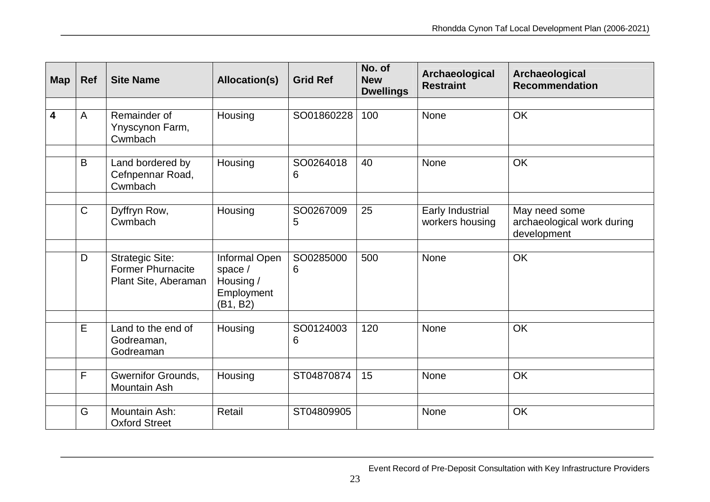| <b>Map</b> | <b>Ref</b> | <b>Site Name</b>                                                           | <b>Allocation(s)</b>                                            | <b>Grid Ref</b>             | No. of<br><b>New</b><br><b>Dwellings</b> | Archaeological<br><b>Restraint</b>  | Archaeological<br><b>Recommendation</b>                    |
|------------|------------|----------------------------------------------------------------------------|-----------------------------------------------------------------|-----------------------------|------------------------------------------|-------------------------------------|------------------------------------------------------------|
|            |            |                                                                            |                                                                 |                             |                                          |                                     |                                                            |
| 4          | A          | Remainder of<br>Ynyscynon Farm,<br>Cwmbach                                 | Housing                                                         | SO01860228                  | 100                                      | None                                | OK                                                         |
|            |            |                                                                            |                                                                 |                             |                                          |                                     |                                                            |
|            | B          | Land bordered by<br>Cefnpennar Road,<br>Cwmbach                            | Housing                                                         | SO0264018<br>6              | 40                                       | <b>None</b>                         | <b>OK</b>                                                  |
|            |            |                                                                            |                                                                 |                             |                                          |                                     |                                                            |
|            | C          | Dyffryn Row,<br>Cwmbach                                                    | Housing                                                         | SO0267009<br>$\overline{5}$ | 25                                       | Early Industrial<br>workers housing | May need some<br>archaeological work during<br>development |
|            |            |                                                                            |                                                                 |                             |                                          |                                     |                                                            |
|            | D          | <b>Strategic Site:</b><br><b>Former Phurnacite</b><br>Plant Site, Aberaman | Informal Open<br>space /<br>Housing /<br>Employment<br>(B1, B2) | SO0285000<br>6              | 500                                      | <b>None</b>                         | OK                                                         |
|            |            |                                                                            |                                                                 |                             |                                          |                                     |                                                            |
|            | E          | Land to the end of<br>Godreaman,<br>Godreaman                              | Housing                                                         | SO0124003<br>6              | 120                                      | <b>None</b>                         | OK                                                         |
|            |            |                                                                            |                                                                 |                             |                                          |                                     |                                                            |
|            | F          | <b>Gwernifor Grounds,</b><br>Mountain Ash                                  | Housing                                                         | ST04870874                  | 15                                       | None                                | OK                                                         |
|            |            |                                                                            |                                                                 |                             |                                          |                                     |                                                            |
|            | G          | Mountain Ash:<br><b>Oxford Street</b>                                      | Retail                                                          | ST04809905                  |                                          | <b>None</b>                         | OK                                                         |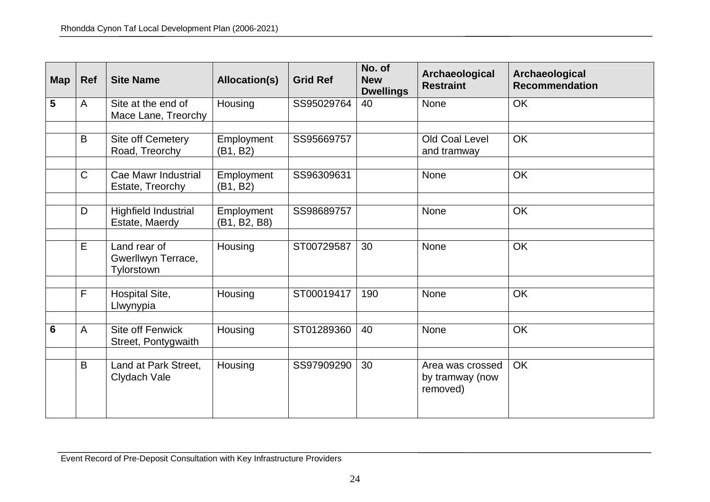| <b>Map</b>      | <b>Ref</b>     | <b>Site Name</b>                                 | Allocation(s)              | <b>Grid Ref</b> | No. of<br><b>New</b><br><b>Dwellings</b> | Archaeological<br><b>Restraint</b>              | Archaeological<br><b>Recommendation</b> |
|-----------------|----------------|--------------------------------------------------|----------------------------|-----------------|------------------------------------------|-------------------------------------------------|-----------------------------------------|
| 5               | A              | Site at the end of<br>Mace Lane, Treorchy        | Housing                    | SS95029764      | 40                                       | None                                            | OK                                      |
|                 | B              | Site off Cemetery<br>Road, Treorchy              | Employment<br>(B1, B2)     | SS95669757      |                                          | Old Coal Level<br>and tramway                   | <b>OK</b>                               |
|                 | $\overline{C}$ | Cae Mawr Industrial<br>Estate, Treorchy          | Employment<br>(B1, B2)     | SS96309631      |                                          | None                                            | OK                                      |
|                 | D              | Highfield Industrial<br>Estate, Maerdy           | Employment<br>(B1, B2, B8) | SS98689757      |                                          | <b>None</b>                                     | OK                                      |
|                 | E              | Land rear of<br>Gwerllwyn Terrace,<br>Tylorstown | Housing                    | ST00729587      | 30                                       | None                                            | OK                                      |
|                 | F              | Hospital Site,<br>Llwynypia                      | Housing                    | ST00019417      | 190                                      | <b>None</b>                                     | <b>OK</b>                               |
| $6\phantom{1}6$ | A              | Site off Fenwick<br>Street, Pontygwaith          | Housing                    | ST01289360      | 40                                       | <b>None</b>                                     | OK                                      |
|                 | B              | Land at Park Street,<br>Clydach Vale             | Housing                    | SS97909290      | 30                                       | Area was crossed<br>by tramway (now<br>removed) | OK                                      |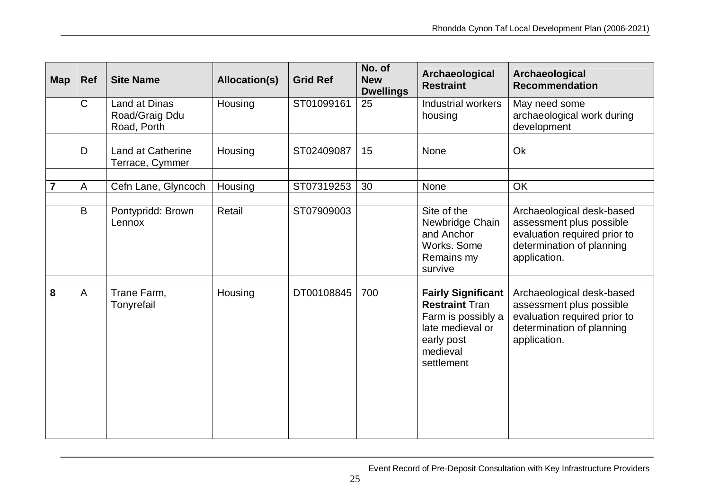| <b>Map</b> | <b>Ref</b>   | <b>Site Name</b>                                      | <b>Allocation(s)</b> | <b>Grid Ref</b> | No. of<br><b>New</b><br><b>Dwellings</b> | Archaeological<br><b>Restraint</b>                                                                                                   | Archaeological<br><b>Recommendation</b>                                                                                            |
|------------|--------------|-------------------------------------------------------|----------------------|-----------------|------------------------------------------|--------------------------------------------------------------------------------------------------------------------------------------|------------------------------------------------------------------------------------------------------------------------------------|
|            | $\mathsf{C}$ | <b>Land at Dinas</b><br>Road/Graig Ddu<br>Road, Porth | Housing              | ST01099161      | 25                                       | <b>Industrial workers</b><br>housing                                                                                                 | May need some<br>archaeological work during<br>development                                                                         |
|            |              |                                                       |                      |                 |                                          |                                                                                                                                      |                                                                                                                                    |
|            | D            | Land at Catherine<br>Terrace, Cymmer                  | Housing              | ST02409087      | 15                                       | None                                                                                                                                 | Ok                                                                                                                                 |
|            |              |                                                       |                      |                 |                                          |                                                                                                                                      |                                                                                                                                    |
| 7          | A            | Cefn Lane, Glyncoch                                   | Housing              | ST07319253      | 30                                       | None                                                                                                                                 | OK                                                                                                                                 |
|            | B            | Pontypridd: Brown<br>Lennox                           | Retail               | ST07909003      |                                          | Site of the<br>Newbridge Chain<br>and Anchor<br>Works. Some<br>Remains my<br>survive                                                 | Archaeological desk-based<br>assessment plus possible<br>evaluation required prior to<br>determination of planning<br>application. |
|            |              |                                                       |                      |                 |                                          |                                                                                                                                      |                                                                                                                                    |
| 8          | A            | Trane Farm,<br>Tonyrefail                             | Housing              | DT00108845      | 700                                      | <b>Fairly Significant</b><br><b>Restraint Tran</b><br>Farm is possibly a<br>late medieval or<br>early post<br>medieval<br>settlement | Archaeological desk-based<br>assessment plus possible<br>evaluation required prior to<br>determination of planning<br>application. |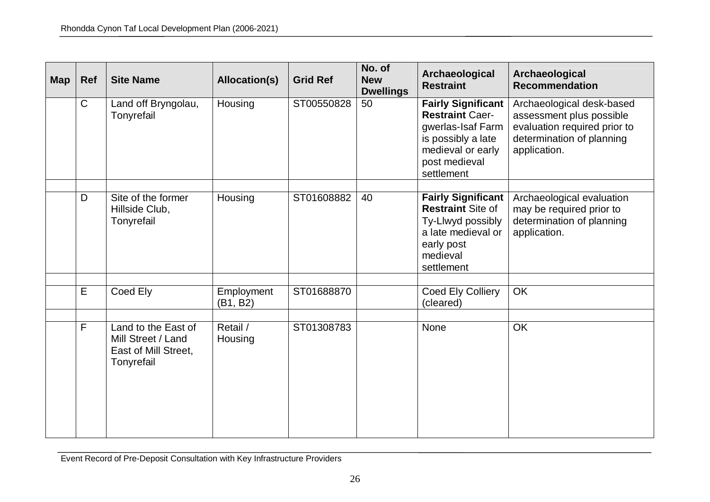| <b>Map</b> | Ref          | <b>Site Name</b>                                                                | Allocation(s)          | <b>Grid Ref</b> | No. of<br><b>New</b><br><b>Dwellings</b> | Archaeological<br><b>Restraint</b>                                                                                                                 | Archaeological<br><b>Recommendation</b>                                                                                            |
|------------|--------------|---------------------------------------------------------------------------------|------------------------|-----------------|------------------------------------------|----------------------------------------------------------------------------------------------------------------------------------------------------|------------------------------------------------------------------------------------------------------------------------------------|
|            | $\mathsf{C}$ | Land off Bryngolau,<br>Tonyrefail                                               | Housing                | ST00550828      | 50                                       | <b>Fairly Significant</b><br><b>Restraint Caer-</b><br>gwerlas-Isaf Farm<br>is possibly a late<br>medieval or early<br>post medieval<br>settlement | Archaeological desk-based<br>assessment plus possible<br>evaluation required prior to<br>determination of planning<br>application. |
|            | D            | Site of the former<br>Hillside Club,<br>Tonyrefail                              | Housing                | ST01608882      | 40                                       | <b>Fairly Significant</b><br><b>Restraint Site of</b><br>Ty-Llwyd possibly<br>a late medieval or<br>early post<br>medieval<br>settlement           | Archaeological evaluation<br>may be required prior to<br>determination of planning<br>application.                                 |
|            | E            | Coed Ely                                                                        | Employment<br>(B1, B2) | ST01688870      |                                          | Coed Ely Colliery<br>(cleared)                                                                                                                     | OK                                                                                                                                 |
|            | $\mathsf{F}$ | Land to the East of<br>Mill Street / Land<br>East of Mill Street,<br>Tonyrefail | Retail /<br>Housing    | ST01308783      |                                          | None                                                                                                                                               | <b>OK</b>                                                                                                                          |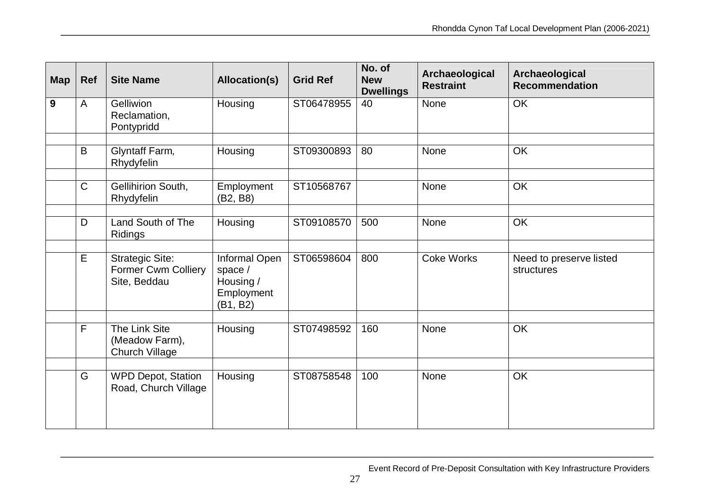| <b>Map</b> | <b>Ref</b>   | <b>Site Name</b>                                                     | <b>Allocation(s)</b>                                            | <b>Grid Ref</b> | No. of<br><b>New</b><br><b>Dwellings</b> | Archaeological<br><b>Restraint</b> | Archaeological<br><b>Recommendation</b> |
|------------|--------------|----------------------------------------------------------------------|-----------------------------------------------------------------|-----------------|------------------------------------------|------------------------------------|-----------------------------------------|
| 9          | $\mathsf{A}$ | Gelliwion<br>Reclamation,<br>Pontypridd                              | Housing                                                         | ST06478955      | 40                                       | None                               | OK                                      |
|            | B            | Glyntaff Farm,<br>Rhydyfelin                                         | Housing                                                         | ST09300893      | 80                                       | None                               | <b>OK</b>                               |
|            | $\mathsf{C}$ | Gellihirion South,<br>Rhydyfelin                                     | Employment<br>(B2, B8)                                          | ST10568767      |                                          | None                               | OK                                      |
|            | D            | Land South of The<br>Ridings                                         | Housing                                                         | ST09108570      | 500                                      | None                               | OK                                      |
|            | E            | <b>Strategic Site:</b><br><b>Former Cwm Colliery</b><br>Site, Beddau | Informal Open<br>space /<br>Housing /<br>Employment<br>(B1, B2) | ST06598604      | 800                                      | <b>Coke Works</b>                  | Need to preserve listed<br>structures   |
|            | F            | The Link Site<br>(Meadow Farm),<br><b>Church Village</b>             | Housing                                                         | ST07498592      | 160                                      | None                               | <b>OK</b>                               |
|            | G            | <b>WPD Depot, Station</b><br>Road, Church Village                    | Housing                                                         | ST08758548      | 100                                      | <b>None</b>                        | <b>OK</b>                               |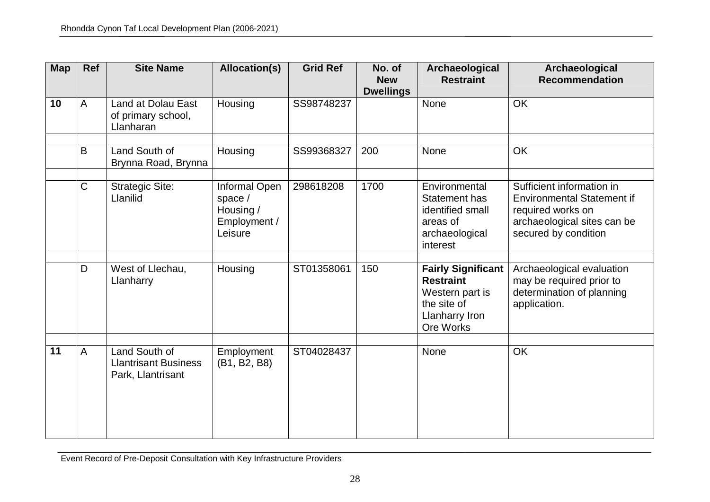| <b>Map</b> | Ref            | <b>Site Name</b>                                                  | <b>Allocation(s)</b>                                             | <b>Grid Ref</b> | No. of<br><b>New</b><br><b>Dwellings</b> | Archaeological<br><b>Restraint</b>                                                                                    | Archaeological<br><b>Recommendation</b>                                                                                                    |
|------------|----------------|-------------------------------------------------------------------|------------------------------------------------------------------|-----------------|------------------------------------------|-----------------------------------------------------------------------------------------------------------------------|--------------------------------------------------------------------------------------------------------------------------------------------|
| 10         | $\overline{A}$ | <b>Land at Dolau East</b><br>of primary school,<br>Llanharan      | Housing                                                          | SS98748237      |                                          | None                                                                                                                  | OK                                                                                                                                         |
|            | B              | Land South of<br>Brynna Road, Brynna                              | Housing                                                          | SS99368327      | 200                                      | None                                                                                                                  | OK                                                                                                                                         |
|            | $\mathsf{C}$   | <b>Strategic Site:</b><br>Llanilid                                | Informal Open<br>space /<br>Housing /<br>Employment /<br>Leisure | 298618208       | 1700                                     | Environmental<br><b>Statement has</b><br>identified small<br>areas of<br>archaeological<br>interest                   | Sufficient information in<br><b>Environmental Statement if</b><br>required works on<br>archaeological sites can be<br>secured by condition |
|            | D              | West of Llechau,<br>Llanharry                                     | Housing                                                          | ST01358061      | 150                                      | <b>Fairly Significant</b><br><b>Restraint</b><br>Western part is<br>the site of<br><b>Llanharry Iron</b><br>Ore Works | Archaeological evaluation<br>may be required prior to<br>determination of planning<br>application.                                         |
| 11         | A              | Land South of<br><b>Llantrisant Business</b><br>Park, Llantrisant | Employment<br>(B1, B2, B8)                                       | ST04028437      |                                          | None                                                                                                                  | <b>OK</b>                                                                                                                                  |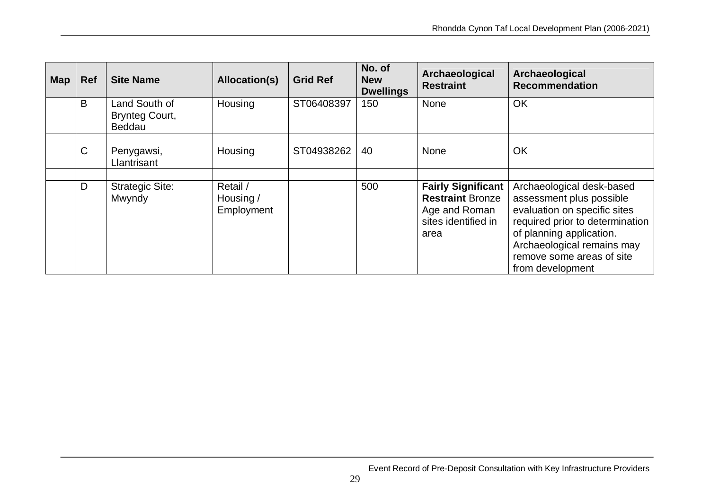| <b>Map</b> | <b>Ref</b>   | <b>Site Name</b>                                 | Allocation(s)                       | <b>Grid Ref</b> | No. of<br><b>New</b><br><b>Dwellings</b> | Archaeological<br><b>Restraint</b>                                                                   | Archaeological<br><b>Recommendation</b>                                                                                                                                                                                             |
|------------|--------------|--------------------------------------------------|-------------------------------------|-----------------|------------------------------------------|------------------------------------------------------------------------------------------------------|-------------------------------------------------------------------------------------------------------------------------------------------------------------------------------------------------------------------------------------|
|            | B            | Land South of<br><b>Brynteg Court,</b><br>Beddau | Housing                             | ST06408397      | 150                                      | <b>None</b>                                                                                          | OK                                                                                                                                                                                                                                  |
|            |              |                                                  |                                     |                 |                                          |                                                                                                      |                                                                                                                                                                                                                                     |
|            | $\mathsf{C}$ | Penygawsi,<br>Llantrisant                        | Housing                             | ST04938262      | 40                                       | <b>None</b>                                                                                          | OK                                                                                                                                                                                                                                  |
|            |              |                                                  |                                     |                 |                                          |                                                                                                      |                                                                                                                                                                                                                                     |
|            | D            | <b>Strategic Site:</b><br>Mwyndy                 | Retail /<br>Housing /<br>Employment |                 | 500                                      | <b>Fairly Significant</b><br><b>Restraint Bronze</b><br>Age and Roman<br>sites identified in<br>area | Archaeological desk-based<br>assessment plus possible<br>evaluation on specific sites<br>required prior to determination<br>of planning application.<br>Archaeological remains may<br>remove some areas of site<br>from development |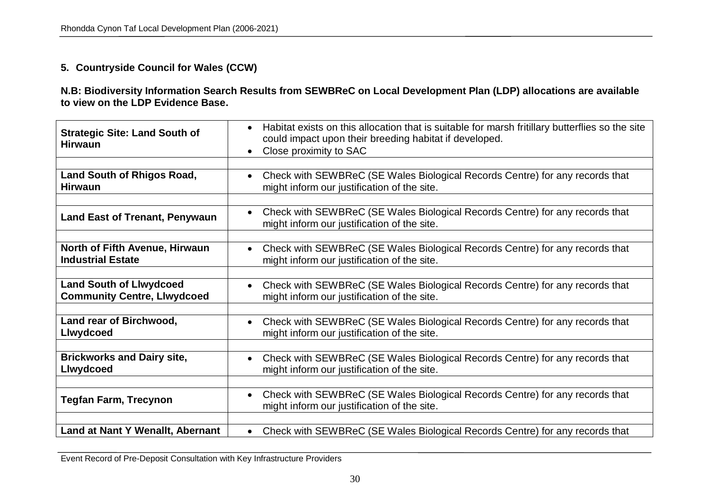### **5. Countryside Council for Wales (CCW)**

**N.B: Biodiversity Information Search Results from SEWBReC on Local Development Plan (LDP) allocations are available to view on the LDP Evidence Base.** 

| <b>Strategic Site: Land South of</b><br><b>Hirwaun</b> | Habitat exists on this allocation that is suitable for marsh fritillary butterflies so the site<br>$\bullet$<br>could impact upon their breeding habitat if developed.<br>Close proximity to SAC |
|--------------------------------------------------------|--------------------------------------------------------------------------------------------------------------------------------------------------------------------------------------------------|
| <b>Land South of Rhigos Road,</b>                      | Check with SEWBReC (SE Wales Biological Records Centre) for any records that                                                                                                                     |
| <b>Hirwaun</b>                                         | might inform our justification of the site.                                                                                                                                                      |
| <b>Land East of Trenant, Penywaun</b>                  | Check with SEWBReC (SE Wales Biological Records Centre) for any records that<br>might inform our justification of the site.                                                                      |
| <b>North of Fifth Avenue, Hirwaun</b>                  | Check with SEWBReC (SE Wales Biological Records Centre) for any records that                                                                                                                     |
| <b>Industrial Estate</b>                               | might inform our justification of the site.                                                                                                                                                      |
| <b>Land South of Llwydcoed</b>                         | Check with SEWBReC (SE Wales Biological Records Centre) for any records that                                                                                                                     |
| <b>Community Centre, Llwydcoed</b>                     | might inform our justification of the site.                                                                                                                                                      |
| Land rear of Birchwood,                                | Check with SEWBReC (SE Wales Biological Records Centre) for any records that                                                                                                                     |
| <b>Llwydcoed</b>                                       | might inform our justification of the site.                                                                                                                                                      |
| <b>Brickworks and Dairy site,</b>                      | Check with SEWBReC (SE Wales Biological Records Centre) for any records that                                                                                                                     |
| <b>Llwydcoed</b>                                       | might inform our justification of the site.                                                                                                                                                      |
| <b>Tegfan Farm, Trecynon</b>                           | Check with SEWBReC (SE Wales Biological Records Centre) for any records that<br>might inform our justification of the site.                                                                      |
| Land at Nant Y Wenallt, Abernant                       | Check with SEWBReC (SE Wales Biological Records Centre) for any records that                                                                                                                     |

Event Record of Pre-Deposit Consultation with Key Infrastructure Providers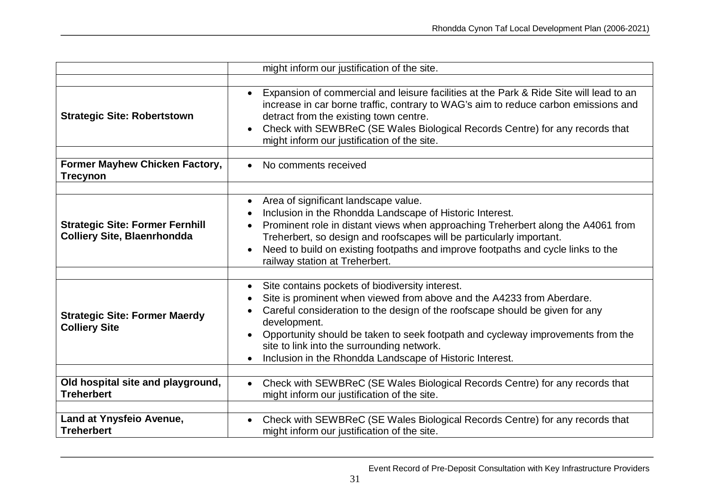|                                                                              | might inform our justification of the site.                                                                                                                                                                                                                                                                                                                                                                           |
|------------------------------------------------------------------------------|-----------------------------------------------------------------------------------------------------------------------------------------------------------------------------------------------------------------------------------------------------------------------------------------------------------------------------------------------------------------------------------------------------------------------|
|                                                                              |                                                                                                                                                                                                                                                                                                                                                                                                                       |
| <b>Strategic Site: Robertstown</b>                                           | Expansion of commercial and leisure facilities at the Park & Ride Site will lead to an<br>$\bullet$<br>increase in car borne traffic, contrary to WAG's aim to reduce carbon emissions and<br>detract from the existing town centre.<br>Check with SEWBReC (SE Wales Biological Records Centre) for any records that<br>$\bullet$<br>might inform our justification of the site.                                      |
| Former Mayhew Chicken Factory,<br><b>Trecynon</b>                            | No comments received<br>$\bullet$                                                                                                                                                                                                                                                                                                                                                                                     |
| <b>Strategic Site: Former Fernhill</b><br><b>Colliery Site, Blaenrhondda</b> | Area of significant landscape value.<br>Inclusion in the Rhondda Landscape of Historic Interest.<br>Prominent role in distant views when approaching Treherbert along the A4061 from<br>Treherbert, so design and roofscapes will be particularly important.<br>Need to build on existing footpaths and improve footpaths and cycle links to the<br>railway station at Treherbert.                                    |
| <b>Strategic Site: Former Maerdy</b><br><b>Colliery Site</b>                 | Site contains pockets of biodiversity interest.<br>Site is prominent when viewed from above and the A4233 from Aberdare.<br>Careful consideration to the design of the roofscape should be given for any<br>development.<br>Opportunity should be taken to seek footpath and cycleway improvements from the<br>site to link into the surrounding network.<br>Inclusion in the Rhondda Landscape of Historic Interest. |
| Old hospital site and playground,<br><b>Treherbert</b>                       | Check with SEWBReC (SE Wales Biological Records Centre) for any records that<br>might inform our justification of the site.                                                                                                                                                                                                                                                                                           |
| Land at Ynysfeio Avenue,<br><b>Treherbert</b>                                | Check with SEWBReC (SE Wales Biological Records Centre) for any records that<br>might inform our justification of the site.                                                                                                                                                                                                                                                                                           |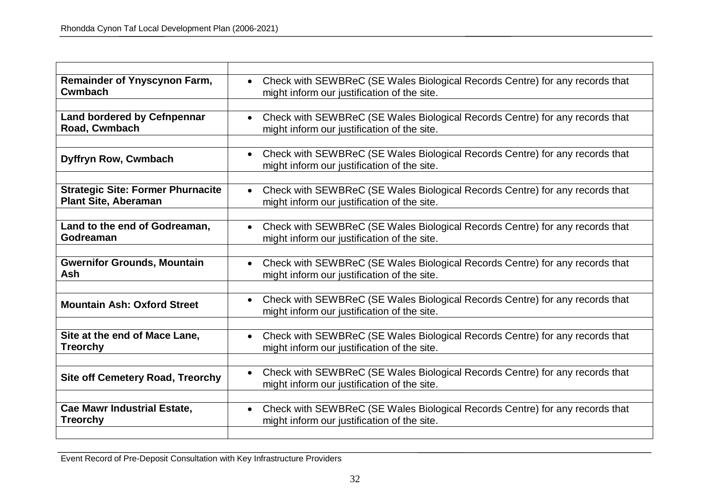| <b>Remainder of Ynyscynon Farm,</b><br><b>Cwmbach</b>                   | Check with SEWBReC (SE Wales Biological Records Centre) for any records that<br>$\bullet$<br>might inform our justification of the site. |
|-------------------------------------------------------------------------|------------------------------------------------------------------------------------------------------------------------------------------|
|                                                                         |                                                                                                                                          |
| <b>Land bordered by Cefnpennar</b><br>Road, Cwmbach                     | • Check with SEWBReC (SE Wales Biological Records Centre) for any records that<br>might inform our justification of the site.            |
| Dyffryn Row, Cwmbach                                                    | Check with SEWBReC (SE Wales Biological Records Centre) for any records that<br>$\bullet$<br>might inform our justification of the site. |
| <b>Strategic Site: Former Phurnacite</b><br><b>Plant Site, Aberaman</b> | • Check with SEWBReC (SE Wales Biological Records Centre) for any records that<br>might inform our justification of the site.            |
| Land to the end of Godreaman,<br>Godreaman                              | Check with SEWBReC (SE Wales Biological Records Centre) for any records that<br>might inform our justification of the site.              |
| <b>Gwernifor Grounds, Mountain</b><br>Ash                               | Check with SEWBReC (SE Wales Biological Records Centre) for any records that<br>$\bullet$<br>might inform our justification of the site. |
| <b>Mountain Ash: Oxford Street</b>                                      | Check with SEWBReC (SE Wales Biological Records Centre) for any records that<br>$\bullet$<br>might inform our justification of the site. |
| Site at the end of Mace Lane,<br><b>Treorchy</b>                        | Check with SEWBReC (SE Wales Biological Records Centre) for any records that<br>might inform our justification of the site.              |
| <b>Site off Cemetery Road, Treorchy</b>                                 | Check with SEWBReC (SE Wales Biological Records Centre) for any records that<br>$\bullet$<br>might inform our justification of the site. |
| <b>Cae Mawr Industrial Estate,</b><br><b>Treorchy</b>                   | Check with SEWBReC (SE Wales Biological Records Centre) for any records that<br>$\bullet$<br>might inform our justification of the site. |
|                                                                         |                                                                                                                                          |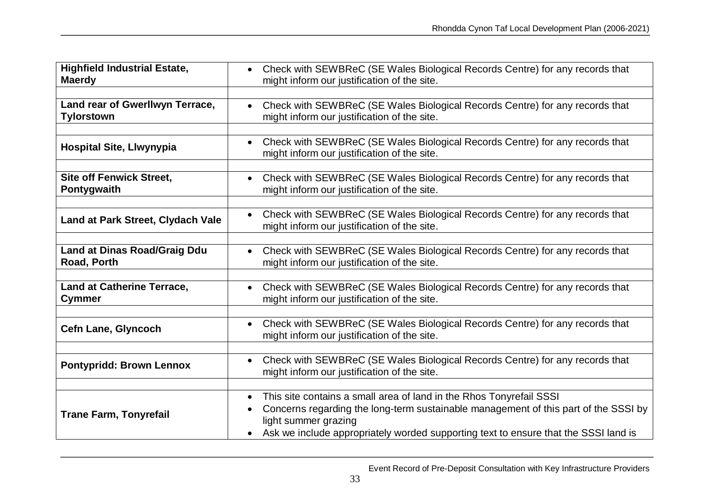| <b>Highfield Industrial Estate,</b><br><b>Maerdy</b> | Check with SEWBReC (SE Wales Biological Records Centre) for any records that<br>$\bullet$<br>might inform our justification of the site.                                                                                                                                  |
|------------------------------------------------------|---------------------------------------------------------------------------------------------------------------------------------------------------------------------------------------------------------------------------------------------------------------------------|
| Land rear of Gwerllwyn Terrace,<br><b>Tylorstown</b> | Check with SEWBReC (SE Wales Biological Records Centre) for any records that<br>might inform our justification of the site.                                                                                                                                               |
| <b>Hospital Site, Llwynypia</b>                      | • Check with SEWBReC (SE Wales Biological Records Centre) for any records that<br>might inform our justification of the site.                                                                                                                                             |
| <b>Site off Fenwick Street,</b><br>Pontygwaith       | Check with SEWBReC (SE Wales Biological Records Centre) for any records that<br>might inform our justification of the site.                                                                                                                                               |
| Land at Park Street, Clydach Vale                    | Check with SEWBReC (SE Wales Biological Records Centre) for any records that<br>might inform our justification of the site.                                                                                                                                               |
| <b>Land at Dinas Road/Graig Ddu</b><br>Road, Porth   | Check with SEWBReC (SE Wales Biological Records Centre) for any records that<br>might inform our justification of the site.                                                                                                                                               |
| <b>Land at Catherine Terrace,</b><br><b>Cymmer</b>   | Check with SEWBReC (SE Wales Biological Records Centre) for any records that<br>might inform our justification of the site.                                                                                                                                               |
| <b>Cefn Lane, Glyncoch</b>                           | Check with SEWBReC (SE Wales Biological Records Centre) for any records that<br>$\bullet$<br>might inform our justification of the site.                                                                                                                                  |
| <b>Pontypridd: Brown Lennox</b>                      | Check with SEWBReC (SE Wales Biological Records Centre) for any records that<br>$\bullet$<br>might inform our justification of the site.                                                                                                                                  |
| <b>Trane Farm, Tonyrefail</b>                        | This site contains a small area of land in the Rhos Tonyrefail SSSI<br>Concerns regarding the long-term sustainable management of this part of the SSSI by<br>light summer grazing<br>Ask we include appropriately worded supporting text to ensure that the SSSI land is |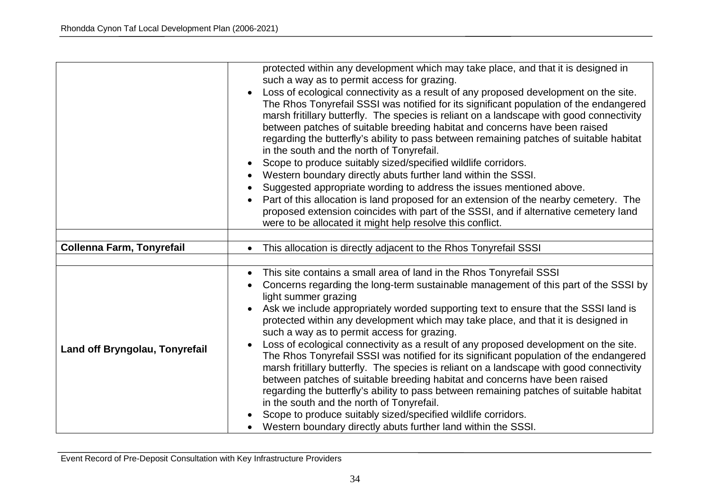|                                | protected within any development which may take place, and that it is designed in                                                                                              |
|--------------------------------|--------------------------------------------------------------------------------------------------------------------------------------------------------------------------------|
|                                | such a way as to permit access for grazing.                                                                                                                                    |
|                                | Loss of ecological connectivity as a result of any proposed development on the site.                                                                                           |
|                                | The Rhos Tonyrefail SSSI was notified for its significant population of the endangered                                                                                         |
|                                | marsh fritillary butterfly. The species is reliant on a landscape with good connectivity                                                                                       |
|                                | between patches of suitable breeding habitat and concerns have been raised                                                                                                     |
|                                | regarding the butterfly's ability to pass between remaining patches of suitable habitat<br>in the south and the north of Tonyrefail.                                           |
|                                | Scope to produce suitably sized/specified wildlife corridors.                                                                                                                  |
|                                | Western boundary directly abuts further land within the SSSI.                                                                                                                  |
|                                |                                                                                                                                                                                |
|                                | Suggested appropriate wording to address the issues mentioned above.                                                                                                           |
|                                | Part of this allocation is land proposed for an extension of the nearby cemetery. The<br>proposed extension coincides with part of the SSSI, and if alternative cemetery land  |
|                                | were to be allocated it might help resolve this conflict.                                                                                                                      |
|                                |                                                                                                                                                                                |
| Collenna Farm, Tonyrefail      | This allocation is directly adjacent to the Rhos Tonyrefail SSSI<br>$\bullet$                                                                                                  |
|                                |                                                                                                                                                                                |
|                                | This site contains a small area of land in the Rhos Tonyrefail SSSI<br>$\bullet$                                                                                               |
|                                | Concerns regarding the long-term sustainable management of this part of the SSSI by                                                                                            |
| Land off Bryngolau, Tonyrefail | light summer grazing                                                                                                                                                           |
|                                | Ask we include appropriately worded supporting text to ensure that the SSSI land is<br>$\bullet$                                                                               |
|                                | protected within any development which may take place, and that it is designed in                                                                                              |
|                                | such a way as to permit access for grazing.                                                                                                                                    |
|                                | Loss of ecological connectivity as a result of any proposed development on the site.<br>The Rhos Tonyrefail SSSI was notified for its significant population of the endangered |
|                                | marsh fritillary butterfly. The species is reliant on a landscape with good connectivity                                                                                       |
|                                | between patches of suitable breeding habitat and concerns have been raised                                                                                                     |
|                                | regarding the butterfly's ability to pass between remaining patches of suitable habitat                                                                                        |
|                                | in the south and the north of Tonyrefail.                                                                                                                                      |
|                                | Scope to produce suitably sized/specified wildlife corridors.                                                                                                                  |
|                                | Western boundary directly abuts further land within the SSSI.                                                                                                                  |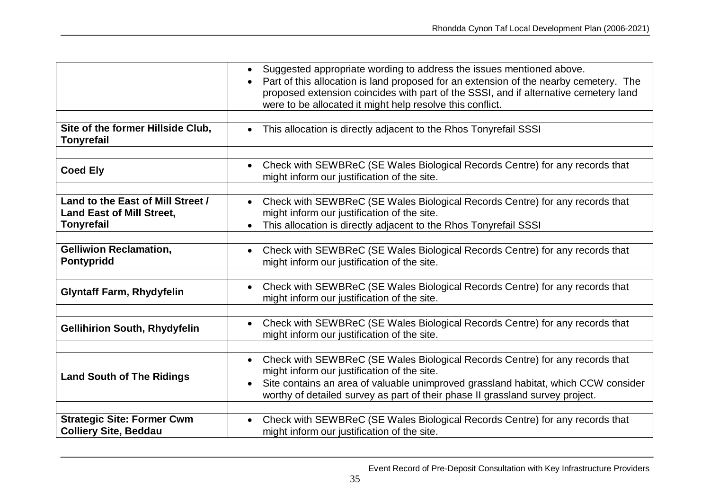|                                                                                            | Suggested appropriate wording to address the issues mentioned above.<br>$\bullet$<br>• Part of this allocation is land proposed for an extension of the nearby cemetery. The<br>proposed extension coincides with part of the SSSI, and if alternative cemetery land<br>were to be allocated it might help resolve this conflict. |
|--------------------------------------------------------------------------------------------|-----------------------------------------------------------------------------------------------------------------------------------------------------------------------------------------------------------------------------------------------------------------------------------------------------------------------------------|
| Site of the former Hillside Club,<br><b>Tonyrefail</b>                                     | This allocation is directly adjacent to the Rhos Tonyrefail SSSI<br>$\bullet$                                                                                                                                                                                                                                                     |
| <b>Coed Ely</b>                                                                            | Check with SEWBReC (SE Wales Biological Records Centre) for any records that<br>$\bullet$<br>might inform our justification of the site.                                                                                                                                                                                          |
| Land to the East of Mill Street /<br><b>Land East of Mill Street,</b><br><b>Tonyrefail</b> | • Check with SEWBReC (SE Wales Biological Records Centre) for any records that<br>might inform our justification of the site.<br>This allocation is directly adjacent to the Rhos Tonyrefail SSSI<br>$\bullet$                                                                                                                    |
| <b>Gelliwion Reclamation,</b><br>Pontypridd                                                | Check with SEWBReC (SE Wales Biological Records Centre) for any records that<br>$\bullet$<br>might inform our justification of the site.                                                                                                                                                                                          |
| <b>Glyntaff Farm, Rhydyfelin</b>                                                           | Check with SEWBReC (SE Wales Biological Records Centre) for any records that<br>$\bullet$<br>might inform our justification of the site.                                                                                                                                                                                          |
| <b>Gellihirion South, Rhydyfelin</b>                                                       | Check with SEWBReC (SE Wales Biological Records Centre) for any records that<br>might inform our justification of the site.                                                                                                                                                                                                       |
| <b>Land South of The Ridings</b>                                                           | Check with SEWBReC (SE Wales Biological Records Centre) for any records that<br>might inform our justification of the site.<br>Site contains an area of valuable unimproved grassland habitat, which CCW consider<br>worthy of detailed survey as part of their phase II grassland survey project.                                |
| <b>Strategic Site: Former Cwm</b><br><b>Colliery Site, Beddau</b>                          | Check with SEWBReC (SE Wales Biological Records Centre) for any records that<br>$\bullet$<br>might inform our justification of the site.                                                                                                                                                                                          |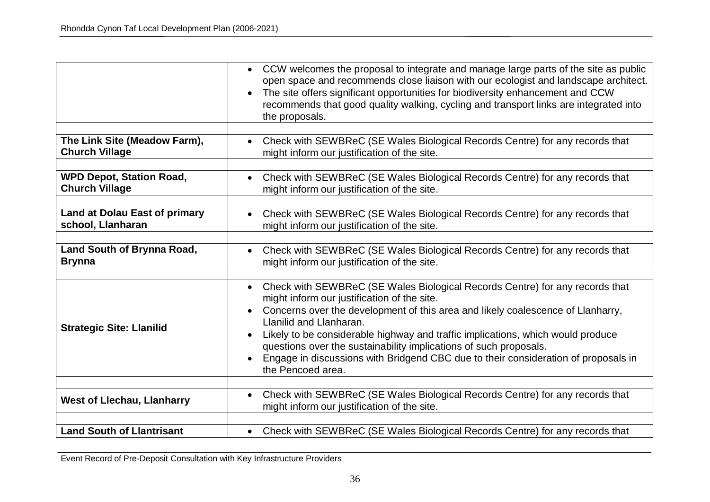|                                      | • CCW welcomes the proposal to integrate and manage large parts of the site as public<br>open space and recommends close liaison with our ecologist and landscape architect.<br>The site offers significant opportunities for biodiversity enhancement and CCW<br>recommends that good quality walking, cycling and transport links are integrated into<br>the proposals.                                                                                                                                    |
|--------------------------------------|--------------------------------------------------------------------------------------------------------------------------------------------------------------------------------------------------------------------------------------------------------------------------------------------------------------------------------------------------------------------------------------------------------------------------------------------------------------------------------------------------------------|
| The Link Site (Meadow Farm),         | • Check with SEWBReC (SE Wales Biological Records Centre) for any records that                                                                                                                                                                                                                                                                                                                                                                                                                               |
| <b>Church Village</b>                | might inform our justification of the site.                                                                                                                                                                                                                                                                                                                                                                                                                                                                  |
| <b>WPD Depot, Station Road,</b>      | Check with SEWBReC (SE Wales Biological Records Centre) for any records that                                                                                                                                                                                                                                                                                                                                                                                                                                 |
| <b>Church Village</b>                | might inform our justification of the site.                                                                                                                                                                                                                                                                                                                                                                                                                                                                  |
| <b>Land at Dolau East of primary</b> | Check with SEWBReC (SE Wales Biological Records Centre) for any records that                                                                                                                                                                                                                                                                                                                                                                                                                                 |
| school, Llanharan                    | might inform our justification of the site.                                                                                                                                                                                                                                                                                                                                                                                                                                                                  |
| Land South of Brynna Road,           | Check with SEWBReC (SE Wales Biological Records Centre) for any records that                                                                                                                                                                                                                                                                                                                                                                                                                                 |
| <b>Brynna</b>                        | might inform our justification of the site.                                                                                                                                                                                                                                                                                                                                                                                                                                                                  |
| <b>Strategic Site: Llanilid</b>      | Check with SEWBReC (SE Wales Biological Records Centre) for any records that<br>might inform our justification of the site.<br>Concerns over the development of this area and likely coalescence of Llanharry,<br>Llanilid and Llanharan.<br>Likely to be considerable highway and traffic implications, which would produce<br>questions over the sustainability implications of such proposals.<br>Engage in discussions with Bridgend CBC due to their consideration of proposals in<br>the Pencoed area. |
| <b>West of Llechau, Llanharry</b>    | Check with SEWBReC (SE Wales Biological Records Centre) for any records that<br>might inform our justification of the site.                                                                                                                                                                                                                                                                                                                                                                                  |
| <b>Land South of Llantrisant</b>     | Check with SEWBReC (SE Wales Biological Records Centre) for any records that                                                                                                                                                                                                                                                                                                                                                                                                                                 |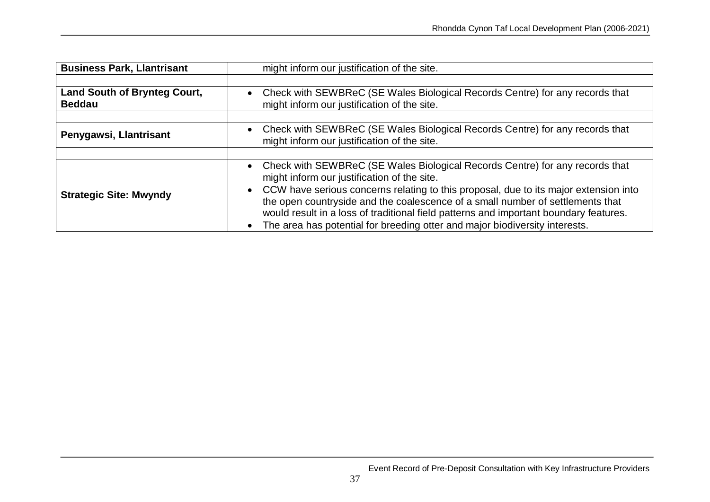| <b>Business Park, Llantrisant</b>                    | might inform our justification of the site.                                                                                                                                                                                                                                  |
|------------------------------------------------------|------------------------------------------------------------------------------------------------------------------------------------------------------------------------------------------------------------------------------------------------------------------------------|
|                                                      |                                                                                                                                                                                                                                                                              |
| <b>Land South of Brynteg Court,</b><br><b>Beddau</b> | Check with SEWBReC (SE Wales Biological Records Centre) for any records that<br>might inform our justification of the site.                                                                                                                                                  |
|                                                      |                                                                                                                                                                                                                                                                              |
| Penygawsi, Llantrisant                               | Check with SEWBReC (SE Wales Biological Records Centre) for any records that<br>might inform our justification of the site.                                                                                                                                                  |
|                                                      |                                                                                                                                                                                                                                                                              |
|                                                      | Check with SEWBReC (SE Wales Biological Records Centre) for any records that<br>might inform our justification of the site.                                                                                                                                                  |
| <b>Strategic Site: Mwyndy</b>                        | CCW have serious concerns relating to this proposal, due to its major extension into<br>$\bullet$<br>the open countryside and the coalescence of a small number of settlements that<br>would result in a loss of traditional field patterns and important boundary features. |
|                                                      | The area has potential for breeding otter and major biodiversity interests.                                                                                                                                                                                                  |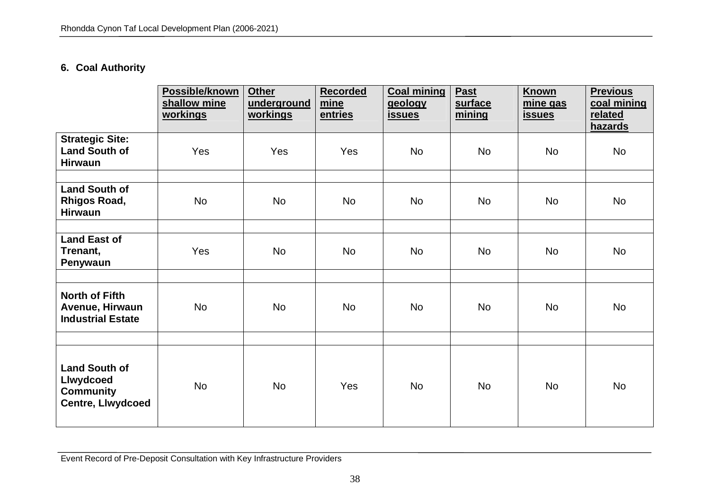## **6. Coal Authority**

|                                                                                          | Possible/known<br>shallow mine<br>workings | <b>Other</b><br>underground<br><u>workings</u> | <b>Recorded</b><br>mine<br>entries | <b>Coal mining</b><br>geology<br><b>issues</b> | <b>Past</b><br>surface<br>mining | Known<br>mine gas<br><b>issues</b> | <b>Previous</b><br>coal mining<br>related<br><b>hazards</b> |
|------------------------------------------------------------------------------------------|--------------------------------------------|------------------------------------------------|------------------------------------|------------------------------------------------|----------------------------------|------------------------------------|-------------------------------------------------------------|
| <b>Strategic Site:</b><br><b>Land South of</b><br><b>Hirwaun</b>                         | Yes                                        | Yes                                            | Yes                                | <b>No</b>                                      | <b>No</b>                        | <b>No</b>                          | <b>No</b>                                                   |
| <b>Land South of</b><br><b>Rhigos Road,</b><br><b>Hirwaun</b>                            | <b>No</b>                                  | <b>No</b>                                      | <b>No</b>                          | <b>No</b>                                      | <b>No</b>                        | <b>No</b>                          | <b>No</b>                                                   |
| <b>Land East of</b><br>Trenant,<br>Penywaun                                              | Yes                                        | <b>No</b>                                      | <b>No</b>                          | <b>No</b>                                      | <b>No</b>                        | <b>No</b>                          | <b>No</b>                                                   |
| <b>North of Fifth</b><br>Avenue, Hirwaun<br><b>Industrial Estate</b>                     | <b>No</b>                                  | <b>No</b>                                      | <b>No</b>                          | <b>No</b>                                      | <b>No</b>                        | <b>No</b>                          | <b>No</b>                                                   |
| <b>Land South of</b><br><b>Llwydcoed</b><br><b>Community</b><br><b>Centre, Llwydcoed</b> | <b>No</b>                                  | <b>No</b>                                      | Yes                                | <b>No</b>                                      | <b>No</b>                        | <b>No</b>                          | <b>No</b>                                                   |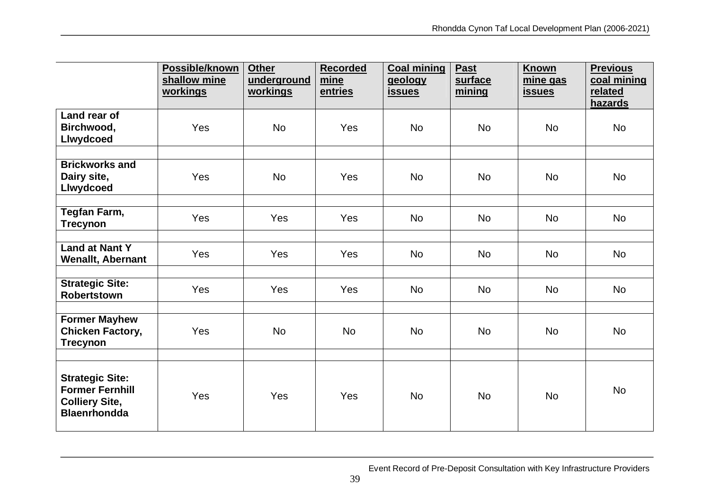|                                                                                                  | Possible/known<br>shallow mine<br>workings | <b>Other</b><br>underground<br>workings | <b>Recorded</b><br>mine<br>entries | <b>Coal mining</b><br>geology<br><b>issues</b> | Past<br>surface<br>mining | <b>Known</b><br>mine gas<br><u>issues</u> | <b>Previous</b><br>coal mining<br>related<br>hazards |
|--------------------------------------------------------------------------------------------------|--------------------------------------------|-----------------------------------------|------------------------------------|------------------------------------------------|---------------------------|-------------------------------------------|------------------------------------------------------|
| Land rear of<br>Birchwood,<br>Llwydcoed                                                          | Yes                                        | <b>No</b>                               | Yes                                | <b>No</b>                                      | <b>No</b>                 | <b>No</b>                                 | <b>No</b>                                            |
| <b>Brickworks and</b><br>Dairy site,<br>Llwydcoed                                                | Yes                                        | <b>No</b>                               | Yes                                | <b>No</b>                                      | No                        | <b>No</b>                                 | <b>No</b>                                            |
| Tegfan Farm,<br><b>Trecynon</b>                                                                  | Yes                                        | Yes                                     | Yes                                | <b>No</b>                                      | <b>No</b>                 | <b>No</b>                                 | <b>No</b>                                            |
| <b>Land at Nant Y</b><br><b>Wenallt, Abernant</b>                                                | Yes                                        | Yes                                     | Yes                                | <b>No</b>                                      | <b>No</b>                 | <b>No</b>                                 | <b>No</b>                                            |
| <b>Strategic Site:</b><br><b>Robertstown</b>                                                     | Yes                                        | Yes                                     | Yes                                | <b>No</b>                                      | <b>No</b>                 | <b>No</b>                                 | <b>No</b>                                            |
| <b>Former Mayhew</b><br><b>Chicken Factory,</b><br><b>Trecynon</b>                               | Yes                                        | <b>No</b>                               | <b>No</b>                          | <b>No</b>                                      | <b>No</b>                 | <b>No</b>                                 | <b>No</b>                                            |
| <b>Strategic Site:</b><br><b>Former Fernhill</b><br><b>Colliery Site,</b><br><b>Blaenrhondda</b> | Yes                                        | Yes                                     | Yes                                | <b>No</b>                                      | <b>No</b>                 | <b>No</b>                                 | <b>No</b>                                            |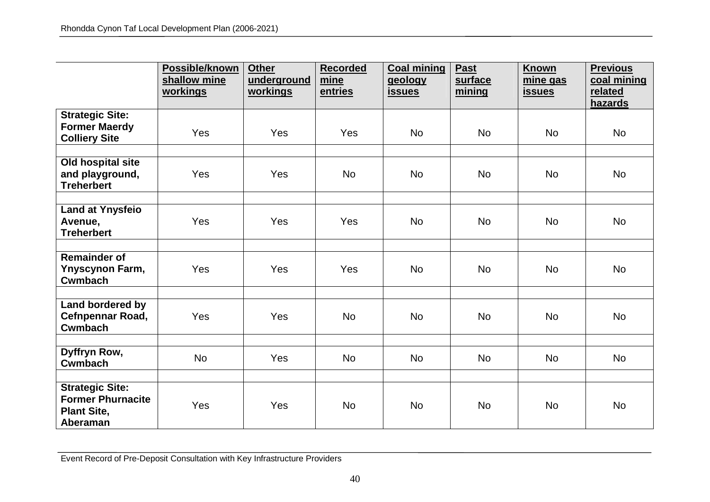|                                                                                      | Possible/known<br>shallow mine<br>workings | <b>Other</b><br>underground<br><u>workings</u> | <b>Recorded</b><br>mine<br>entries | <b>Coal mining</b><br>geology<br><u>issues</u> | Past<br>surface<br>mining | Known<br>mine gas<br><b>issues</b> | <b>Previous</b><br>coal mining<br>related<br>hazards |
|--------------------------------------------------------------------------------------|--------------------------------------------|------------------------------------------------|------------------------------------|------------------------------------------------|---------------------------|------------------------------------|------------------------------------------------------|
| <b>Strategic Site:</b><br><b>Former Maerdy</b><br><b>Colliery Site</b>               | Yes                                        | Yes                                            | Yes                                | <b>No</b>                                      | <b>No</b>                 | <b>No</b>                          | <b>No</b>                                            |
| Old hospital site<br>and playground,<br><b>Treherbert</b>                            | Yes                                        | Yes                                            | <b>No</b>                          | <b>No</b>                                      | <b>No</b>                 | <b>No</b>                          | <b>No</b>                                            |
| <b>Land at Ynysfeio</b><br>Avenue,<br><b>Treherbert</b>                              | Yes                                        | Yes                                            | Yes                                | <b>No</b>                                      | <b>No</b>                 | <b>No</b>                          | <b>No</b>                                            |
| <b>Remainder of</b><br><b>Ynyscynon Farm,</b><br><b>Cwmbach</b>                      | Yes                                        | Yes                                            | Yes                                | <b>No</b>                                      | <b>No</b>                 | <b>No</b>                          | <b>No</b>                                            |
| Land bordered by<br>Cefnpennar Road,<br><b>Cwmbach</b>                               | Yes                                        | Yes                                            | <b>No</b>                          | <b>No</b>                                      | <b>No</b>                 | <b>No</b>                          | <b>No</b>                                            |
| Dyffryn Row,<br><b>Cwmbach</b>                                                       | <b>No</b>                                  | Yes                                            | <b>No</b>                          | <b>No</b>                                      | <b>No</b>                 | <b>No</b>                          | <b>No</b>                                            |
| <b>Strategic Site:</b><br><b>Former Phurnacite</b><br><b>Plant Site,</b><br>Aberaman | Yes                                        | Yes                                            | <b>No</b>                          | <b>No</b>                                      | <b>No</b>                 | <b>No</b>                          | <b>No</b>                                            |

Event Record of Pre-Deposit Consultation with Key Infrastructure Providers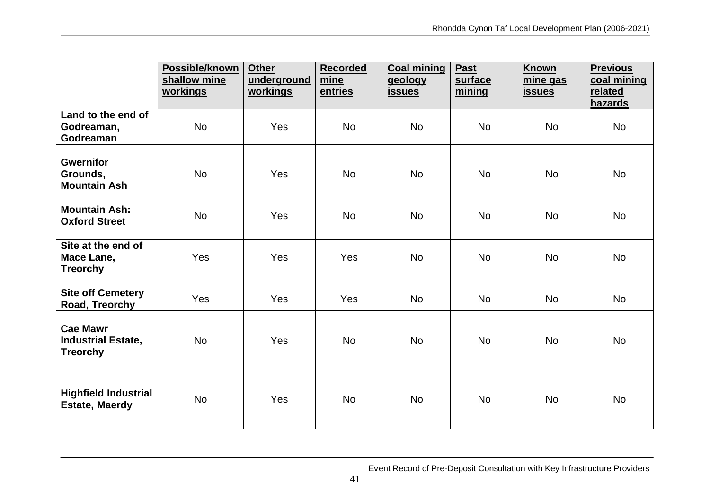|                                                                 | Possible/known<br>shallow mine<br>workings | <b>Other</b><br>underground<br>workings | <b>Recorded</b><br>mine<br>entries | <b>Coal mining</b><br>geology<br><b>issues</b> | <b>Past</b><br>surface<br>mining | <b>Known</b><br>mine gas<br><u>issues</u> | <b>Previous</b><br>coal mining<br>related<br>hazards |
|-----------------------------------------------------------------|--------------------------------------------|-----------------------------------------|------------------------------------|------------------------------------------------|----------------------------------|-------------------------------------------|------------------------------------------------------|
| Land to the end of<br>Godreaman,<br>Godreaman                   | <b>No</b>                                  | Yes                                     | <b>No</b>                          | <b>No</b>                                      | <b>No</b>                        | <b>No</b>                                 | <b>No</b>                                            |
| <b>Gwernifor</b><br>Grounds,<br><b>Mountain Ash</b>             | <b>No</b>                                  | Yes                                     | <b>No</b>                          | <b>No</b>                                      | <b>No</b>                        | <b>No</b>                                 | <b>No</b>                                            |
| <b>Mountain Ash:</b><br><b>Oxford Street</b>                    | <b>No</b>                                  | Yes                                     | <b>No</b>                          | <b>No</b>                                      | <b>No</b>                        | <b>No</b>                                 | <b>No</b>                                            |
| Site at the end of<br>Mace Lane,<br><b>Treorchy</b>             | Yes                                        | Yes                                     | Yes                                | <b>No</b>                                      | <b>No</b>                        | <b>No</b>                                 | <b>No</b>                                            |
| <b>Site off Cemetery</b><br>Road, Treorchy                      | Yes                                        | Yes                                     | Yes                                | <b>No</b>                                      | <b>No</b>                        | <b>No</b>                                 | <b>No</b>                                            |
| <b>Cae Mawr</b><br><b>Industrial Estate,</b><br><b>Treorchy</b> | <b>No</b>                                  | Yes                                     | <b>No</b>                          | <b>No</b>                                      | <b>No</b>                        | <b>No</b>                                 | <b>No</b>                                            |
| <b>Highfield Industrial</b><br><b>Estate, Maerdy</b>            | <b>No</b>                                  | Yes                                     | <b>No</b>                          | <b>No</b>                                      | <b>No</b>                        | <b>No</b>                                 | <b>No</b>                                            |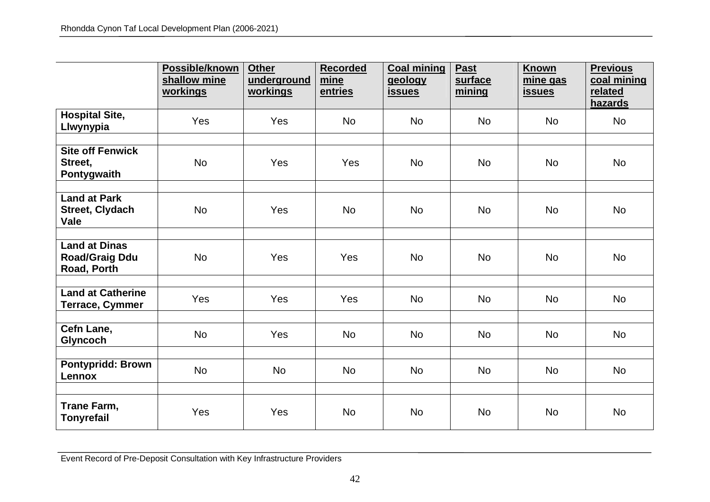|                                                              | Possible/known<br>shallow mine<br>workings | <b>Other</b><br>underground<br><u>workings</u> | <b>Recorded</b><br>mine<br>entries | <b>Coal mining</b><br>geology<br><u>issues</u> | Past<br>surface<br>mining | Known<br>mine gas<br><b>issues</b> | <b>Previous</b><br>coal mining<br>related<br>hazards |
|--------------------------------------------------------------|--------------------------------------------|------------------------------------------------|------------------------------------|------------------------------------------------|---------------------------|------------------------------------|------------------------------------------------------|
| <b>Hospital Site,</b><br>Llwynypia                           | Yes                                        | Yes                                            | <b>No</b>                          | <b>No</b>                                      | <b>No</b>                 | <b>No</b>                          | No                                                   |
| <b>Site off Fenwick</b><br>Street,<br>Pontygwaith            | <b>No</b>                                  | Yes                                            | Yes                                | <b>No</b>                                      | <b>No</b>                 | <b>No</b>                          | <b>No</b>                                            |
| <b>Land at Park</b><br><b>Street, Clydach</b><br>Vale        | <b>No</b>                                  | Yes                                            | <b>No</b>                          | <b>No</b>                                      | <b>No</b>                 | <b>No</b>                          | <b>No</b>                                            |
| <b>Land at Dinas</b><br><b>Road/Graig Ddu</b><br>Road, Porth | <b>No</b>                                  | Yes                                            | Yes                                | <b>No</b>                                      | <b>No</b>                 | <b>No</b>                          | <b>No</b>                                            |
| <b>Land at Catherine</b><br><b>Terrace, Cymmer</b>           | Yes                                        | Yes                                            | Yes                                | <b>No</b>                                      | <b>No</b>                 | <b>No</b>                          | <b>No</b>                                            |
| Cefn Lane,<br>Glyncoch                                       | <b>No</b>                                  | Yes                                            | <b>No</b>                          | <b>No</b>                                      | No                        | <b>No</b>                          | <b>No</b>                                            |
| <b>Pontypridd: Brown</b><br><b>Lennox</b>                    | <b>No</b>                                  | <b>No</b>                                      | <b>No</b>                          | <b>No</b>                                      | <b>No</b>                 | <b>No</b>                          | <b>No</b>                                            |
| Trane Farm,<br><b>Tonyrefail</b>                             | Yes                                        | Yes                                            | <b>No</b>                          | <b>No</b>                                      | <b>No</b>                 | <b>No</b>                          | <b>No</b>                                            |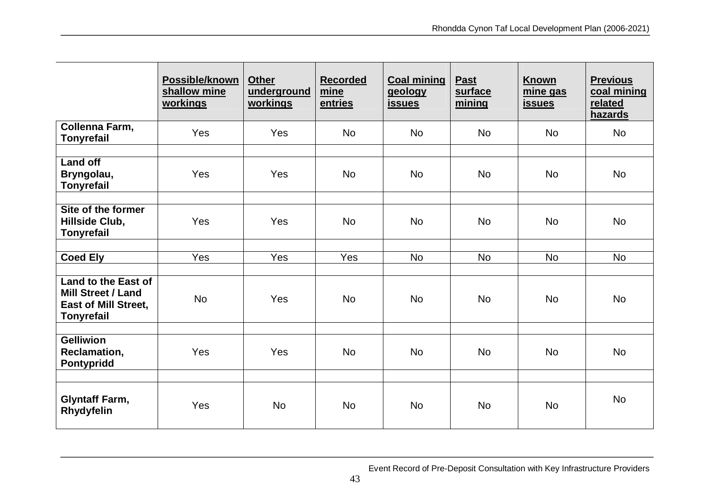|                                                                                                      | Possible/known<br>shallow mine<br>workings | <b>Other</b><br>underground<br><u>workings</u> | <b>Recorded</b><br>mine<br>entries | <b>Coal mining</b><br>geology<br><b>issues</b> | <b>Past</b><br>surface<br>mining | <b>Known</b><br>mine gas<br><u>issues</u> | <b>Previous</b><br>coal mining<br>related<br>hazards |
|------------------------------------------------------------------------------------------------------|--------------------------------------------|------------------------------------------------|------------------------------------|------------------------------------------------|----------------------------------|-------------------------------------------|------------------------------------------------------|
| Collenna Farm,<br><b>Tonyrefail</b>                                                                  | Yes                                        | Yes                                            | <b>No</b>                          | <b>No</b>                                      | <b>No</b>                        | <b>No</b>                                 | <b>No</b>                                            |
|                                                                                                      |                                            |                                                |                                    |                                                |                                  |                                           |                                                      |
| <b>Land off</b><br>Bryngolau,<br><b>Tonyrefail</b>                                                   | Yes                                        | Yes                                            | <b>No</b>                          | <b>No</b>                                      | <b>No</b>                        | <b>No</b>                                 | <b>No</b>                                            |
|                                                                                                      |                                            |                                                |                                    |                                                |                                  |                                           |                                                      |
| Site of the former<br>Hillside Club,<br><b>Tonyrefail</b>                                            | Yes                                        | Yes                                            | <b>No</b>                          | <b>No</b>                                      | <b>No</b>                        | <b>No</b>                                 | <b>No</b>                                            |
|                                                                                                      |                                            |                                                |                                    |                                                |                                  |                                           |                                                      |
| <b>Coed Ely</b>                                                                                      | Yes                                        | Yes                                            | Yes                                | <b>No</b>                                      | <b>No</b>                        | <b>No</b>                                 | <b>No</b>                                            |
|                                                                                                      |                                            |                                                |                                    |                                                |                                  |                                           |                                                      |
| Land to the East of<br><b>Mill Street / Land</b><br><b>East of Mill Street,</b><br><b>Tonyrefail</b> | <b>No</b>                                  | Yes                                            | <b>No</b>                          | <b>No</b>                                      | <b>No</b>                        | <b>No</b>                                 | <b>No</b>                                            |
|                                                                                                      |                                            |                                                |                                    |                                                |                                  |                                           |                                                      |
| <b>Gelliwion</b><br>Reclamation,<br>Pontypridd                                                       | Yes                                        | Yes                                            | <b>No</b>                          | <b>No</b>                                      | <b>No</b>                        | <b>No</b>                                 | <b>No</b>                                            |
| <b>Glyntaff Farm,</b><br>Rhydyfelin                                                                  | Yes                                        | <b>No</b>                                      | <b>No</b>                          | <b>No</b>                                      | <b>No</b>                        | <b>No</b>                                 | <b>No</b>                                            |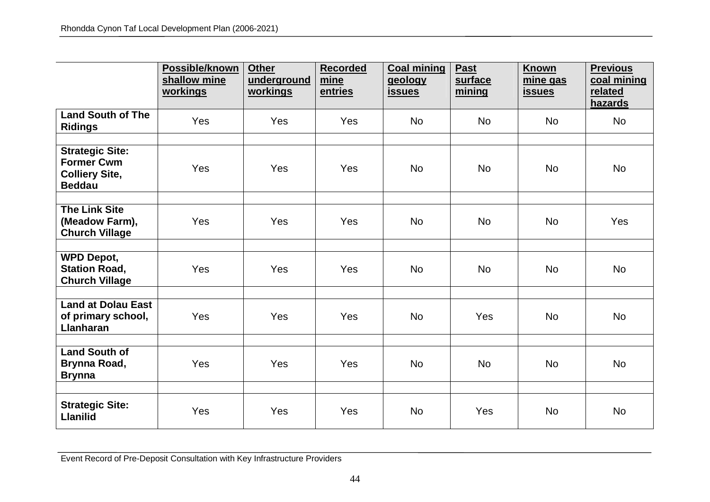|                                                                                       | Possible/known<br>shallow mine<br>workings | <b>Other</b><br>underground<br><u>workings</u> | <b>Recorded</b><br>mine<br>entries | <b>Coal mining</b><br>geology<br><u>issues</u> | Past<br>surface<br>mining | Known<br>mine gas<br><b>issues</b> | <b>Previous</b><br>coal mining<br>related<br>hazards |
|---------------------------------------------------------------------------------------|--------------------------------------------|------------------------------------------------|------------------------------------|------------------------------------------------|---------------------------|------------------------------------|------------------------------------------------------|
| <b>Land South of The</b><br><b>Ridings</b>                                            | Yes                                        | Yes                                            | Yes                                | <b>No</b>                                      | <b>No</b>                 | <b>No</b>                          | No                                                   |
| <b>Strategic Site:</b><br><b>Former Cwm</b><br><b>Colliery Site,</b><br><b>Beddau</b> | Yes                                        | Yes                                            | Yes                                | <b>No</b>                                      | <b>No</b>                 | <b>No</b>                          | <b>No</b>                                            |
| <b>The Link Site</b><br>(Meadow Farm),<br><b>Church Village</b>                       | Yes                                        | Yes                                            | Yes                                | <b>No</b>                                      | <b>No</b>                 | <b>No</b>                          | Yes                                                  |
| <b>WPD Depot,</b><br><b>Station Road,</b><br><b>Church Village</b>                    | Yes                                        | Yes                                            | Yes                                | <b>No</b>                                      | <b>No</b>                 | <b>No</b>                          | <b>No</b>                                            |
| Land at Dolau East<br>of primary school,<br><b>Llanharan</b>                          | Yes                                        | Yes                                            | Yes                                | <b>No</b>                                      | Yes                       | <b>No</b>                          | <b>No</b>                                            |
| <b>Land South of</b><br>Brynna Road,<br><b>Brynna</b>                                 | Yes                                        | Yes                                            | Yes                                | <b>No</b>                                      | <b>No</b>                 | <b>No</b>                          | <b>No</b>                                            |
| <b>Strategic Site:</b><br><b>Llanilid</b>                                             | Yes                                        | Yes                                            | Yes                                | <b>No</b>                                      | Yes                       | <b>No</b>                          | No                                                   |

Event Record of Pre-Deposit Consultation with Key Infrastructure Providers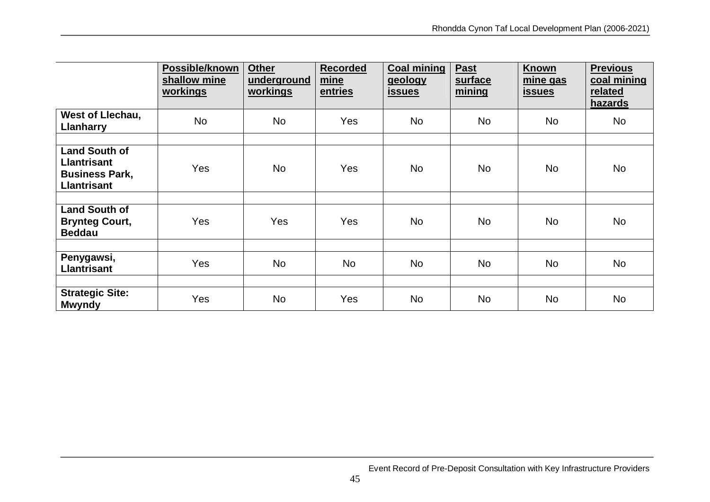|                                                                                           | Possible/known<br>shallow mine<br>workings | <b>Other</b><br>underground<br>workings | <b>Recorded</b><br>mine<br>entries | <b>Coal mining</b><br>geology<br><u>issues</u> | <b>Past</b><br>surface<br>mining | <b>Known</b><br>mine gas<br><u>issues</u> | <b>Previous</b><br>coal mining<br>related<br>hazards |
|-------------------------------------------------------------------------------------------|--------------------------------------------|-----------------------------------------|------------------------------------|------------------------------------------------|----------------------------------|-------------------------------------------|------------------------------------------------------|
| <b>West of Llechau,</b><br>Llanharry                                                      | <b>No</b>                                  | <b>No</b>                               | <b>Yes</b>                         | No                                             | No                               | <b>No</b>                                 | <b>No</b>                                            |
| <b>Land South of</b><br><b>Llantrisant</b><br><b>Business Park,</b><br><b>Llantrisant</b> | <b>Yes</b>                                 | No                                      | Yes                                | No                                             | <b>No</b>                        | <b>No</b>                                 | <b>No</b>                                            |
| <b>Land South of</b><br><b>Brynteg Court,</b><br><b>Beddau</b>                            | <b>Yes</b>                                 | Yes                                     | Yes                                | <b>No</b>                                      | <b>No</b>                        | <b>No</b>                                 | <b>No</b>                                            |
| Penygawsi,<br><b>Llantrisant</b>                                                          | Yes                                        | <b>No</b>                               | <b>No</b>                          | <b>No</b>                                      | <b>No</b>                        | <b>No</b>                                 | <b>No</b>                                            |
| <b>Strategic Site:</b><br><b>Mwyndy</b>                                                   | Yes                                        | No                                      | Yes                                | <b>No</b>                                      | <b>No</b>                        | <b>No</b>                                 | <b>No</b>                                            |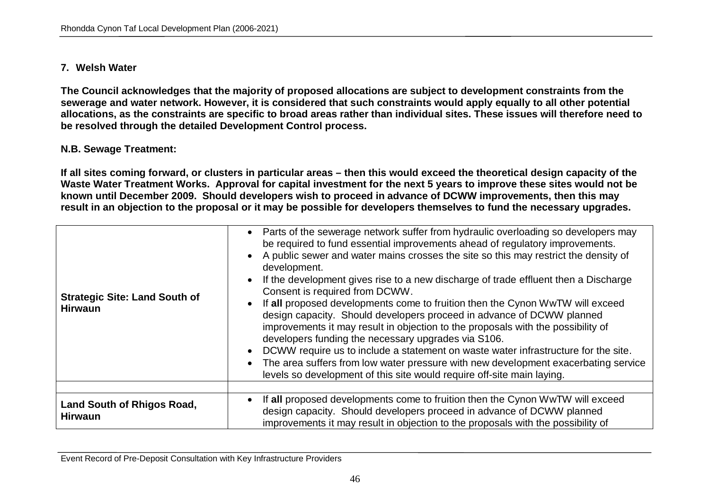## **7. Welsh Water**

**The Council acknowledges that the majority of proposed allocations are subject to development constraints from the sewerage and water network. However, it is considered that such constraints would apply equally to all other potential allocations, as the constraints are specific to broad areas rather than individual sites. These issues will therefore need to be resolved through the detailed Development Control process.**

## **N.B. Sewage Treatment:**

**If all sites coming forward, or clusters in particular areas – then this would exceed the theoretical design capacity of the Waste Water Treatment Works. Approval for capital investment for the next 5 years to improve these sites would not be known until December 2009. Should developers wish to proceed in advance of DCWW improvements, then this may result in an objection to the proposal or it may be possible for developers themselves to fund the necessary upgrades.**

| <b>Strategic Site: Land South of</b><br><b>Hirwaun</b> | • Parts of the sewerage network suffer from hydraulic overloading so developers may<br>be required to fund essential improvements ahead of regulatory improvements.<br>A public sewer and water mains crosses the site so this may restrict the density of<br>development.<br>If the development gives rise to a new discharge of trade effluent then a Discharge<br>Consent is required from DCWW.<br>If all proposed developments come to fruition then the Cynon WwTW will exceed<br>design capacity. Should developers proceed in advance of DCWW planned<br>improvements it may result in objection to the proposals with the possibility of<br>developers funding the necessary upgrades via S106.<br>DCWW require us to include a statement on waste water infrastructure for the site.<br>The area suffers from low water pressure with new development exacerbating service<br>levels so development of this site would require off-site main laying. |
|--------------------------------------------------------|----------------------------------------------------------------------------------------------------------------------------------------------------------------------------------------------------------------------------------------------------------------------------------------------------------------------------------------------------------------------------------------------------------------------------------------------------------------------------------------------------------------------------------------------------------------------------------------------------------------------------------------------------------------------------------------------------------------------------------------------------------------------------------------------------------------------------------------------------------------------------------------------------------------------------------------------------------------|
| <b>Land South of Rhigos Road,</b><br><b>Hirwaun</b>    | If all proposed developments come to fruition then the Cynon WwTW will exceed<br>design capacity. Should developers proceed in advance of DCWW planned<br>improvements it may result in objection to the proposals with the possibility of                                                                                                                                                                                                                                                                                                                                                                                                                                                                                                                                                                                                                                                                                                                     |

Event Record of Pre-Deposit Consultation with Key Infrastructure Providers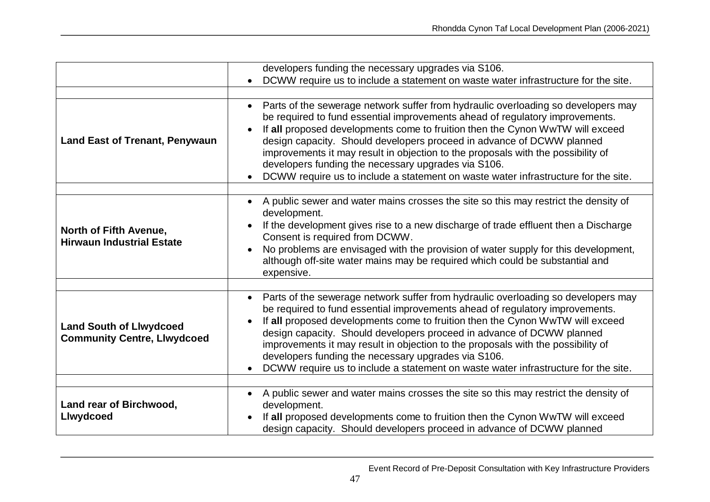|                                                                      | developers funding the necessary upgrades via S106.                                                                                                                                                                                                                                                                                                                                                                                                                                                                                                                       |
|----------------------------------------------------------------------|---------------------------------------------------------------------------------------------------------------------------------------------------------------------------------------------------------------------------------------------------------------------------------------------------------------------------------------------------------------------------------------------------------------------------------------------------------------------------------------------------------------------------------------------------------------------------|
|                                                                      | DCWW require us to include a statement on waste water infrastructure for the site.                                                                                                                                                                                                                                                                                                                                                                                                                                                                                        |
|                                                                      |                                                                                                                                                                                                                                                                                                                                                                                                                                                                                                                                                                           |
| <b>Land East of Trenant, Penywaun</b>                                | Parts of the sewerage network suffer from hydraulic overloading so developers may<br>$\bullet$<br>be required to fund essential improvements ahead of regulatory improvements.<br>If all proposed developments come to fruition then the Cynon WwTW will exceed<br>design capacity. Should developers proceed in advance of DCWW planned<br>improvements it may result in objection to the proposals with the possibility of<br>developers funding the necessary upgrades via S106.<br>DCWW require us to include a statement on waste water infrastructure for the site. |
|                                                                      | A public sewer and water mains crosses the site so this may restrict the density of                                                                                                                                                                                                                                                                                                                                                                                                                                                                                       |
| North of Fifth Avenue,<br><b>Hirwaun Industrial Estate</b>           | development.<br>If the development gives rise to a new discharge of trade effluent then a Discharge<br>Consent is required from DCWW.<br>No problems are envisaged with the provision of water supply for this development,<br>although off-site water mains may be required which could be substantial and<br>expensive.                                                                                                                                                                                                                                                 |
|                                                                      |                                                                                                                                                                                                                                                                                                                                                                                                                                                                                                                                                                           |
| <b>Land South of Llwydcoed</b><br><b>Community Centre, Llwydcoed</b> | Parts of the sewerage network suffer from hydraulic overloading so developers may<br>$\bullet$<br>be required to fund essential improvements ahead of regulatory improvements.<br>If all proposed developments come to fruition then the Cynon WwTW will exceed<br>design capacity. Should developers proceed in advance of DCWW planned<br>improvements it may result in objection to the proposals with the possibility of<br>developers funding the necessary upgrades via S106.<br>DCWW require us to include a statement on waste water infrastructure for the site. |
|                                                                      |                                                                                                                                                                                                                                                                                                                                                                                                                                                                                                                                                                           |
| Land rear of Birchwood,<br><b>Llwydcoed</b>                          | A public sewer and water mains crosses the site so this may restrict the density of<br>development.<br>If all proposed developments come to fruition then the Cynon WwTW will exceed<br>design capacity. Should developers proceed in advance of DCWW planned                                                                                                                                                                                                                                                                                                             |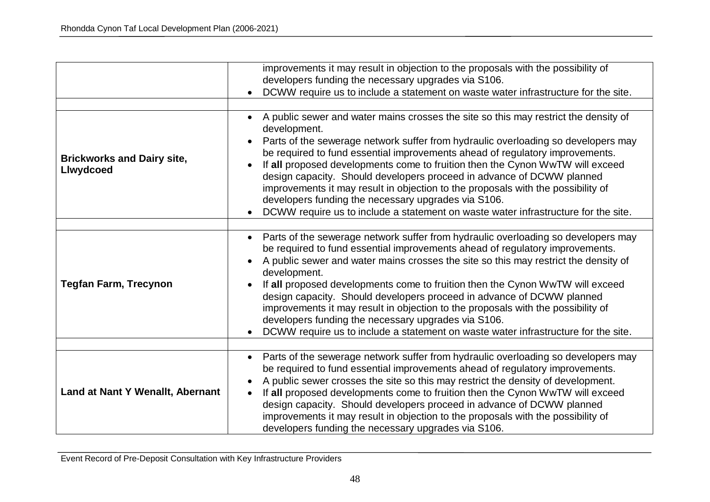|                                                | improvements it may result in objection to the proposals with the possibility of<br>developers funding the necessary upgrades via S106.<br>DCWW require us to include a statement on waste water infrastructure for the site.                                                                                                                                                                                                                                                                                                                                                                                                                                                    |
|------------------------------------------------|----------------------------------------------------------------------------------------------------------------------------------------------------------------------------------------------------------------------------------------------------------------------------------------------------------------------------------------------------------------------------------------------------------------------------------------------------------------------------------------------------------------------------------------------------------------------------------------------------------------------------------------------------------------------------------|
|                                                |                                                                                                                                                                                                                                                                                                                                                                                                                                                                                                                                                                                                                                                                                  |
| <b>Brickworks and Dairy site,</b><br>Llwydcoed | A public sewer and water mains crosses the site so this may restrict the density of<br>$\bullet$<br>development.<br>Parts of the sewerage network suffer from hydraulic overloading so developers may<br>be required to fund essential improvements ahead of regulatory improvements.<br>If all proposed developments come to fruition then the Cynon WwTW will exceed<br>design capacity. Should developers proceed in advance of DCWW planned<br>improvements it may result in objection to the proposals with the possibility of<br>developers funding the necessary upgrades via S106.<br>DCWW require us to include a statement on waste water infrastructure for the site. |
|                                                |                                                                                                                                                                                                                                                                                                                                                                                                                                                                                                                                                                                                                                                                                  |
| <b>Tegfan Farm, Trecynon</b>                   | Parts of the sewerage network suffer from hydraulic overloading so developers may<br>$\bullet$<br>be required to fund essential improvements ahead of regulatory improvements.<br>A public sewer and water mains crosses the site so this may restrict the density of<br>development.<br>If all proposed developments come to fruition then the Cynon WwTW will exceed<br>design capacity. Should developers proceed in advance of DCWW planned<br>improvements it may result in objection to the proposals with the possibility of<br>developers funding the necessary upgrades via S106.<br>DCWW require us to include a statement on waste water infrastructure for the site. |
| Land at Nant Y Wenallt, Abernant               | Parts of the sewerage network suffer from hydraulic overloading so developers may<br>be required to fund essential improvements ahead of regulatory improvements.<br>A public sewer crosses the site so this may restrict the density of development.<br>If all proposed developments come to fruition then the Cynon WwTW will exceed<br>design capacity. Should developers proceed in advance of DCWW planned<br>improvements it may result in objection to the proposals with the possibility of<br>developers funding the necessary upgrades via S106.                                                                                                                       |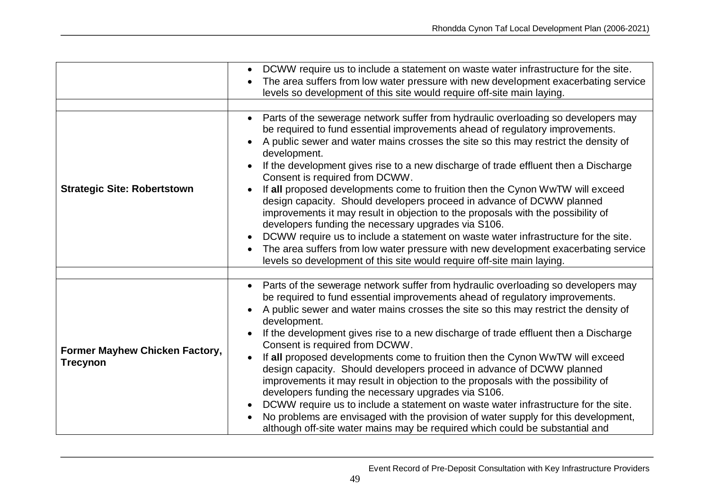|                                                          | DCWW require us to include a statement on waste water infrastructure for the site.<br>The area suffers from low water pressure with new development exacerbating service<br>levels so development of this site would require off-site main laying.                                                                                                                                                                                                                                                                                                                                                                                                                                                                                                                                                                                                                                                                                                                 |
|----------------------------------------------------------|--------------------------------------------------------------------------------------------------------------------------------------------------------------------------------------------------------------------------------------------------------------------------------------------------------------------------------------------------------------------------------------------------------------------------------------------------------------------------------------------------------------------------------------------------------------------------------------------------------------------------------------------------------------------------------------------------------------------------------------------------------------------------------------------------------------------------------------------------------------------------------------------------------------------------------------------------------------------|
| <b>Strategic Site: Robertstown</b>                       | Parts of the sewerage network suffer from hydraulic overloading so developers may<br>be required to fund essential improvements ahead of regulatory improvements.<br>A public sewer and water mains crosses the site so this may restrict the density of<br>development.<br>If the development gives rise to a new discharge of trade effluent then a Discharge<br>Consent is required from DCWW.<br>If all proposed developments come to fruition then the Cynon WwTW will exceed<br>design capacity. Should developers proceed in advance of DCWW planned<br>improvements it may result in objection to the proposals with the possibility of<br>developers funding the necessary upgrades via S106.<br>DCWW require us to include a statement on waste water infrastructure for the site.<br>The area suffers from low water pressure with new development exacerbating service<br>levels so development of this site would require off-site main laying.       |
| <b>Former Mayhew Chicken Factory,</b><br><b>Trecynon</b> | Parts of the sewerage network suffer from hydraulic overloading so developers may<br>be required to fund essential improvements ahead of regulatory improvements.<br>A public sewer and water mains crosses the site so this may restrict the density of<br>development.<br>If the development gives rise to a new discharge of trade effluent then a Discharge<br>Consent is required from DCWW.<br>If all proposed developments come to fruition then the Cynon WwTW will exceed<br>design capacity. Should developers proceed in advance of DCWW planned<br>improvements it may result in objection to the proposals with the possibility of<br>developers funding the necessary upgrades via S106.<br>DCWW require us to include a statement on waste water infrastructure for the site.<br>No problems are envisaged with the provision of water supply for this development,<br>although off-site water mains may be required which could be substantial and |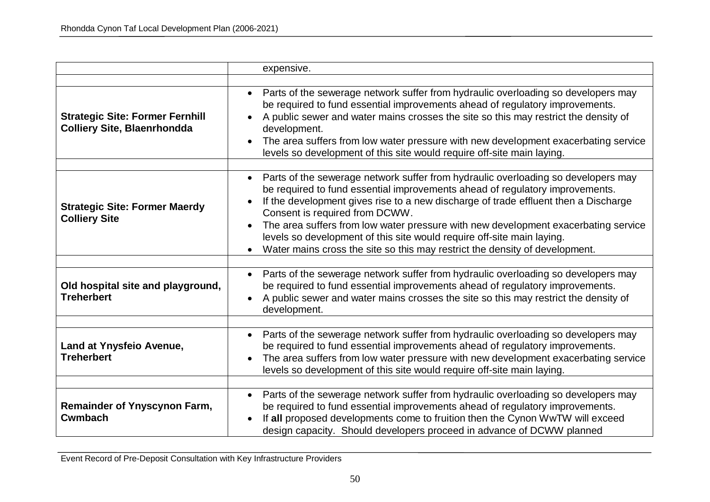|                                                                              | expensive.                                                                                                                                                                                                                                                                                                                                                                                                                                                                                                                                             |
|------------------------------------------------------------------------------|--------------------------------------------------------------------------------------------------------------------------------------------------------------------------------------------------------------------------------------------------------------------------------------------------------------------------------------------------------------------------------------------------------------------------------------------------------------------------------------------------------------------------------------------------------|
| <b>Strategic Site: Former Fernhill</b><br><b>Colliery Site, Blaenrhondda</b> | Parts of the sewerage network suffer from hydraulic overloading so developers may<br>be required to fund essential improvements ahead of regulatory improvements.<br>A public sewer and water mains crosses the site so this may restrict the density of<br>development.<br>The area suffers from low water pressure with new development exacerbating service<br>levels so development of this site would require off-site main laying.                                                                                                               |
| <b>Strategic Site: Former Maerdy</b><br><b>Colliery Site</b>                 | Parts of the sewerage network suffer from hydraulic overloading so developers may<br>$\bullet$<br>be required to fund essential improvements ahead of regulatory improvements.<br>If the development gives rise to a new discharge of trade effluent then a Discharge<br>Consent is required from DCWW.<br>The area suffers from low water pressure with new development exacerbating service<br>levels so development of this site would require off-site main laying.<br>Water mains cross the site so this may restrict the density of development. |
| Old hospital site and playground,<br><b>Treherbert</b>                       | Parts of the sewerage network suffer from hydraulic overloading so developers may<br>$\bullet$<br>be required to fund essential improvements ahead of regulatory improvements.<br>A public sewer and water mains crosses the site so this may restrict the density of<br>development.                                                                                                                                                                                                                                                                  |
| Land at Ynysfeio Avenue,<br><b>Treherbert</b>                                | Parts of the sewerage network suffer from hydraulic overloading so developers may<br>be required to fund essential improvements ahead of regulatory improvements.<br>The area suffers from low water pressure with new development exacerbating service<br>levels so development of this site would require off-site main laying.                                                                                                                                                                                                                      |
| <b>Remainder of Ynyscynon Farm,</b><br><b>Cwmbach</b>                        | Parts of the sewerage network suffer from hydraulic overloading so developers may<br>be required to fund essential improvements ahead of regulatory improvements.<br>If all proposed developments come to fruition then the Cynon WwTW will exceed<br>design capacity. Should developers proceed in advance of DCWW planned                                                                                                                                                                                                                            |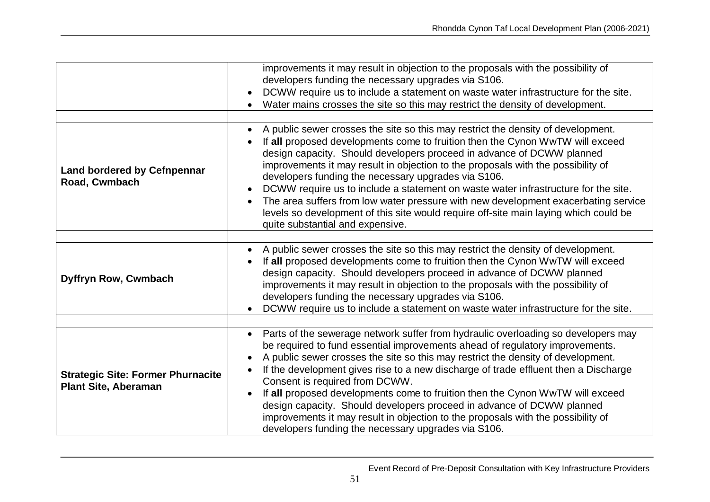|                                                                         | improvements it may result in objection to the proposals with the possibility of<br>developers funding the necessary upgrades via S106.<br>DCWW require us to include a statement on waste water infrastructure for the site.<br>Water mains crosses the site so this may restrict the density of development.                                                                                                                                                                                                                                                                                                                                                                                   |
|-------------------------------------------------------------------------|--------------------------------------------------------------------------------------------------------------------------------------------------------------------------------------------------------------------------------------------------------------------------------------------------------------------------------------------------------------------------------------------------------------------------------------------------------------------------------------------------------------------------------------------------------------------------------------------------------------------------------------------------------------------------------------------------|
| <b>Land bordered by Cefnpennar</b><br>Road, Cwmbach                     | A public sewer crosses the site so this may restrict the density of development.<br>If all proposed developments come to fruition then the Cynon WwTW will exceed<br>design capacity. Should developers proceed in advance of DCWW planned<br>improvements it may result in objection to the proposals with the possibility of<br>developers funding the necessary upgrades via S106.<br>DCWW require us to include a statement on waste water infrastructure for the site.<br>The area suffers from low water pressure with new development exacerbating service<br>levels so development of this site would require off-site main laying which could be<br>quite substantial and expensive.    |
|                                                                         |                                                                                                                                                                                                                                                                                                                                                                                                                                                                                                                                                                                                                                                                                                  |
| Dyffryn Row, Cwmbach                                                    | A public sewer crosses the site so this may restrict the density of development.<br>If all proposed developments come to fruition then the Cynon WwTW will exceed<br>design capacity. Should developers proceed in advance of DCWW planned<br>improvements it may result in objection to the proposals with the possibility of<br>developers funding the necessary upgrades via S106.<br>DCWW require us to include a statement on waste water infrastructure for the site.                                                                                                                                                                                                                      |
|                                                                         |                                                                                                                                                                                                                                                                                                                                                                                                                                                                                                                                                                                                                                                                                                  |
| <b>Strategic Site: Former Phurnacite</b><br><b>Plant Site, Aberaman</b> | Parts of the sewerage network suffer from hydraulic overloading so developers may<br>$\bullet$<br>be required to fund essential improvements ahead of regulatory improvements.<br>A public sewer crosses the site so this may restrict the density of development.<br>If the development gives rise to a new discharge of trade effluent then a Discharge<br>Consent is required from DCWW.<br>If all proposed developments come to fruition then the Cynon WwTW will exceed<br>design capacity. Should developers proceed in advance of DCWW planned<br>improvements it may result in objection to the proposals with the possibility of<br>developers funding the necessary upgrades via S106. |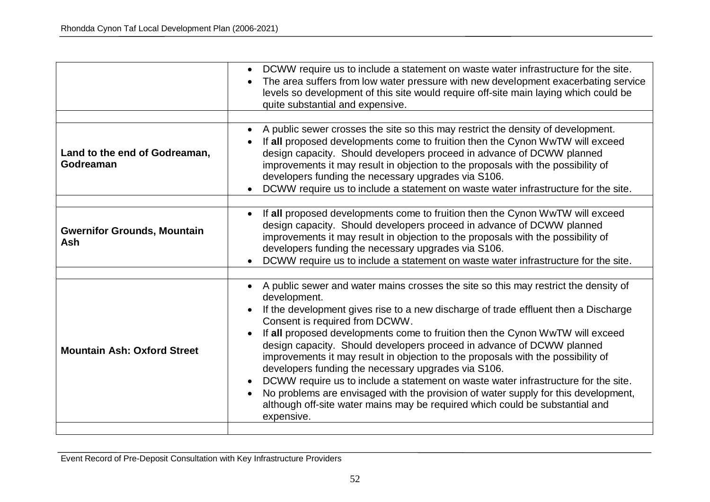|                                            | DCWW require us to include a statement on waste water infrastructure for the site.<br>$\bullet$<br>The area suffers from low water pressure with new development exacerbating service<br>levels so development of this site would require off-site main laying which could be<br>quite substantial and expensive.                                                                                                                                                                                                                                                                                                                                                                                                                                                                                           |
|--------------------------------------------|-------------------------------------------------------------------------------------------------------------------------------------------------------------------------------------------------------------------------------------------------------------------------------------------------------------------------------------------------------------------------------------------------------------------------------------------------------------------------------------------------------------------------------------------------------------------------------------------------------------------------------------------------------------------------------------------------------------------------------------------------------------------------------------------------------------|
| Land to the end of Godreaman,<br>Godreaman | A public sewer crosses the site so this may restrict the density of development.<br>If all proposed developments come to fruition then the Cynon WwTW will exceed<br>design capacity. Should developers proceed in advance of DCWW planned<br>improvements it may result in objection to the proposals with the possibility of<br>developers funding the necessary upgrades via S106.<br>DCWW require us to include a statement on waste water infrastructure for the site.                                                                                                                                                                                                                                                                                                                                 |
| <b>Gwernifor Grounds, Mountain</b><br>Ash  | If all proposed developments come to fruition then the Cynon WwTW will exceed<br>$\bullet$<br>design capacity. Should developers proceed in advance of DCWW planned<br>improvements it may result in objection to the proposals with the possibility of<br>developers funding the necessary upgrades via S106.<br>DCWW require us to include a statement on waste water infrastructure for the site.                                                                                                                                                                                                                                                                                                                                                                                                        |
| <b>Mountain Ash: Oxford Street</b>         | A public sewer and water mains crosses the site so this may restrict the density of<br>development.<br>If the development gives rise to a new discharge of trade effluent then a Discharge<br>Consent is required from DCWW.<br>If all proposed developments come to fruition then the Cynon WwTW will exceed<br>design capacity. Should developers proceed in advance of DCWW planned<br>improvements it may result in objection to the proposals with the possibility of<br>developers funding the necessary upgrades via S106.<br>DCWW require us to include a statement on waste water infrastructure for the site.<br>No problems are envisaged with the provision of water supply for this development,<br>although off-site water mains may be required which could be substantial and<br>expensive. |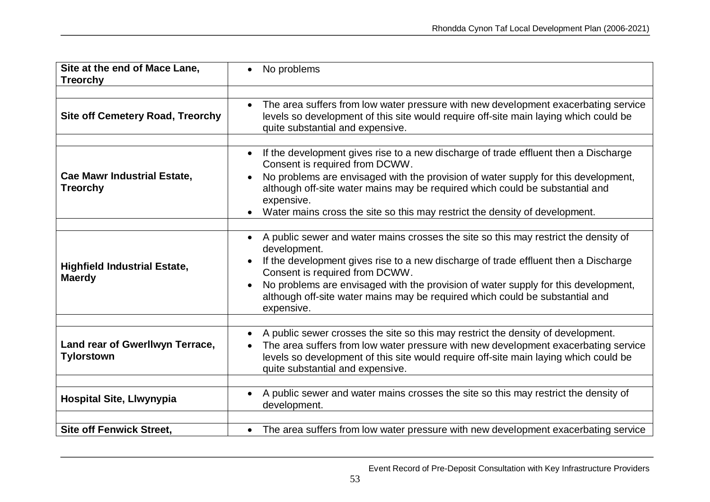| Site at the end of Mace Lane,<br><b>Treorchy</b>      | No problems                                                                                                                                                                                                                                                                                                                                                                                                      |
|-------------------------------------------------------|------------------------------------------------------------------------------------------------------------------------------------------------------------------------------------------------------------------------------------------------------------------------------------------------------------------------------------------------------------------------------------------------------------------|
| <b>Site off Cemetery Road, Treorchy</b>               | • The area suffers from low water pressure with new development exacerbating service<br>levels so development of this site would require off-site main laying which could be<br>quite substantial and expensive.                                                                                                                                                                                                 |
| <b>Cae Mawr Industrial Estate,</b><br><b>Treorchy</b> | If the development gives rise to a new discharge of trade effluent then a Discharge<br>$\bullet$<br>Consent is required from DCWW.<br>No problems are envisaged with the provision of water supply for this development,<br>although off-site water mains may be required which could be substantial and<br>expensive.<br>Water mains cross the site so this may restrict the density of development.            |
| <b>Highfield Industrial Estate,</b><br><b>Maerdy</b>  | A public sewer and water mains crosses the site so this may restrict the density of<br>development.<br>If the development gives rise to a new discharge of trade effluent then a Discharge<br>Consent is required from DCWW.<br>No problems are envisaged with the provision of water supply for this development,<br>although off-site water mains may be required which could be substantial and<br>expensive. |
| Land rear of Gwerllwyn Terrace,<br><b>Tylorstown</b>  | A public sewer crosses the site so this may restrict the density of development.<br>The area suffers from low water pressure with new development exacerbating service<br>levels so development of this site would require off-site main laying which could be<br>quite substantial and expensive.                                                                                                               |
| Hospital Site, Llwynypia                              | A public sewer and water mains crosses the site so this may restrict the density of<br>development.                                                                                                                                                                                                                                                                                                              |
| <b>Site off Fenwick Street,</b>                       | The area suffers from low water pressure with new development exacerbating service<br>$\bullet$                                                                                                                                                                                                                                                                                                                  |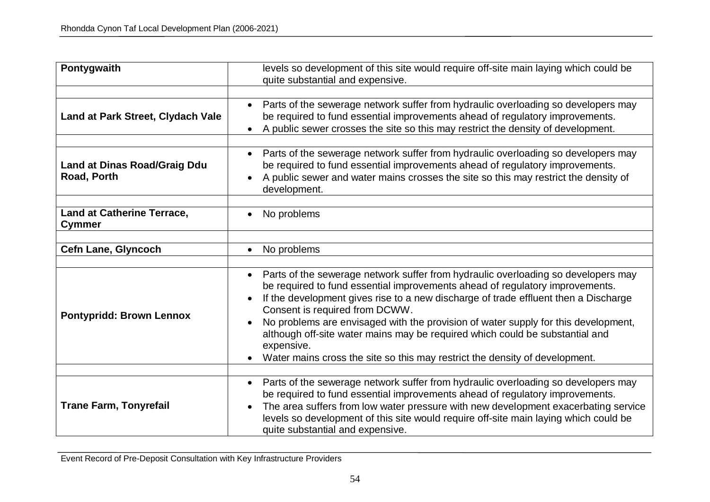| Pontygwaith                                        | levels so development of this site would require off-site main laying which could be<br>quite substantial and expensive.                                                                                                                                                                                                                                                                                                                                                                                                                                                   |
|----------------------------------------------------|----------------------------------------------------------------------------------------------------------------------------------------------------------------------------------------------------------------------------------------------------------------------------------------------------------------------------------------------------------------------------------------------------------------------------------------------------------------------------------------------------------------------------------------------------------------------------|
| Land at Park Street, Clydach Vale                  | • Parts of the sewerage network suffer from hydraulic overloading so developers may<br>be required to fund essential improvements ahead of regulatory improvements.<br>A public sewer crosses the site so this may restrict the density of development.<br>$\bullet$                                                                                                                                                                                                                                                                                                       |
| <b>Land at Dinas Road/Graig Ddu</b><br>Road, Porth | Parts of the sewerage network suffer from hydraulic overloading so developers may<br>$\bullet$<br>be required to fund essential improvements ahead of regulatory improvements.<br>A public sewer and water mains crosses the site so this may restrict the density of<br>development.                                                                                                                                                                                                                                                                                      |
| <b>Land at Catherine Terrace,</b><br>Cymmer        | No problems                                                                                                                                                                                                                                                                                                                                                                                                                                                                                                                                                                |
| <b>Cefn Lane, Glyncoch</b>                         | No problems<br>$\bullet$                                                                                                                                                                                                                                                                                                                                                                                                                                                                                                                                                   |
| <b>Pontypridd: Brown Lennox</b>                    | Parts of the sewerage network suffer from hydraulic overloading so developers may<br>$\bullet$<br>be required to fund essential improvements ahead of regulatory improvements.<br>If the development gives rise to a new discharge of trade effluent then a Discharge<br>Consent is required from DCWW.<br>No problems are envisaged with the provision of water supply for this development,<br>although off-site water mains may be required which could be substantial and<br>expensive.<br>Water mains cross the site so this may restrict the density of development. |
| <b>Trane Farm, Tonyrefail</b>                      | Parts of the sewerage network suffer from hydraulic overloading so developers may<br>$\bullet$<br>be required to fund essential improvements ahead of regulatory improvements.<br>The area suffers from low water pressure with new development exacerbating service<br>levels so development of this site would require off-site main laying which could be<br>quite substantial and expensive.                                                                                                                                                                           |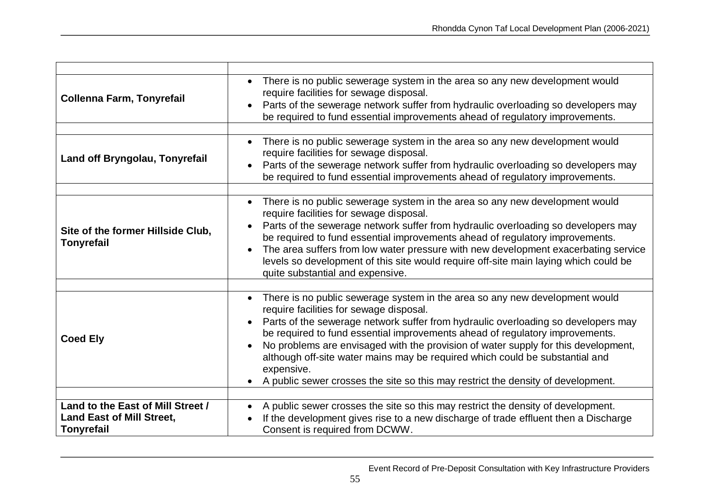| <b>Collenna Farm, Tonyrefail</b>                       | There is no public sewerage system in the area so any new development would<br>require facilities for sewage disposal.<br>Parts of the sewerage network suffer from hydraulic overloading so developers may<br>be required to fund essential improvements ahead of regulatory improvements.                                                                                                                                                                                                                                                                         |
|--------------------------------------------------------|---------------------------------------------------------------------------------------------------------------------------------------------------------------------------------------------------------------------------------------------------------------------------------------------------------------------------------------------------------------------------------------------------------------------------------------------------------------------------------------------------------------------------------------------------------------------|
|                                                        |                                                                                                                                                                                                                                                                                                                                                                                                                                                                                                                                                                     |
| Land off Bryngolau, Tonyrefail                         | There is no public sewerage system in the area so any new development would<br>require facilities for sewage disposal.<br>Parts of the sewerage network suffer from hydraulic overloading so developers may<br>be required to fund essential improvements ahead of regulatory improvements.                                                                                                                                                                                                                                                                         |
|                                                        |                                                                                                                                                                                                                                                                                                                                                                                                                                                                                                                                                                     |
| Site of the former Hillside Club,<br><b>Tonyrefail</b> | There is no public sewerage system in the area so any new development would<br>require facilities for sewage disposal.<br>Parts of the sewerage network suffer from hydraulic overloading so developers may<br>be required to fund essential improvements ahead of regulatory improvements.<br>The area suffers from low water pressure with new development exacerbating service<br>$\bullet$<br>levels so development of this site would require off-site main laying which could be<br>quite substantial and expensive.                                          |
| <b>Coed Ely</b>                                        | There is no public sewerage system in the area so any new development would<br>require facilities for sewage disposal.<br>Parts of the sewerage network suffer from hydraulic overloading so developers may<br>be required to fund essential improvements ahead of regulatory improvements.<br>No problems are envisaged with the provision of water supply for this development,<br>although off-site water mains may be required which could be substantial and<br>expensive.<br>A public sewer crosses the site so this may restrict the density of development. |
| Land to the East of Mill Street /                      | A public sewer crosses the site so this may restrict the density of development.                                                                                                                                                                                                                                                                                                                                                                                                                                                                                    |
| <b>Land East of Mill Street,</b><br><b>Tonyrefail</b>  | If the development gives rise to a new discharge of trade effluent then a Discharge<br>Consent is required from DCWW.                                                                                                                                                                                                                                                                                                                                                                                                                                               |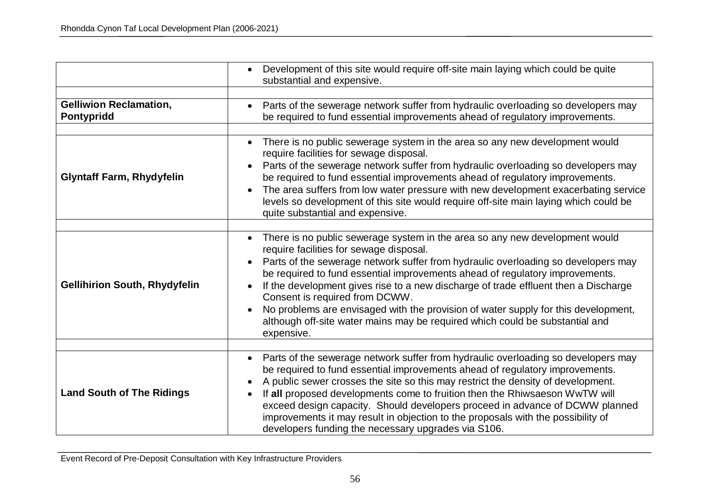|                                             | Development of this site would require off-site main laying which could be quite<br>substantial and expensive.                                                                                                                                                                                                                                                                                                                                                                                                                                                                                           |
|---------------------------------------------|----------------------------------------------------------------------------------------------------------------------------------------------------------------------------------------------------------------------------------------------------------------------------------------------------------------------------------------------------------------------------------------------------------------------------------------------------------------------------------------------------------------------------------------------------------------------------------------------------------|
| <b>Gelliwion Reclamation,</b><br>Pontypridd | Parts of the sewerage network suffer from hydraulic overloading so developers may<br>be required to fund essential improvements ahead of regulatory improvements.                                                                                                                                                                                                                                                                                                                                                                                                                                        |
| <b>Glyntaff Farm, Rhydyfelin</b>            | There is no public sewerage system in the area so any new development would<br>require facilities for sewage disposal.<br>Parts of the sewerage network suffer from hydraulic overloading so developers may<br>be required to fund essential improvements ahead of regulatory improvements.<br>The area suffers from low water pressure with new development exacerbating service<br>levels so development of this site would require off-site main laying which could be<br>quite substantial and expensive.                                                                                            |
| <b>Gellihirion South, Rhydyfelin</b>        | There is no public sewerage system in the area so any new development would<br>require facilities for sewage disposal.<br>Parts of the sewerage network suffer from hydraulic overloading so developers may<br>be required to fund essential improvements ahead of regulatory improvements.<br>If the development gives rise to a new discharge of trade effluent then a Discharge<br>Consent is required from DCWW.<br>No problems are envisaged with the provision of water supply for this development,<br>although off-site water mains may be required which could be substantial and<br>expensive. |
| <b>Land South of The Ridings</b>            | Parts of the sewerage network suffer from hydraulic overloading so developers may<br>be required to fund essential improvements ahead of regulatory improvements.<br>A public sewer crosses the site so this may restrict the density of development.<br>If all proposed developments come to fruition then the Rhiwsaeson WwTW will<br>exceed design capacity. Should developers proceed in advance of DCWW planned<br>improvements it may result in objection to the proposals with the possibility of<br>developers funding the necessary upgrades via S106.                                          |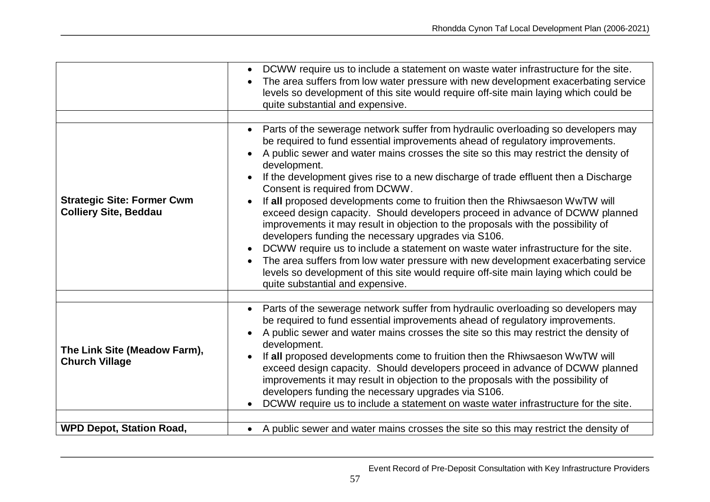|                                                                   | DCWW require us to include a statement on waste water infrastructure for the site.<br>The area suffers from low water pressure with new development exacerbating service<br>levels so development of this site would require off-site main laying which could be<br>quite substantial and expensive.                                                                                                                                                                                                                                                                                                                                                                                                                                                                                                                                                                                                                                                                                                                |
|-------------------------------------------------------------------|---------------------------------------------------------------------------------------------------------------------------------------------------------------------------------------------------------------------------------------------------------------------------------------------------------------------------------------------------------------------------------------------------------------------------------------------------------------------------------------------------------------------------------------------------------------------------------------------------------------------------------------------------------------------------------------------------------------------------------------------------------------------------------------------------------------------------------------------------------------------------------------------------------------------------------------------------------------------------------------------------------------------|
| <b>Strategic Site: Former Cwm</b><br><b>Colliery Site, Beddau</b> | Parts of the sewerage network suffer from hydraulic overloading so developers may<br>be required to fund essential improvements ahead of regulatory improvements.<br>A public sewer and water mains crosses the site so this may restrict the density of<br>development.<br>If the development gives rise to a new discharge of trade effluent then a Discharge<br>Consent is required from DCWW.<br>If all proposed developments come to fruition then the Rhiwsaeson WwTW will<br>exceed design capacity. Should developers proceed in advance of DCWW planned<br>improvements it may result in objection to the proposals with the possibility of<br>developers funding the necessary upgrades via S106.<br>DCWW require us to include a statement on waste water infrastructure for the site.<br>The area suffers from low water pressure with new development exacerbating service<br>levels so development of this site would require off-site main laying which could be<br>quite substantial and expensive. |
| The Link Site (Meadow Farm),<br><b>Church Village</b>             | Parts of the sewerage network suffer from hydraulic overloading so developers may<br>$\bullet$<br>be required to fund essential improvements ahead of regulatory improvements.<br>A public sewer and water mains crosses the site so this may restrict the density of<br>development.<br>If all proposed developments come to fruition then the Rhiwsaeson WwTW will<br>exceed design capacity. Should developers proceed in advance of DCWW planned<br>improvements it may result in objection to the proposals with the possibility of<br>developers funding the necessary upgrades via S106.<br>DCWW require us to include a statement on waste water infrastructure for the site.                                                                                                                                                                                                                                                                                                                               |
| <b>WPD Depot, Station Road,</b>                                   | • A public sewer and water mains crosses the site so this may restrict the density of                                                                                                                                                                                                                                                                                                                                                                                                                                                                                                                                                                                                                                                                                                                                                                                                                                                                                                                               |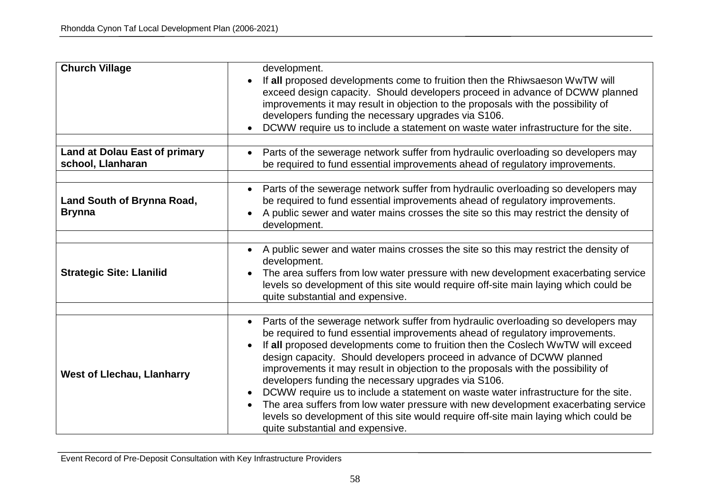| <b>Church Village</b>                                     | development.<br>If all proposed developments come to fruition then the Rhiwsaeson WwTW will<br>exceed design capacity. Should developers proceed in advance of DCWW planned<br>improvements it may result in objection to the proposals with the possibility of<br>developers funding the necessary upgrades via S106.<br>DCWW require us to include a statement on waste water infrastructure for the site.                                                                                                                                                                                                                                                                                                                                                                     |
|-----------------------------------------------------------|----------------------------------------------------------------------------------------------------------------------------------------------------------------------------------------------------------------------------------------------------------------------------------------------------------------------------------------------------------------------------------------------------------------------------------------------------------------------------------------------------------------------------------------------------------------------------------------------------------------------------------------------------------------------------------------------------------------------------------------------------------------------------------|
| <b>Land at Dolau East of primary</b><br>school, Llanharan | Parts of the sewerage network suffer from hydraulic overloading so developers may<br>be required to fund essential improvements ahead of regulatory improvements.                                                                                                                                                                                                                                                                                                                                                                                                                                                                                                                                                                                                                |
| Land South of Brynna Road,<br><b>Brynna</b>               | Parts of the sewerage network suffer from hydraulic overloading so developers may<br>be required to fund essential improvements ahead of regulatory improvements.<br>A public sewer and water mains crosses the site so this may restrict the density of<br>development.                                                                                                                                                                                                                                                                                                                                                                                                                                                                                                         |
| <b>Strategic Site: Llanilid</b>                           | • A public sewer and water mains crosses the site so this may restrict the density of<br>development.<br>The area suffers from low water pressure with new development exacerbating service<br>levels so development of this site would require off-site main laying which could be<br>quite substantial and expensive.                                                                                                                                                                                                                                                                                                                                                                                                                                                          |
| <b>West of Llechau, Llanharry</b>                         | Parts of the sewerage network suffer from hydraulic overloading so developers may<br>be required to fund essential improvements ahead of regulatory improvements.<br>If all proposed developments come to fruition then the Coslech WwTW will exceed<br>design capacity. Should developers proceed in advance of DCWW planned<br>improvements it may result in objection to the proposals with the possibility of<br>developers funding the necessary upgrades via S106.<br>DCWW require us to include a statement on waste water infrastructure for the site.<br>The area suffers from low water pressure with new development exacerbating service<br>levels so development of this site would require off-site main laying which could be<br>quite substantial and expensive. |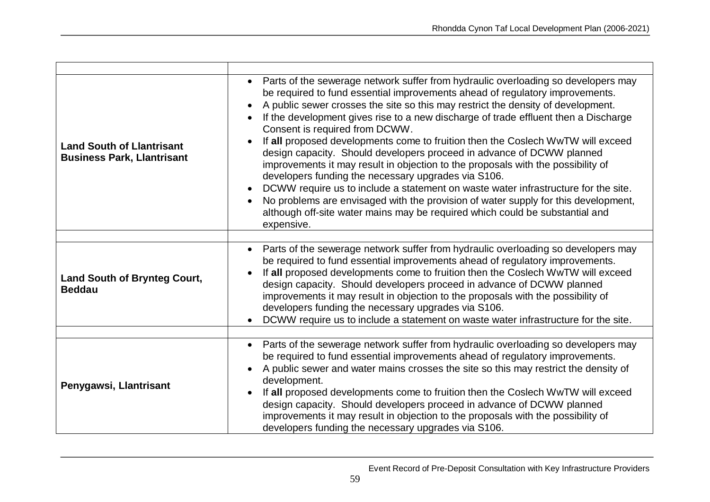| <b>Land South of Llantrisant</b><br><b>Business Park, Llantrisant</b> | Parts of the sewerage network suffer from hydraulic overloading so developers may<br>be required to fund essential improvements ahead of regulatory improvements.<br>A public sewer crosses the site so this may restrict the density of development.<br>If the development gives rise to a new discharge of trade effluent then a Discharge<br>Consent is required from DCWW.<br>If all proposed developments come to fruition then the Coslech WwTW will exceed<br>design capacity. Should developers proceed in advance of DCWW planned<br>improvements it may result in objection to the proposals with the possibility of<br>developers funding the necessary upgrades via S106.<br>DCWW require us to include a statement on waste water infrastructure for the site.<br>No problems are envisaged with the provision of water supply for this development,<br>although off-site water mains may be required which could be substantial and<br>expensive. |
|-----------------------------------------------------------------------|-----------------------------------------------------------------------------------------------------------------------------------------------------------------------------------------------------------------------------------------------------------------------------------------------------------------------------------------------------------------------------------------------------------------------------------------------------------------------------------------------------------------------------------------------------------------------------------------------------------------------------------------------------------------------------------------------------------------------------------------------------------------------------------------------------------------------------------------------------------------------------------------------------------------------------------------------------------------|
|                                                                       | Parts of the sewerage network suffer from hydraulic overloading so developers may<br>$\bullet$                                                                                                                                                                                                                                                                                                                                                                                                                                                                                                                                                                                                                                                                                                                                                                                                                                                                  |
| <b>Land South of Brynteg Court,</b><br><b>Beddau</b>                  | be required to fund essential improvements ahead of regulatory improvements.<br>If all proposed developments come to fruition then the Coslech WwTW will exceed<br>design capacity. Should developers proceed in advance of DCWW planned<br>improvements it may result in objection to the proposals with the possibility of<br>developers funding the necessary upgrades via S106.<br>DCWW require us to include a statement on waste water infrastructure for the site.                                                                                                                                                                                                                                                                                                                                                                                                                                                                                       |
|                                                                       |                                                                                                                                                                                                                                                                                                                                                                                                                                                                                                                                                                                                                                                                                                                                                                                                                                                                                                                                                                 |
| Penygawsi, Llantrisant                                                | Parts of the sewerage network suffer from hydraulic overloading so developers may<br>$\bullet$<br>be required to fund essential improvements ahead of regulatory improvements.<br>A public sewer and water mains crosses the site so this may restrict the density of<br>development.<br>If all proposed developments come to fruition then the Coslech WwTW will exceed<br>design capacity. Should developers proceed in advance of DCWW planned<br>improvements it may result in objection to the proposals with the possibility of<br>developers funding the necessary upgrades via S106.                                                                                                                                                                                                                                                                                                                                                                    |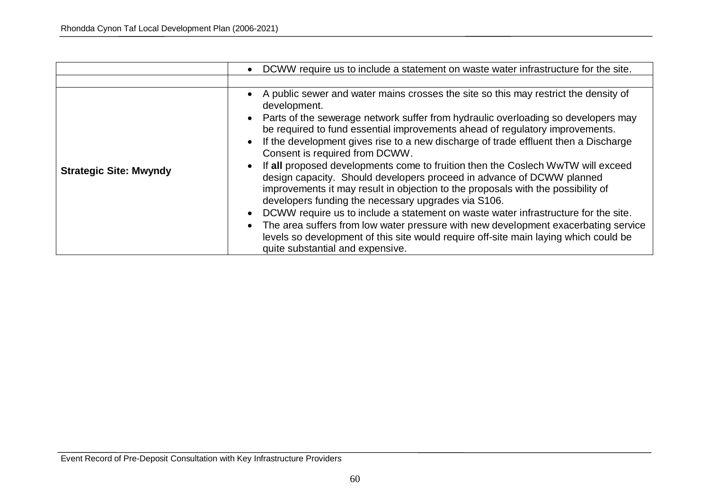|                               | DCWW require us to include a statement on waste water infrastructure for the site.<br>$\bullet$                                                                                                                                                                                                                                                                                                                                                                                                                                                                                                                                                                                                                                                                                                                                                                                                                                                                                                                                                                                   |
|-------------------------------|-----------------------------------------------------------------------------------------------------------------------------------------------------------------------------------------------------------------------------------------------------------------------------------------------------------------------------------------------------------------------------------------------------------------------------------------------------------------------------------------------------------------------------------------------------------------------------------------------------------------------------------------------------------------------------------------------------------------------------------------------------------------------------------------------------------------------------------------------------------------------------------------------------------------------------------------------------------------------------------------------------------------------------------------------------------------------------------|
|                               |                                                                                                                                                                                                                                                                                                                                                                                                                                                                                                                                                                                                                                                                                                                                                                                                                                                                                                                                                                                                                                                                                   |
| <b>Strategic Site: Mwyndy</b> | A public sewer and water mains crosses the site so this may restrict the density of<br>$\bullet$<br>development.<br>Parts of the sewerage network suffer from hydraulic overloading so developers may<br>$\bullet$<br>be required to fund essential improvements ahead of regulatory improvements.<br>If the development gives rise to a new discharge of trade effluent then a Discharge<br>$\bullet$<br>Consent is required from DCWW.<br>If all proposed developments come to fruition then the Coslech WwTW will exceed<br>$\bullet$<br>design capacity. Should developers proceed in advance of DCWW planned<br>improvements it may result in objection to the proposals with the possibility of<br>developers funding the necessary upgrades via S106.<br>DCWW require us to include a statement on waste water infrastructure for the site.<br>$\bullet$<br>The area suffers from low water pressure with new development exacerbating service<br>levels so development of this site would require off-site main laying which could be<br>quite substantial and expensive. |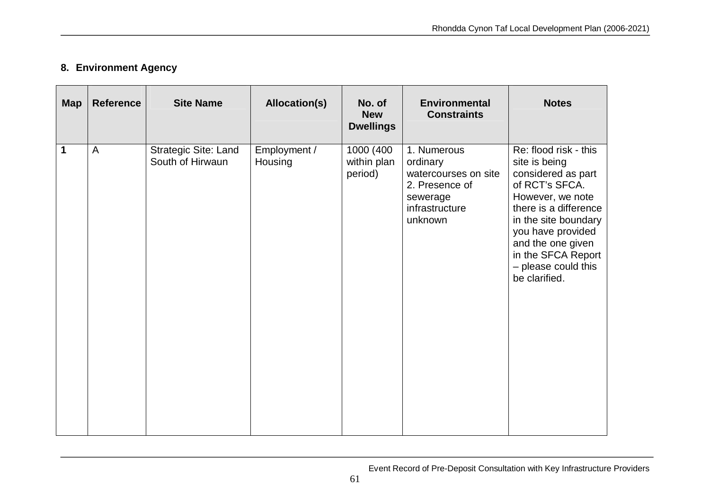## **8. Environment Agency**

| <b>Map</b> | <b>Reference</b> | <b>Site Name</b>                         | <b>Allocation(s)</b>    | No. of<br><b>New</b><br><b>Dwellings</b> | <b>Environmental</b><br><b>Constraints</b>                                                                 | <b>Notes</b>                                                                                                                                                                                                                                                |
|------------|------------------|------------------------------------------|-------------------------|------------------------------------------|------------------------------------------------------------------------------------------------------------|-------------------------------------------------------------------------------------------------------------------------------------------------------------------------------------------------------------------------------------------------------------|
| 1          | $\overline{A}$   | Strategic Site: Land<br>South of Hirwaun | Employment /<br>Housing | 1000 (400<br>within plan<br>period)      | 1. Numerous<br>ordinary<br>watercourses on site<br>2. Presence of<br>sewerage<br>infrastructure<br>unknown | Re: flood risk - this<br>site is being<br>considered as part<br>of RCT's SFCA.<br>However, we note<br>there is a difference<br>in the site boundary<br>you have provided<br>and the one given<br>in the SFCA Report<br>- please could this<br>be clarified. |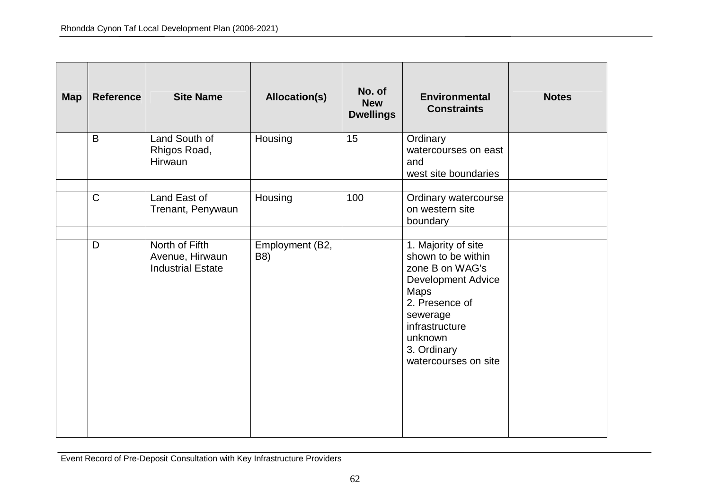| <b>Map</b> | <b>Reference</b> | <b>Site Name</b>                                              | <b>Allocation(s)</b>   | No. of<br><b>New</b><br><b>Dwellings</b> | <b>Environmental</b><br><b>Constraints</b>                                                                                                                                                                 | <b>Notes</b> |
|------------|------------------|---------------------------------------------------------------|------------------------|------------------------------------------|------------------------------------------------------------------------------------------------------------------------------------------------------------------------------------------------------------|--------------|
|            | B                | Land South of<br>Rhigos Road,<br>Hirwaun                      | Housing                | 15                                       | Ordinary<br>watercourses on east<br>and<br>west site boundaries                                                                                                                                            |              |
|            | $\mathsf{C}$     | Land East of<br>Trenant, Penywaun                             | Housing                | 100                                      | Ordinary watercourse<br>on western site<br>boundary                                                                                                                                                        |              |
|            | D                | North of Fifth<br>Avenue, Hirwaun<br><b>Industrial Estate</b> | Employment (B2,<br>B8) |                                          | 1. Majority of site<br>shown to be within<br>zone B on WAG's<br><b>Development Advice</b><br><b>Maps</b><br>2. Presence of<br>sewerage<br>infrastructure<br>unknown<br>3. Ordinary<br>watercourses on site |              |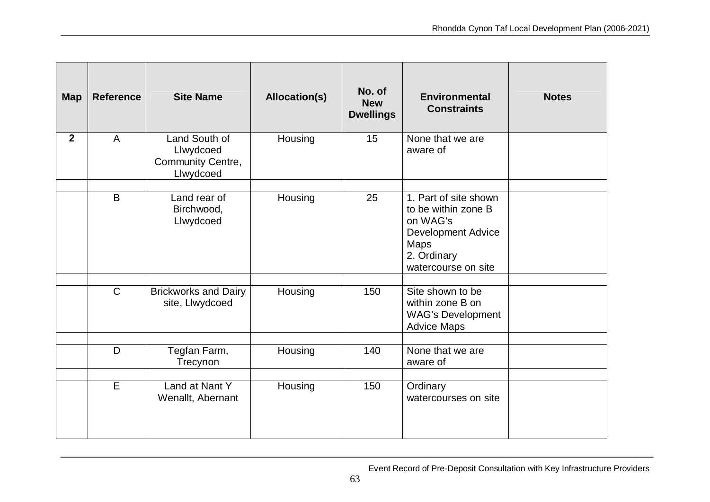| <b>Map</b>     | <b>Reference</b> | <b>Site Name</b>                                             | Allocation(s) | No. of<br><b>New</b><br><b>Dwellings</b> | <b>Environmental</b><br><b>Constraints</b>                                                                                                 | <b>Notes</b> |
|----------------|------------------|--------------------------------------------------------------|---------------|------------------------------------------|--------------------------------------------------------------------------------------------------------------------------------------------|--------------|
| $\overline{2}$ | A                | Land South of<br>Llwydcoed<br>Community Centre,<br>Llwydcoed | Housing       | 15                                       | None that we are<br>aware of                                                                                                               |              |
|                | B                | Land rear of<br>Birchwood,<br>Llwydcoed                      | Housing       | 25                                       | 1. Part of site shown<br>to be within zone B<br>on WAG's<br><b>Development Advice</b><br><b>Maps</b><br>2. Ordinary<br>watercourse on site |              |
|                | $\mathsf{C}$     | <b>Brickworks and Dairy</b><br>site, Llwydcoed               | Housing       | 150                                      | Site shown to be<br>within zone B on<br><b>WAG's Development</b><br><b>Advice Maps</b>                                                     |              |
|                | D                | Tegfan Farm,<br>Trecynon                                     | Housing       | 140                                      | None that we are<br>aware of                                                                                                               |              |
|                | E                | Land at Nant Y<br>Wenallt, Abernant                          | Housing       | 150                                      | Ordinary<br>watercourses on site                                                                                                           |              |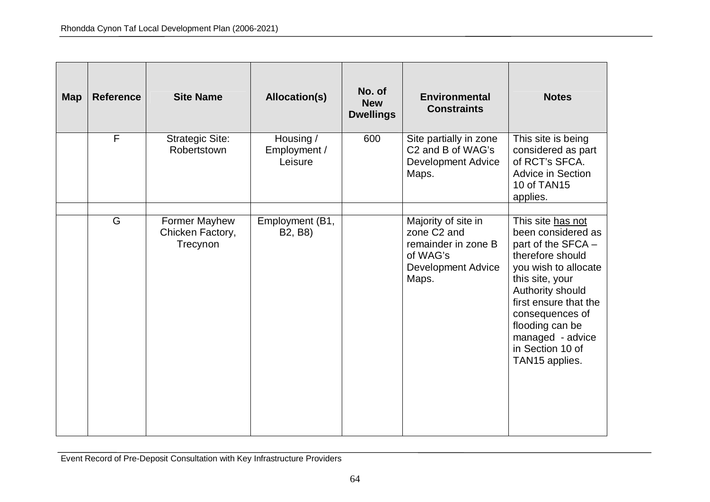| <b>Map</b> | <b>Reference</b> | <b>Site Name</b>                              | <b>Allocation(s)</b>                                 | No. of<br><b>New</b><br><b>Dwellings</b> | <b>Environmental</b><br><b>Constraints</b>                                                                              | <b>Notes</b>                                                                                                                                                                                                                                                              |
|------------|------------------|-----------------------------------------------|------------------------------------------------------|------------------------------------------|-------------------------------------------------------------------------------------------------------------------------|---------------------------------------------------------------------------------------------------------------------------------------------------------------------------------------------------------------------------------------------------------------------------|
|            | F                | <b>Strategic Site:</b><br>Robertstown         | Housing /<br>Employment /<br>Leisure                 | 600                                      | Site partially in zone<br>C <sub>2</sub> and B of WAG's<br><b>Development Advice</b><br>Maps.                           | This site is being<br>considered as part<br>of RCT's SFCA.<br>Advice in Section<br>10 of TAN15<br>applies.                                                                                                                                                                |
|            | G                | Former Mayhew<br>Chicken Factory,<br>Trecynon | Employment (B1,<br>B <sub>2</sub> , B <sub>8</sub> ) |                                          | Majority of site in<br>zone C <sub>2</sub> and<br>remainder in zone B<br>of WAG's<br><b>Development Advice</b><br>Maps. | This site has not<br>been considered as<br>part of the SFCA -<br>therefore should<br>you wish to allocate<br>this site, your<br>Authority should<br>first ensure that the<br>consequences of<br>flooding can be<br>managed - advice<br>in Section 10 of<br>TAN15 applies. |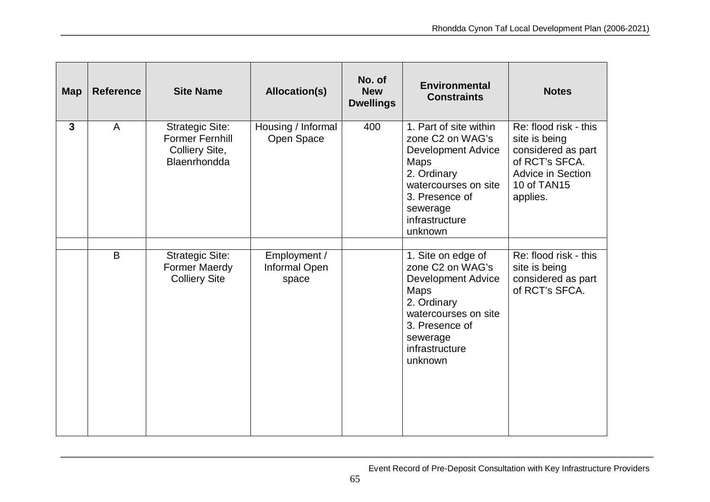| <b>Map</b>   | <b>Reference</b> | <b>Site Name</b>                                                                   | Allocation(s)                          | No. of<br><b>New</b><br><b>Dwellings</b> | <b>Environmental</b><br><b>Constraints</b>                                                                                                                                                | <b>Notes</b>                                                                                                                          |
|--------------|------------------|------------------------------------------------------------------------------------|----------------------------------------|------------------------------------------|-------------------------------------------------------------------------------------------------------------------------------------------------------------------------------------------|---------------------------------------------------------------------------------------------------------------------------------------|
| $\mathbf{3}$ | $\overline{A}$   | <b>Strategic Site:</b><br><b>Former Fernhill</b><br>Colliery Site,<br>Blaenrhondda | Housing / Informal<br>Open Space       | 400                                      | 1. Part of site within<br>zone C2 on WAG's<br><b>Development Advice</b><br><b>Maps</b><br>2. Ordinary<br>watercourses on site<br>3. Presence of<br>sewerage<br>infrastructure<br>unknown  | Re: flood risk - this<br>site is being<br>considered as part<br>of RCT's SFCA.<br><b>Advice in Section</b><br>10 of TAN15<br>applies. |
|              | B                | <b>Strategic Site:</b><br><b>Former Maerdy</b><br><b>Colliery Site</b>             | Employment /<br>Informal Open<br>space |                                          | 1. Site on edge of<br>zone C <sub>2</sub> on WAG's<br><b>Development Advice</b><br>Maps<br>2. Ordinary<br>watercourses on site<br>3. Presence of<br>sewerage<br>infrastructure<br>unknown | Re: flood risk - this<br>site is being<br>considered as part<br>of RCT's SFCA.                                                        |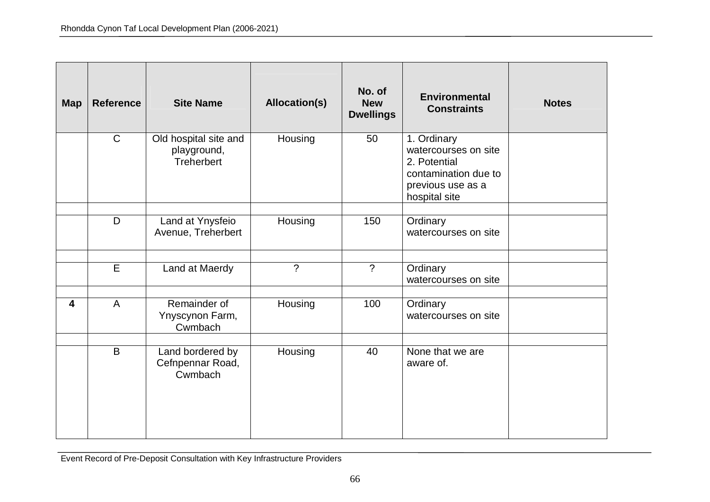| <b>Map</b> | <b>Reference</b> | <b>Site Name</b>                                          | <b>Allocation(s)</b> | No. of<br><b>New</b><br><b>Dwellings</b> | <b>Environmental</b><br><b>Constraints</b>                                                                        | <b>Notes</b> |
|------------|------------------|-----------------------------------------------------------|----------------------|------------------------------------------|-------------------------------------------------------------------------------------------------------------------|--------------|
|            | $\mathsf{C}$     | Old hospital site and<br>playground,<br><b>Treherbert</b> | Housing              | 50                                       | 1. Ordinary<br>watercourses on site<br>2. Potential<br>contamination due to<br>previous use as a<br>hospital site |              |
|            | D                | Land at Ynysfeio<br>Avenue, Treherbert                    | Housing              | 150                                      | Ordinary<br>watercourses on site                                                                                  |              |
|            | $\overline{E}$   | Land at Maerdy                                            | $\gamma$             | $\gamma$                                 | Ordinary<br>watercourses on site                                                                                  |              |
| 4          | A                | Remainder of<br>Ynyscynon Farm,<br>Cwmbach                | Housing              | 100                                      | Ordinary<br>watercourses on site                                                                                  |              |
|            | B                | Land bordered by<br>Cefnpennar Road,<br>Cwmbach           | Housing              | 40                                       | None that we are<br>aware of.                                                                                     |              |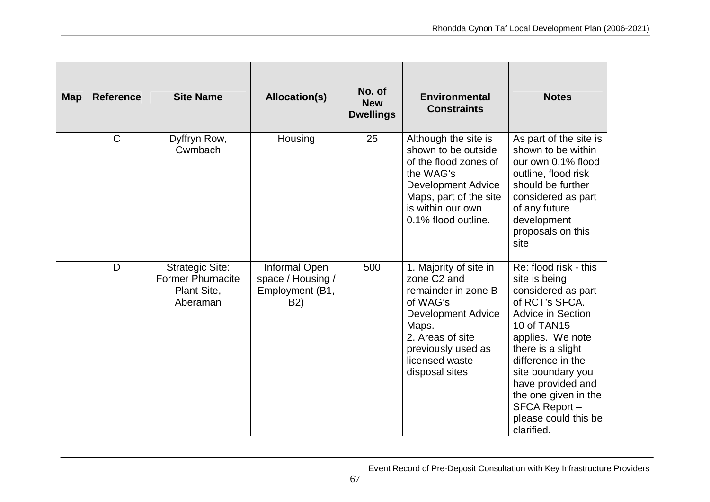| <b>Map</b> | <b>Reference</b> | <b>Site Name</b>                                                              | Allocation(s)                                                | No. of<br><b>New</b><br><b>Dwellings</b> | <b>Environmental</b><br><b>Constraints</b>                                                                                                                                                               | <b>Notes</b>                                                                                                                                                                                                                                                                                                    |
|------------|------------------|-------------------------------------------------------------------------------|--------------------------------------------------------------|------------------------------------------|----------------------------------------------------------------------------------------------------------------------------------------------------------------------------------------------------------|-----------------------------------------------------------------------------------------------------------------------------------------------------------------------------------------------------------------------------------------------------------------------------------------------------------------|
|            | $\mathsf{C}$     | Dyffryn Row,<br>Cwmbach                                                       | Housing                                                      | 25                                       | Although the site is<br>shown to be outside<br>of the flood zones of<br>the WAG's<br><b>Development Advice</b><br>Maps, part of the site<br>is within our own<br>0.1% flood outline.                     | As part of the site is<br>shown to be within<br>our own 0.1% flood<br>outline, flood risk<br>should be further<br>considered as part<br>of any future<br>development<br>proposals on this<br>site                                                                                                               |
|            | D                | <b>Strategic Site:</b><br><b>Former Phurnacite</b><br>Plant Site,<br>Aberaman | Informal Open<br>space / Housing /<br>Employment (B1,<br>B2) | 500                                      | 1. Majority of site in<br>zone C <sub>2</sub> and<br>remainder in zone B<br>of WAG's<br><b>Development Advice</b><br>Maps.<br>2. Areas of site<br>previously used as<br>licensed waste<br>disposal sites | Re: flood risk - this<br>site is being<br>considered as part<br>of RCT's SFCA.<br><b>Advice in Section</b><br>10 of TAN15<br>applies. We note<br>there is a slight<br>difference in the<br>site boundary you<br>have provided and<br>the one given in the<br>SFCA Report-<br>please could this be<br>clarified. |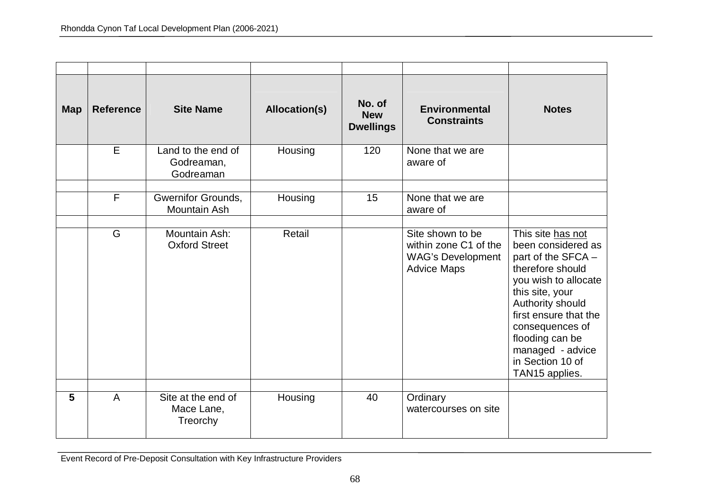| <b>Map</b> | <b>Reference</b> | <b>Site Name</b>                              | <b>Allocation(s)</b> | No. of<br><b>New</b><br><b>Dwellings</b> | <b>Environmental</b><br><b>Constraints</b>                                                  | <b>Notes</b>                                                                                                                                                                                                                                                              |
|------------|------------------|-----------------------------------------------|----------------------|------------------------------------------|---------------------------------------------------------------------------------------------|---------------------------------------------------------------------------------------------------------------------------------------------------------------------------------------------------------------------------------------------------------------------------|
|            | E                | Land to the end of<br>Godreaman,<br>Godreaman | Housing              | 120                                      | None that we are<br>aware of                                                                |                                                                                                                                                                                                                                                                           |
|            | $\overline{F}$   | <b>Gwernifor Grounds,</b><br>Mountain Ash     | Housing              | 15                                       | None that we are<br>aware of                                                                |                                                                                                                                                                                                                                                                           |
|            | G                | Mountain Ash:<br><b>Oxford Street</b>         | Retail               |                                          | Site shown to be<br>within zone C1 of the<br><b>WAG's Development</b><br><b>Advice Maps</b> | This site has not<br>been considered as<br>part of the SFCA -<br>therefore should<br>you wish to allocate<br>this site, your<br>Authority should<br>first ensure that the<br>consequences of<br>flooding can be<br>managed - advice<br>in Section 10 of<br>TAN15 applies. |
| 5          | A                | Site at the end of<br>Mace Lane,<br>Treorchy  | Housing              | 40                                       | Ordinary<br>watercourses on site                                                            |                                                                                                                                                                                                                                                                           |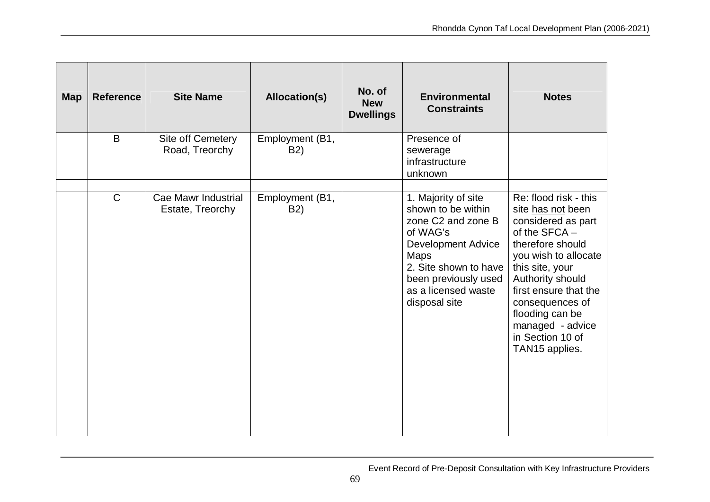| <b>Map</b> | <b>Reference</b> | <b>Site Name</b>                        | <b>Allocation(s)</b>                | No. of<br><b>New</b><br><b>Dwellings</b> | <b>Environmental</b><br><b>Constraints</b>                                                                                                                                                                                   | <b>Notes</b>                                                                                                                                                                                                                                                                                  |
|------------|------------------|-----------------------------------------|-------------------------------------|------------------------------------------|------------------------------------------------------------------------------------------------------------------------------------------------------------------------------------------------------------------------------|-----------------------------------------------------------------------------------------------------------------------------------------------------------------------------------------------------------------------------------------------------------------------------------------------|
|            | B                | Site off Cemetery<br>Road, Treorchy     | Employment (B1,<br>B <sub>2</sub> ) |                                          | Presence of<br>sewerage<br>infrastructure<br>unknown                                                                                                                                                                         |                                                                                                                                                                                                                                                                                               |
|            | $\mathsf{C}$     | Cae Mawr Industrial<br>Estate, Treorchy | Employment (B1,<br><b>B2)</b>       |                                          | 1. Majority of site<br>shown to be within<br>zone C <sub>2</sub> and zone B<br>of WAG's<br><b>Development Advice</b><br><b>Maps</b><br>2. Site shown to have<br>been previously used<br>as a licensed waste<br>disposal site | Re: flood risk - this<br>site has not been<br>considered as part<br>of the SFCA -<br>therefore should<br>you wish to allocate<br>this site, your<br>Authority should<br>first ensure that the<br>consequences of<br>flooding can be<br>managed - advice<br>in Section 10 of<br>TAN15 applies. |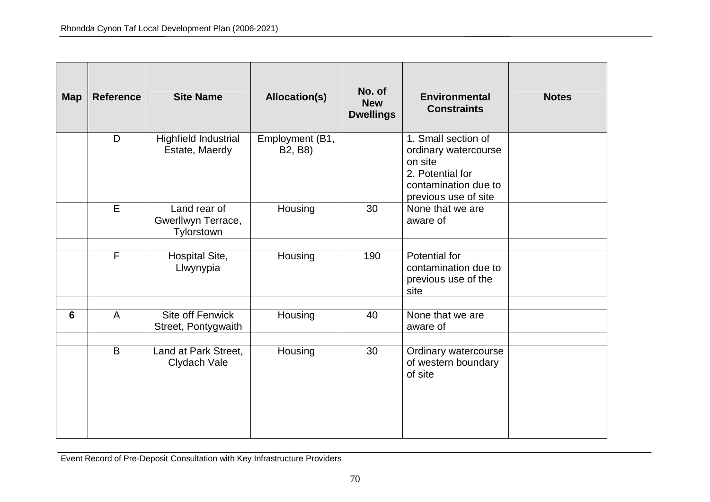| <b>Map</b> | <b>Reference</b>        | <b>Site Name</b>                                 | <b>Allocation(s)</b>       | No. of<br><b>New</b><br><b>Dwellings</b> | <b>Environmental</b><br><b>Constraints</b>                                                                                 | <b>Notes</b> |
|------------|-------------------------|--------------------------------------------------|----------------------------|------------------------------------------|----------------------------------------------------------------------------------------------------------------------------|--------------|
|            | D                       | Highfield Industrial<br>Estate, Maerdy           | Employment (B1,<br>B2, B8) |                                          | 1. Small section of<br>ordinary watercourse<br>on site<br>2. Potential for<br>contamination due to<br>previous use of site |              |
|            | E                       | Land rear of<br>Gwerllwyn Terrace,<br>Tylorstown | Housing                    | 30                                       | None that we are<br>aware of                                                                                               |              |
|            | $\overline{\mathsf{F}}$ | Hospital Site,<br>Llwynypia                      | Housing                    | 190                                      | Potential for<br>contamination due to<br>previous use of the<br>site                                                       |              |
| 6          | $\mathsf{A}$            | Site off Fenwick<br>Street, Pontygwaith          | Housing                    | 40                                       | None that we are<br>aware of                                                                                               |              |
|            | B                       | Land at Park Street,<br>Clydach Vale             | Housing                    | 30                                       | Ordinary watercourse<br>of western boundary<br>of site                                                                     |              |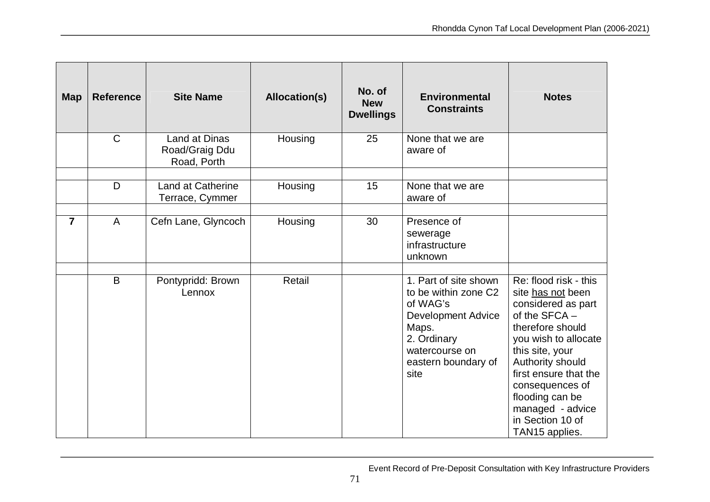| <b>Map</b>     | <b>Reference</b> | <b>Site Name</b>                               | <b>Allocation(s)</b> | No. of<br><b>New</b><br><b>Dwellings</b> | <b>Environmental</b><br><b>Constraints</b>                                                                                                                      | <b>Notes</b>                                                                                                                                                                                                                                                                                  |
|----------------|------------------|------------------------------------------------|----------------------|------------------------------------------|-----------------------------------------------------------------------------------------------------------------------------------------------------------------|-----------------------------------------------------------------------------------------------------------------------------------------------------------------------------------------------------------------------------------------------------------------------------------------------|
|                | $\mathsf{C}$     | Land at Dinas<br>Road/Graig Ddu<br>Road, Porth | Housing              | 25                                       | None that we are<br>aware of                                                                                                                                    |                                                                                                                                                                                                                                                                                               |
|                | D                | Land at Catherine<br>Terrace, Cymmer           | Housing              | 15                                       | None that we are<br>aware of                                                                                                                                    |                                                                                                                                                                                                                                                                                               |
| $\overline{7}$ | A                | Cefn Lane, Glyncoch                            | Housing              | 30                                       | Presence of<br>sewerage<br>infrastructure<br>unknown                                                                                                            |                                                                                                                                                                                                                                                                                               |
|                | B                | Pontypridd: Brown<br>Lennox                    | Retail               |                                          | 1. Part of site shown<br>to be within zone C2<br>of WAG's<br><b>Development Advice</b><br>Maps.<br>2. Ordinary<br>watercourse on<br>eastern boundary of<br>site | Re: flood risk - this<br>site has not been<br>considered as part<br>of the SFCA -<br>therefore should<br>you wish to allocate<br>this site, your<br>Authority should<br>first ensure that the<br>consequences of<br>flooding can be<br>managed - advice<br>in Section 10 of<br>TAN15 applies. |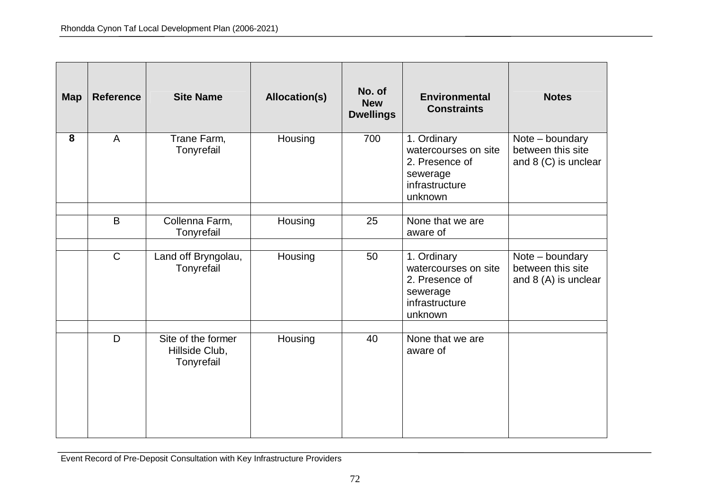| <b>Map</b> | <b>Reference</b> | <b>Site Name</b>                                   | <b>Allocation(s)</b> | No. of<br><b>New</b><br><b>Dwellings</b> | <b>Environmental</b><br><b>Constraints</b>                                                     | <b>Notes</b>                                                  |
|------------|------------------|----------------------------------------------------|----------------------|------------------------------------------|------------------------------------------------------------------------------------------------|---------------------------------------------------------------|
| 8          | $\overline{A}$   | Trane Farm,<br>Tonyrefail                          | Housing              | 700                                      | 1. Ordinary<br>watercourses on site<br>2. Presence of<br>sewerage<br>infrastructure<br>unknown | Note – boundary<br>between this site<br>and 8 (C) is unclear  |
|            | B                | Collenna Farm,<br>Tonyrefail                       | Housing              | 25                                       | None that we are<br>aware of                                                                   |                                                               |
|            | $\mathsf{C}$     | Land off Bryngolau,<br>Tonyrefail                  | Housing              | 50                                       | 1. Ordinary<br>watercourses on site<br>2. Presence of<br>sewerage<br>infrastructure<br>unknown | Note - boundary<br>between this site<br>and $8(A)$ is unclear |
|            | D                | Site of the former<br>Hillside Club,<br>Tonyrefail | Housing              | 40                                       | None that we are<br>aware of                                                                   |                                                               |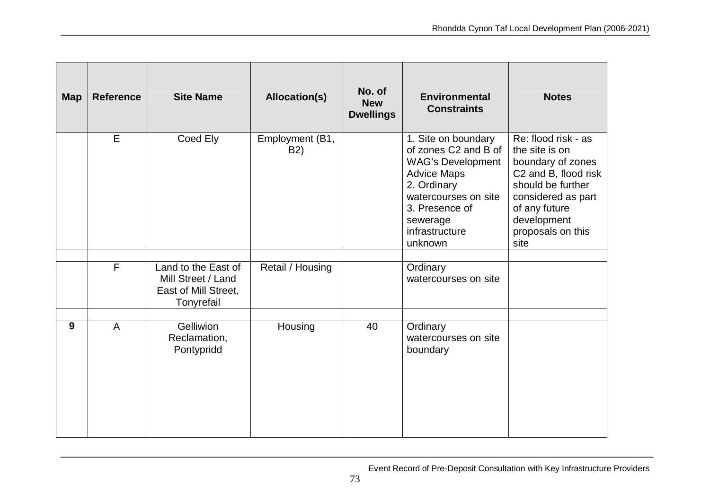| <b>Map</b> | <b>Reference</b> | <b>Site Name</b>                                                                | Allocation(s)                       | No. of<br><b>New</b><br><b>Dwellings</b> | <b>Environmental</b><br><b>Constraints</b>                                                                                                                                                      | <b>Notes</b>                                                                                                                                                                               |
|------------|------------------|---------------------------------------------------------------------------------|-------------------------------------|------------------------------------------|-------------------------------------------------------------------------------------------------------------------------------------------------------------------------------------------------|--------------------------------------------------------------------------------------------------------------------------------------------------------------------------------------------|
|            | E                | Coed Ely                                                                        | Employment (B1,<br>B <sub>2</sub> ) |                                          | 1. Site on boundary<br>of zones C2 and B of<br><b>WAG's Development</b><br><b>Advice Maps</b><br>2. Ordinary<br>watercourses on site<br>3. Presence of<br>sewerage<br>infrastructure<br>unknown | Re: flood risk - as<br>the site is on<br>boundary of zones<br>C2 and B, flood risk<br>should be further<br>considered as part<br>of any future<br>development<br>proposals on this<br>site |
|            | $\overline{F}$   | Land to the East of<br>Mill Street / Land<br>East of Mill Street,<br>Tonyrefail | Retail / Housing                    |                                          | Ordinary<br>watercourses on site                                                                                                                                                                |                                                                                                                                                                                            |
| 9          | $\overline{A}$   | <b>Gelliwion</b><br>Reclamation,<br>Pontypridd                                  | Housing                             | 40                                       | Ordinary<br>watercourses on site<br>boundary                                                                                                                                                    |                                                                                                                                                                                            |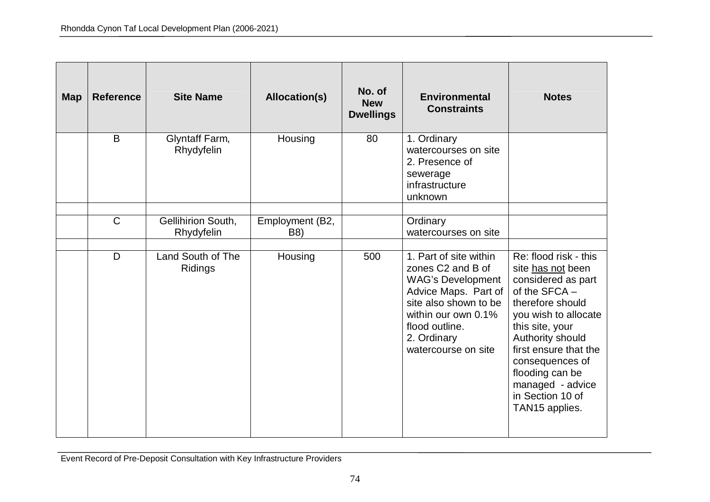| <b>Map</b> | <b>Reference</b> | <b>Site Name</b>                 | <b>Allocation(s)</b>   | No. of<br><b>New</b><br><b>Dwellings</b> | <b>Environmental</b><br><b>Constraints</b>                                                                                                                                                                          | <b>Notes</b>                                                                                                                                                                                                                                                                                  |
|------------|------------------|----------------------------------|------------------------|------------------------------------------|---------------------------------------------------------------------------------------------------------------------------------------------------------------------------------------------------------------------|-----------------------------------------------------------------------------------------------------------------------------------------------------------------------------------------------------------------------------------------------------------------------------------------------|
|            | B                | Glyntaff Farm,<br>Rhydyfelin     | Housing                | 80                                       | 1. Ordinary<br>watercourses on site<br>2. Presence of<br>sewerage<br>infrastructure<br>unknown                                                                                                                      |                                                                                                                                                                                                                                                                                               |
|            | $\mathsf{C}$     | Gellihirion South,<br>Rhydyfelin | Employment (B2,<br>B8) |                                          | Ordinary<br>watercourses on site                                                                                                                                                                                    |                                                                                                                                                                                                                                                                                               |
|            | D                | Land South of The<br>Ridings     | Housing                | 500                                      | 1. Part of site within<br>zones C <sub>2</sub> and B of<br><b>WAG's Development</b><br>Advice Maps. Part of<br>site also shown to be<br>within our own 0.1%<br>flood outline.<br>2. Ordinary<br>watercourse on site | Re: flood risk - this<br>site has not been<br>considered as part<br>of the SFCA -<br>therefore should<br>you wish to allocate<br>this site, your<br>Authority should<br>first ensure that the<br>consequences of<br>flooding can be<br>managed - advice<br>in Section 10 of<br>TAN15 applies. |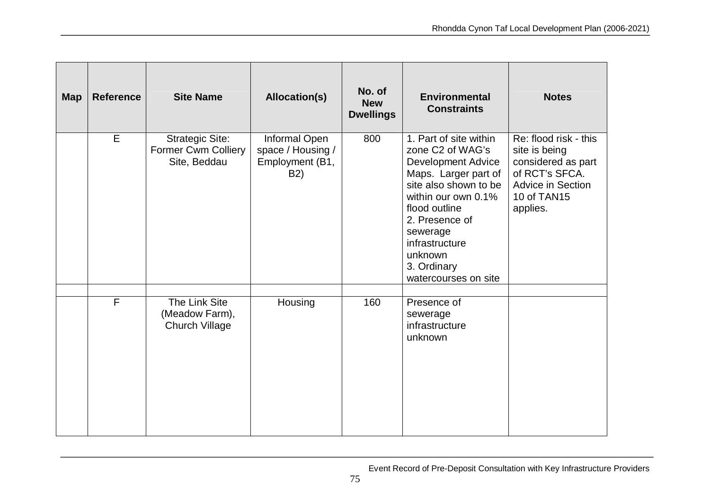| <b>Map</b> | <b>Reference</b> | <b>Site Name</b>                                                     | <b>Allocation(s)</b>                                         | No. of<br><b>New</b><br><b>Dwellings</b> | <b>Environmental</b><br><b>Constraints</b>                                                                                                                                                                                                                                     | <b>Notes</b>                                                                                                                          |
|------------|------------------|----------------------------------------------------------------------|--------------------------------------------------------------|------------------------------------------|--------------------------------------------------------------------------------------------------------------------------------------------------------------------------------------------------------------------------------------------------------------------------------|---------------------------------------------------------------------------------------------------------------------------------------|
|            | E                | <b>Strategic Site:</b><br><b>Former Cwm Colliery</b><br>Site, Beddau | Informal Open<br>space / Housing /<br>Employment (B1,<br>B2) | 800                                      | 1. Part of site within<br>zone C <sub>2</sub> of WAG's<br><b>Development Advice</b><br>Maps. Larger part of<br>site also shown to be<br>within our own 0.1%<br>flood outline<br>2. Presence of<br>sewerage<br>infrastructure<br>unknown<br>3. Ordinary<br>watercourses on site | Re: flood risk - this<br>site is being<br>considered as part<br>of RCT's SFCA.<br><b>Advice in Section</b><br>10 of TAN15<br>applies. |
|            | $\mathsf{F}$     | The Link Site<br>(Meadow Farm),<br><b>Church Village</b>             | Housing                                                      | 160                                      | Presence of<br>sewerage<br>infrastructure<br>unknown                                                                                                                                                                                                                           |                                                                                                                                       |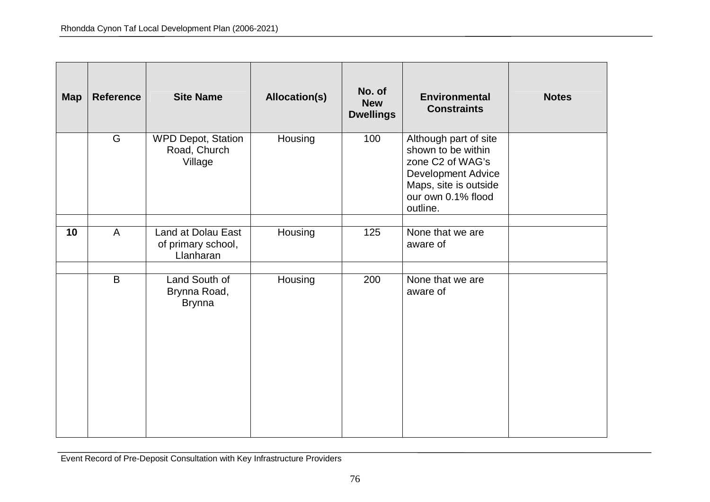| <b>Map</b> | <b>Reference</b> | <b>Site Name</b>                                      | <b>Allocation(s)</b> | No. of<br><b>New</b><br><b>Dwellings</b> | <b>Environmental</b><br><b>Constraints</b>                                                                                                              | <b>Notes</b> |
|------------|------------------|-------------------------------------------------------|----------------------|------------------------------------------|---------------------------------------------------------------------------------------------------------------------------------------------------------|--------------|
|            | G                | <b>WPD Depot, Station</b><br>Road, Church<br>Village  | Housing              | 100                                      | Although part of site<br>shown to be within<br>zone C2 of WAG's<br><b>Development Advice</b><br>Maps, site is outside<br>our own 0.1% flood<br>outline. |              |
| 10         | $\mathsf{A}$     | Land at Dolau East<br>of primary school,<br>Llanharan | Housing              | 125                                      | None that we are<br>aware of                                                                                                                            |              |
|            | B                | Land South of<br>Brynna Road,<br><b>Brynna</b>        | Housing              | 200                                      | None that we are<br>aware of                                                                                                                            |              |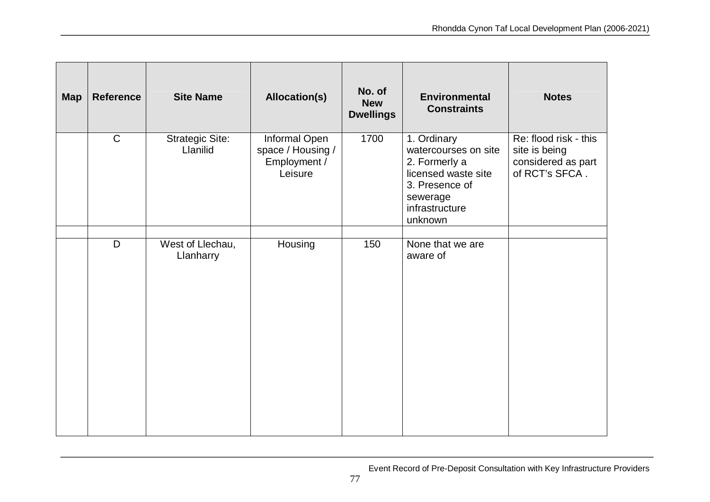| <b>Map</b> | <b>Reference</b> | <b>Site Name</b>                   | <b>Allocation(s)</b>                                          | No. of<br><b>New</b><br><b>Dwellings</b> | <b>Environmental</b><br><b>Constraints</b>                                                                                             | <b>Notes</b>                                                                   |
|------------|------------------|------------------------------------|---------------------------------------------------------------|------------------------------------------|----------------------------------------------------------------------------------------------------------------------------------------|--------------------------------------------------------------------------------|
|            | $\mathsf{C}$     | <b>Strategic Site:</b><br>Llanilid | Informal Open<br>space / Housing /<br>Employment /<br>Leisure | 1700                                     | 1. Ordinary<br>watercourses on site<br>2. Formerly a<br>licensed waste site<br>3. Presence of<br>sewerage<br>infrastructure<br>unknown | Re: flood risk - this<br>site is being<br>considered as part<br>of RCT's SFCA. |
|            | D                | West of Llechau,<br>Llanharry      | Housing                                                       | 150                                      | None that we are<br>aware of                                                                                                           |                                                                                |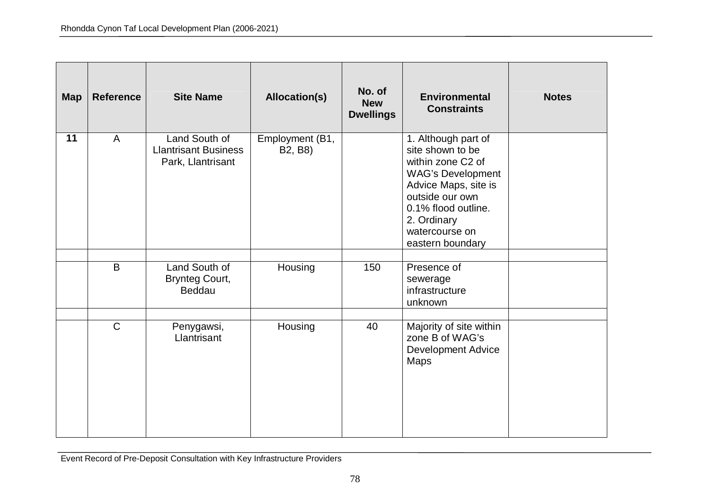| <b>Map</b> | <b>Reference</b> | <b>Site Name</b>                                                  | <b>Allocation(s)</b>       | No. of<br><b>New</b><br><b>Dwellings</b> | <b>Environmental</b><br><b>Constraints</b>                                                                                                                                                                      | <b>Notes</b> |
|------------|------------------|-------------------------------------------------------------------|----------------------------|------------------------------------------|-----------------------------------------------------------------------------------------------------------------------------------------------------------------------------------------------------------------|--------------|
| 11         | $\mathsf{A}$     | Land South of<br><b>Llantrisant Business</b><br>Park, Llantrisant | Employment (B1,<br>B2, B8) |                                          | 1. Although part of<br>site shown to be<br>within zone C2 of<br><b>WAG's Development</b><br>Advice Maps, site is<br>outside our own<br>0.1% flood outline.<br>2. Ordinary<br>watercourse on<br>eastern boundary |              |
|            | B                | Land South of<br><b>Brynteg Court,</b><br>Beddau                  | Housing                    | 150                                      | Presence of<br>sewerage<br>infrastructure<br>unknown                                                                                                                                                            |              |
|            | $\overline{C}$   | Penygawsi,<br>Llantrisant                                         | Housing                    | 40                                       | Majority of site within<br>zone B of WAG's<br><b>Development Advice</b><br><b>Maps</b>                                                                                                                          |              |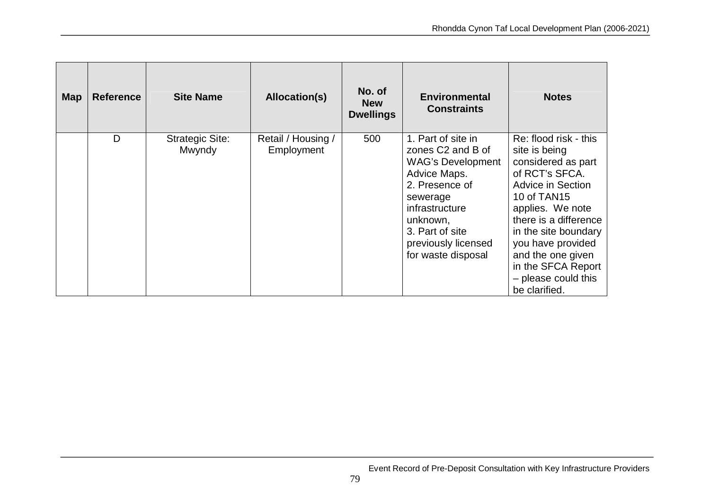| <b>Map</b> | <b>Reference</b> | <b>Site Name</b>                 | Allocation(s)                    | No. of<br><b>New</b><br><b>Dwellings</b> | <b>Environmental</b><br><b>Constraints</b>                                                                                                                                                                      | <b>Notes</b>                                                                                                                                                                                                                                                                                           |
|------------|------------------|----------------------------------|----------------------------------|------------------------------------------|-----------------------------------------------------------------------------------------------------------------------------------------------------------------------------------------------------------------|--------------------------------------------------------------------------------------------------------------------------------------------------------------------------------------------------------------------------------------------------------------------------------------------------------|
|            | D                | <b>Strategic Site:</b><br>Mwyndy | Retail / Housing /<br>Employment | 500                                      | 1. Part of site in<br>zones C2 and B of<br><b>WAG's Development</b><br>Advice Maps.<br>2. Presence of<br>sewerage<br>infrastructure<br>unknown,<br>3. Part of site<br>previously licensed<br>for waste disposal | Re: flood risk - this<br>site is being<br>considered as part<br>of RCT's SFCA.<br><b>Advice in Section</b><br>10 of TAN15<br>applies. We note<br>there is a difference<br>in the site boundary<br>you have provided<br>and the one given<br>in the SFCA Report<br>- please could this<br>be clarified. |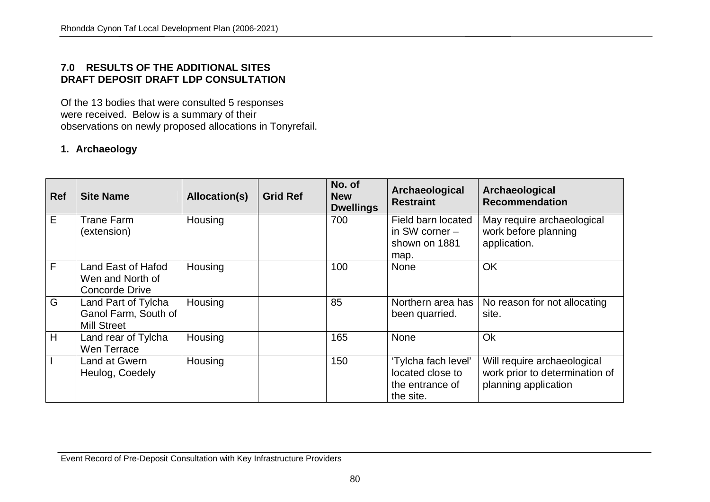### **7.0 RESULTS OF THE ADDITIONAL SITES DRAFT DEPOSIT DRAFT LDP CONSULTATION**

Of the 13 bodies that were consulted 5 responses were received. Below is a summary of their observations on newly proposed allocations in Tonyrefail.

### **1. Archaeology**

| <b>Ref</b>     | <b>Site Name</b>                                                  | Allocation(s) | <b>Grid Ref</b> | No. of<br><b>New</b><br><b>Dwellings</b> | Archaeological<br><b>Restraint</b>                                      | Archaeological<br><b>Recommendation</b>                                               |
|----------------|-------------------------------------------------------------------|---------------|-----------------|------------------------------------------|-------------------------------------------------------------------------|---------------------------------------------------------------------------------------|
| E              | Trane Farm<br>(extension)                                         | Housing       |                 | 700                                      | Field barn located<br>in SW corner $-$<br>shown on 1881<br>map.         | May require archaeological<br>work before planning<br>application.                    |
| $\overline{F}$ | Land East of Hafod<br>Wen and North of<br><b>Concorde Drive</b>   | Housing       |                 | 100                                      | <b>None</b>                                                             | OK                                                                                    |
| G              | Land Part of Tylcha<br>Ganol Farm, South of<br><b>Mill Street</b> | Housing       |                 | 85                                       | Northern area has<br>been quarried.                                     | No reason for not allocating<br>site.                                                 |
| H              | Land rear of Tylcha<br>Wen Terrace                                | Housing       |                 | 165                                      | None                                                                    | Ok                                                                                    |
|                | Land at Gwern<br>Heulog, Coedely                                  | Housing       |                 | 150                                      | 'Tylcha fach level'<br>located close to<br>the entrance of<br>the site. | Will require archaeological<br>work prior to determination of<br>planning application |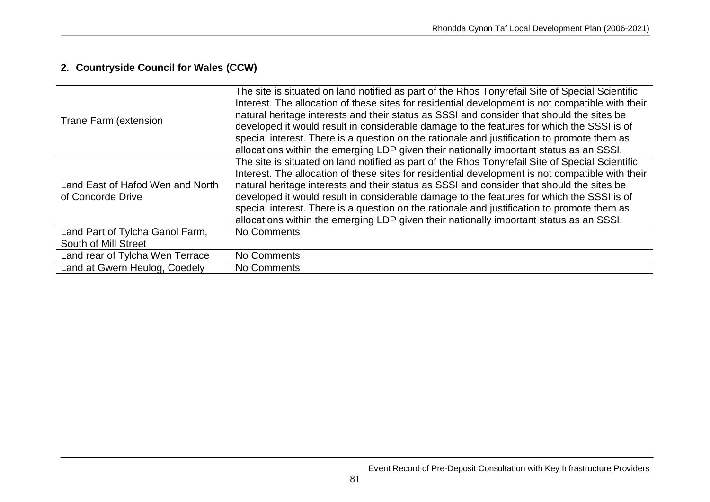# **2. Countryside Council for Wales (CCW)**

| Trane Farm (extension                                   | The site is situated on land notified as part of the Rhos Tonyrefail Site of Special Scientific<br>Interest. The allocation of these sites for residential development is not compatible with their<br>natural heritage interests and their status as SSSI and consider that should the sites be<br>developed it would result in considerable damage to the features for which the SSSI is of<br>special interest. There is a question on the rationale and justification to promote them as<br>allocations within the emerging LDP given their nationally important status as an SSSI. |
|---------------------------------------------------------|-----------------------------------------------------------------------------------------------------------------------------------------------------------------------------------------------------------------------------------------------------------------------------------------------------------------------------------------------------------------------------------------------------------------------------------------------------------------------------------------------------------------------------------------------------------------------------------------|
| Land East of Hafod Wen and North<br>of Concorde Drive   | The site is situated on land notified as part of the Rhos Tonyrefail Site of Special Scientific<br>Interest. The allocation of these sites for residential development is not compatible with their<br>natural heritage interests and their status as SSSI and consider that should the sites be<br>developed it would result in considerable damage to the features for which the SSSI is of<br>special interest. There is a question on the rationale and justification to promote them as<br>allocations within the emerging LDP given their nationally important status as an SSSI. |
| Land Part of Tylcha Ganol Farm,<br>South of Mill Street | No Comments                                                                                                                                                                                                                                                                                                                                                                                                                                                                                                                                                                             |
| Land rear of Tylcha Wen Terrace                         | No Comments                                                                                                                                                                                                                                                                                                                                                                                                                                                                                                                                                                             |
| Land at Gwern Heulog, Coedely                           | No Comments                                                                                                                                                                                                                                                                                                                                                                                                                                                                                                                                                                             |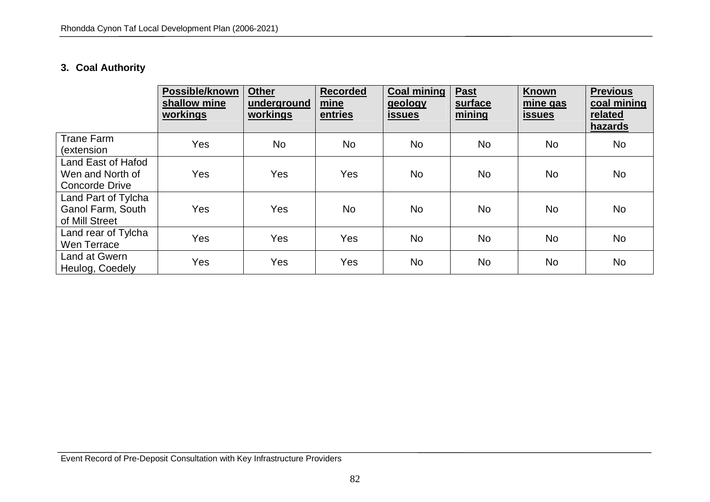# **3. Coal Authority**

|                                                                   | Possible/known<br>shallow mine<br>workings | <b>Other</b><br>underground<br>workings | <b>Recorded</b><br>mine<br>entries | <b>Coal mining</b><br>geology<br><u>issues</u> | <b>Past</b><br>surface<br>mining | <b>Known</b><br>mine gas<br><b>issues</b> | <b>Previous</b><br>coal mining<br>related<br>hazards |
|-------------------------------------------------------------------|--------------------------------------------|-----------------------------------------|------------------------------------|------------------------------------------------|----------------------------------|-------------------------------------------|------------------------------------------------------|
| <b>Trane Farm</b><br>(extension                                   | Yes                                        | <b>No</b>                               | <b>No</b>                          | <b>No</b>                                      | <b>No</b>                        | <b>No</b>                                 | <b>No</b>                                            |
| Land East of Hafod<br>Wen and North of<br>Concorde Drive          | Yes                                        | Yes                                     | <b>Yes</b>                         | No.                                            | No                               | No                                        | <b>No</b>                                            |
| Land Part of Tylcha<br><b>Ganol Farm, South</b><br>of Mill Street | Yes                                        | Yes                                     | <b>No</b>                          | <b>No</b>                                      | No                               | <b>No</b>                                 | <b>No</b>                                            |
| Land rear of Tylcha<br>Wen Terrace                                | Yes                                        | Yes                                     | <b>Yes</b>                         | <b>No</b>                                      | <b>No</b>                        | <b>No</b>                                 | <b>No</b>                                            |
| Land at Gwern<br>Heulog, Coedely                                  | Yes                                        | Yes                                     | Yes                                | <b>No</b>                                      | No                               | <b>No</b>                                 | <b>No</b>                                            |

Event Record of Pre-Deposit Consultation with Key Infrastructure Providers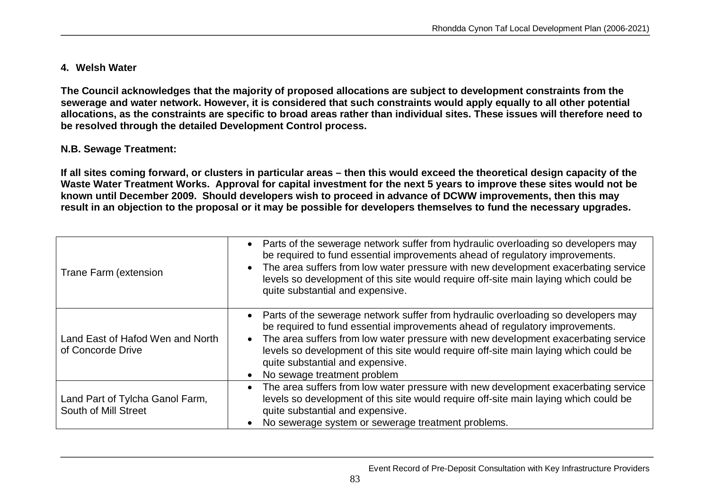### **4. Welsh Water**

**The Council acknowledges that the majority of proposed allocations are subject to development constraints from the sewerage and water network. However, it is considered that such constraints would apply equally to all other potential allocations, as the constraints are specific to broad areas rather than individual sites. These issues will therefore need to be resolved through the detailed Development Control process.**

### **N.B. Sewage Treatment:**

**If all sites coming forward, or clusters in particular areas – then this would exceed the theoretical design capacity of the Waste Water Treatment Works. Approval for capital investment for the next 5 years to improve these sites would not be known until December 2009. Should developers wish to proceed in advance of DCWW improvements, then this may result in an objection to the proposal or it may be possible for developers themselves to fund the necessary upgrades.**

| <b>Trane Farm (extension</b>                            | • Parts of the sewerage network suffer from hydraulic overloading so developers may<br>be required to fund essential improvements ahead of regulatory improvements.<br>The area suffers from low water pressure with new development exacerbating service<br>levels so development of this site would require off-site main laying which could be<br>quite substantial and expensive.                              |
|---------------------------------------------------------|--------------------------------------------------------------------------------------------------------------------------------------------------------------------------------------------------------------------------------------------------------------------------------------------------------------------------------------------------------------------------------------------------------------------|
| Land East of Hafod Wen and North<br>of Concorde Drive   | Parts of the sewerage network suffer from hydraulic overloading so developers may<br>be required to fund essential improvements ahead of regulatory improvements.<br>The area suffers from low water pressure with new development exacerbating service<br>levels so development of this site would require off-site main laying which could be<br>quite substantial and expensive.<br>No sewage treatment problem |
| Land Part of Tylcha Ganol Farm,<br>South of Mill Street | The area suffers from low water pressure with new development exacerbating service<br>levels so development of this site would require off-site main laying which could be<br>quite substantial and expensive.<br>No sewerage system or sewerage treatment problems.                                                                                                                                               |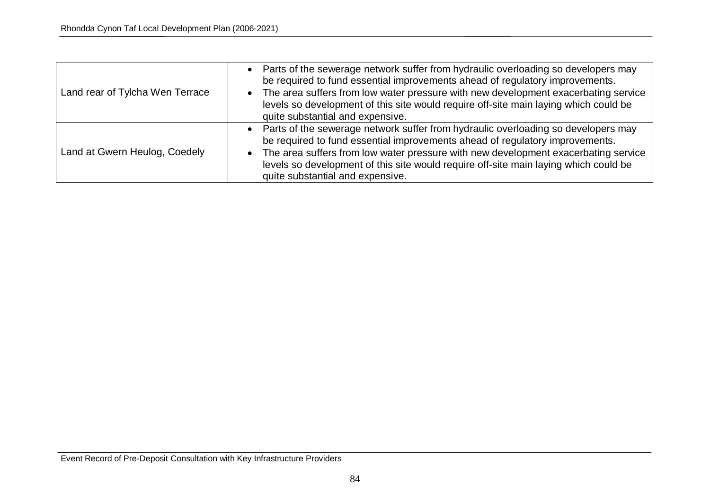| Land rear of Tylcha Wen Terrace | • Parts of the sewerage network suffer from hydraulic overloading so developers may<br>be required to fund essential improvements ahead of regulatory improvements.<br>The area suffers from low water pressure with new development exacerbating service<br>$\bullet$<br>levels so development of this site would require off-site main laying which could be<br>quite substantial and expensive. |
|---------------------------------|----------------------------------------------------------------------------------------------------------------------------------------------------------------------------------------------------------------------------------------------------------------------------------------------------------------------------------------------------------------------------------------------------|
| Land at Gwern Heulog, Coedely   | • Parts of the sewerage network suffer from hydraulic overloading so developers may<br>be required to fund essential improvements ahead of regulatory improvements.<br>The area suffers from low water pressure with new development exacerbating service<br>$\bullet$<br>levels so development of this site would require off-site main laying which could be<br>quite substantial and expensive. |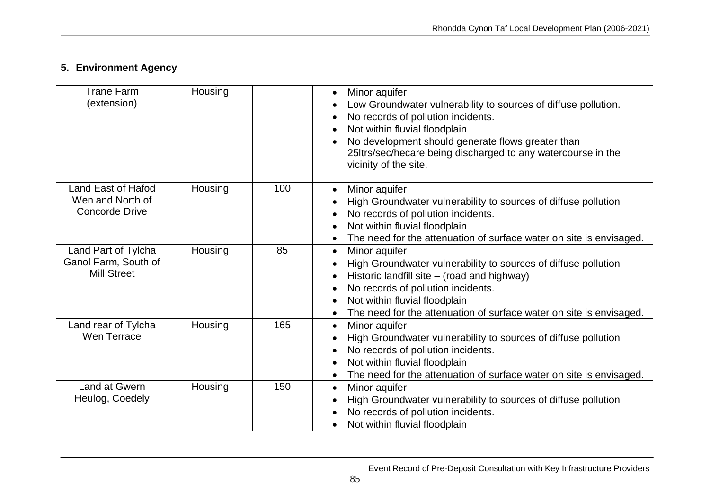# **5. Environment Agency**

| <b>Trane Farm</b><br>(extension)                                  | Housing |     | Minor aquifer<br>$\bullet$<br>Low Groundwater vulnerability to sources of diffuse pollution.<br>No records of pollution incidents.<br>Not within fluvial floodplain<br>No development should generate flows greater than<br>25Itrs/sec/hecare being discharged to any watercourse in the<br>vicinity of the site. |
|-------------------------------------------------------------------|---------|-----|-------------------------------------------------------------------------------------------------------------------------------------------------------------------------------------------------------------------------------------------------------------------------------------------------------------------|
| Land East of Hafod<br>Wen and North of<br><b>Concorde Drive</b>   | Housing | 100 | Minor aquifer<br>$\bullet$<br>High Groundwater vulnerability to sources of diffuse pollution<br>No records of pollution incidents.<br>Not within fluvial floodplain<br>The need for the attenuation of surface water on site is envisaged.                                                                        |
| Land Part of Tylcha<br>Ganol Farm, South of<br><b>Mill Street</b> | Housing | 85  | Minor aquifer<br>$\bullet$<br>High Groundwater vulnerability to sources of diffuse pollution<br>Historic landfill site - (road and highway)<br>No records of pollution incidents.<br>Not within fluvial floodplain<br>$\bullet$<br>The need for the attenuation of surface water on site is envisaged.            |
| Land rear of Tylcha<br>Wen Terrace                                | Housing | 165 | Minor aquifer<br>$\bullet$<br>High Groundwater vulnerability to sources of diffuse pollution<br>No records of pollution incidents.<br>Not within fluvial floodplain<br>The need for the attenuation of surface water on site is envisaged.                                                                        |
| Land at Gwern<br>Heulog, Coedely                                  | Housing | 150 | Minor aquifer<br>$\bullet$<br>High Groundwater vulnerability to sources of diffuse pollution<br>No records of pollution incidents.<br>Not within fluvial floodplain                                                                                                                                               |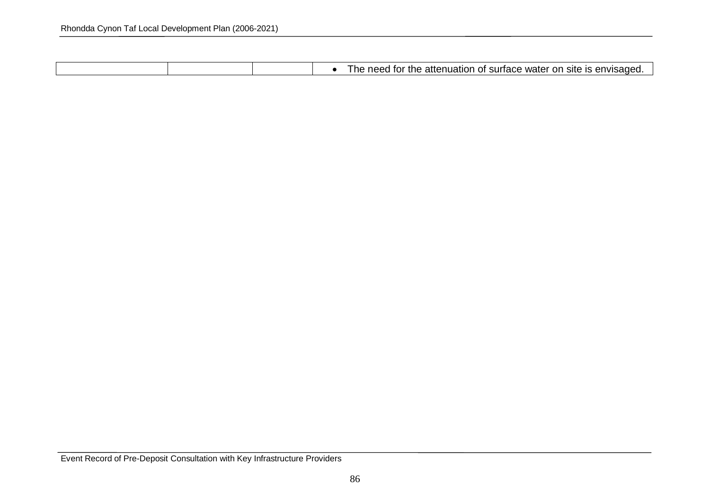|  | The need for the attenuation of surface water on site is envisaged. |
|--|---------------------------------------------------------------------|

Event Record of Pre-Deposit Consultation with Key Infrastructure Providers